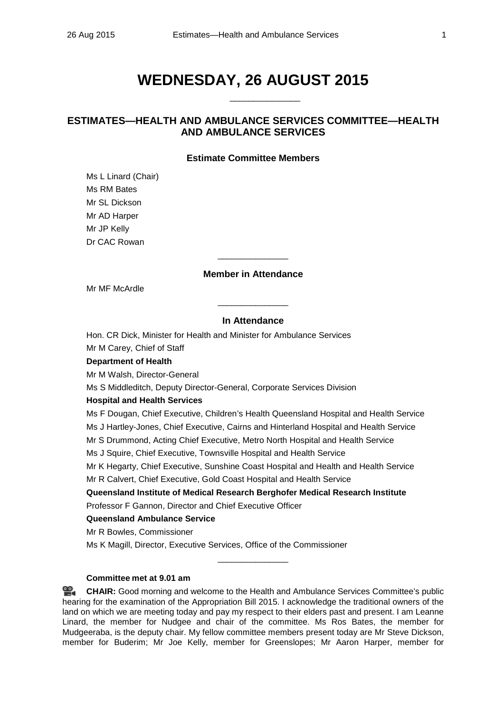# **WEDNESDAY, 26 AUGUST 2015**

\_\_\_\_\_\_\_\_\_\_\_\_\_\_\_

# **ESTIMATES—HEALTH AND AMBULANCE SERVICES COMMITTEE—HEALTH AND AMBULANCE SERVICES**

### **Estimate Committee Members**

Ms L Linard (Chair) Ms RM Bates Mr SL Dickson Mr AD Harper Mr JP Kelly Dr CAC Rowan

## **Member in Attendance**

 $\overline{\phantom{a}}$  , where the contract of the contract of  $\overline{\phantom{a}}$ 

Mr MF McArdle

#### **In Attendance**

\_\_\_\_\_\_\_\_\_\_\_\_\_\_\_

Hon. CR Dick, Minister for Health and Minister for Ambulance Services Mr M Carey, Chief of Staff

### **Department of Health**

Mr M Walsh, Director-General

Ms S Middleditch, Deputy Director-General, Corporate Services Division

#### **Hospital and Health Services**

Ms F Dougan, Chief Executive, Children's Health Queensland Hospital and Health Service Ms J Hartley-Jones, Chief Executive, Cairns and Hinterland Hospital and Health Service Mr S Drummond, Acting Chief Executive, Metro North Hospital and Health Service Ms J Squire, Chief Executive, Townsville Hospital and Health Service Mr K Hegarty, Chief Executive, Sunshine Coast Hospital and Health and Health Service Mr R Calvert, Chief Executive, Gold Coast Hospital and Health Service **Queensland Institute of Medical Research Berghofer Medical Research Institute** Professor F Gannon, Director and Chief Executive Officer **Queensland Ambulance Service** Mr R Bowles, Commissioner Ms K Magill, Director, Executive Services, Office of the Commissioner

# **Committee met at 9.01 am**

**[CHAIR:](http://www.parliament.qld.gov.au/docs/find.aspx?id=0Mba20150826_090112)** Good morning and welcome to the Health and Ambulance Services Committee's public hearing for the examination of the Appropriation Bill 2015. I acknowledge the traditional owners of the land on which we are meeting today and pay my respect to their elders past and present. I am Leanne Linard, the member for Nudgee and chair of the committee. Ms Ros Bates, the member for Mudgeeraba, is the deputy chair. My fellow committee members present today are Mr Steve Dickson, member for Buderim; Mr Joe Kelly, member for Greenslopes; Mr Aaron Harper, member for

\_\_\_\_\_\_\_\_\_\_\_\_\_\_\_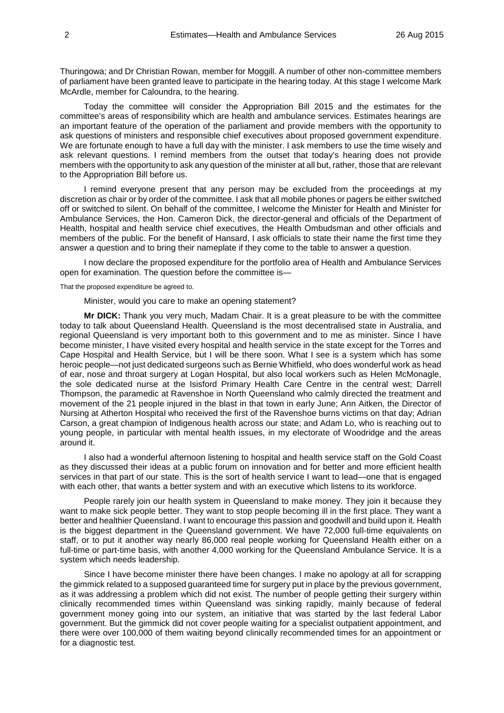Thuringowa; and Dr Christian Rowan, member for Moggill. A number of other non-committee members of parliament have been granted leave to participate in the hearing today. At this stage I welcome Mark McArdle, member for Caloundra, to the hearing.

Today the committee will consider the Appropriation Bill 2015 and the estimates for the committee's areas of responsibility which are health and ambulance services. Estimates hearings are an important feature of the operation of the parliament and provide members with the opportunity to ask questions of ministers and responsible chief executives about proposed government expenditure. We are fortunate enough to have a full day with the minister. I ask members to use the time wisely and ask relevant questions. I remind members from the outset that today's hearing does not provide members with the opportunity to ask any question of the minister at all but, rather, those that are relevant to the Appropriation Bill before us.

I remind everyone present that any person may be excluded from the proceedings at my discretion as chair or by order of the committee. I ask that all mobile phones or pagers be either switched off or switched to silent. On behalf of the committee, I welcome the Minister for Health and Minister for Ambulance Services, the Hon. Cameron Dick, the director-general and officials of the Department of Health, hospital and health service chief executives, the Health Ombudsman and other officials and members of the public. For the benefit of Hansard, I ask officials to state their name the first time they answer a question and to bring their nameplate if they come to the table to answer a question.

I now declare the proposed expenditure for the portfolio area of Health and Ambulance Services open for examination. The question before the committee is—

That the proposed expenditure be agreed to.

Minister, would you care to make an opening statement?

**Mr DICK:** Thank you very much, Madam Chair. It is a great pleasure to be with the committee today to talk about Queensland Health. Queensland is the most decentralised state in Australia, and regional Queensland is very important both to this government and to me as minister. Since I have become minister, I have visited every hospital and health service in the state except for the Torres and Cape Hospital and Health Service, but I will be there soon. What I see is a system which has some heroic people—not just dedicated surgeons such as Bernie Whitfield, who does wonderful work as head of ear, nose and throat surgery at Logan Hospital, but also local workers such as Helen McMonagle, the sole dedicated nurse at the Isisford Primary Health Care Centre in the central west; Darrell Thompson, the paramedic at Ravenshoe in North Queensland who calmly directed the treatment and movement of the 21 people injured in the blast in that town in early June; Ann Aitken, the Director of Nursing at Atherton Hospital who received the first of the Ravenshoe burns victims on that day; Adrian Carson, a great champion of Indigenous health across our state; and Adam Lo, who is reaching out to young people, in particular with mental health issues, in my electorate of Woodridge and the areas around it.

I also had a wonderful afternoon listening to hospital and health service staff on the Gold Coast as they discussed their ideas at a public forum on innovation and for better and more efficient health services in that part of our state. This is the sort of health service I want to lead—one that is engaged with each other, that wants a better system and with an executive which listens to its workforce.

People rarely join our health system in Queensland to make money. They join it because they want to make sick people better. They want to stop people becoming ill in the first place. They want a better and healthier Queensland. I want to encourage this passion and goodwill and build upon it. Health is the biggest department in the Queensland government. We have 72,000 full-time equivalents on staff, or to put it another way nearly 86,000 real people working for Queensland Health either on a full-time or part-time basis, with another 4,000 working for the Queensland Ambulance Service. It is a system which needs leadership.

Since I have become minister there have been changes. I make no apology at all for scrapping the gimmick related to a supposed guaranteed time for surgery put in place by the previous government, as it was addressing a problem which did not exist. The number of people getting their surgery within clinically recommended times within Queensland was sinking rapidly, mainly because of federal government money going into our system, an initiative that was started by the last federal Labor government. But the gimmick did not cover people waiting for a specialist outpatient appointment, and there were over 100,000 of them waiting beyond clinically recommended times for an appointment or for a diagnostic test.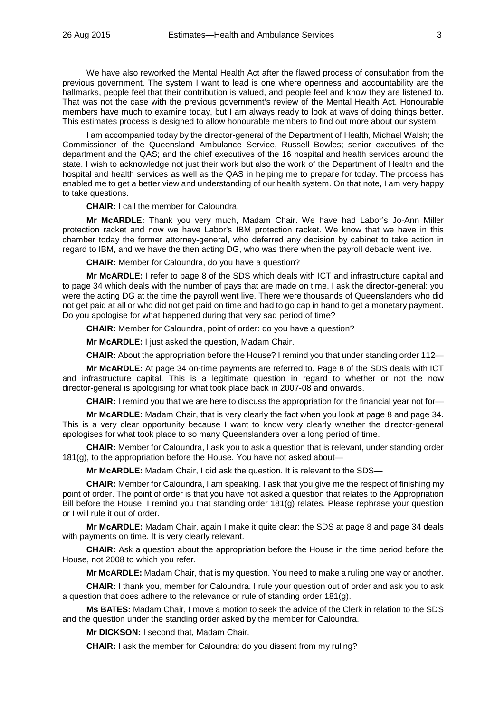We have also reworked the Mental Health Act after the flawed process of consultation from the previous government. The system I want to lead is one where openness and accountability are the hallmarks, people feel that their contribution is valued, and people feel and know they are listened to. That was not the case with the previous government's review of the Mental Health Act. Honourable members have much to examine today, but I am always ready to look at ways of doing things better. This estimates process is designed to allow honourable members to find out more about our system.

I am accompanied today by the director-general of the Department of Health, Michael Walsh; the Commissioner of the Queensland Ambulance Service, Russell Bowles; senior executives of the department and the QAS; and the chief executives of the 16 hospital and health services around the state. I wish to acknowledge not just their work but also the work of the Department of Health and the hospital and health services as well as the QAS in helping me to prepare for today. The process has enabled me to get a better view and understanding of our health system. On that note, I am very happy to take questions.

**CHAIR:** I call the member for Caloundra.

**Mr McARDLE:** Thank you very much, Madam Chair. We have had Labor's Jo-Ann Miller protection racket and now we have Labor's IBM protection racket. We know that we have in this chamber today the former attorney-general, who deferred any decision by cabinet to take action in regard to IBM, and we have the then acting DG, who was there when the payroll debacle went live.

**CHAIR:** Member for Caloundra, do you have a question?

**Mr McARDLE:** I refer to page 8 of the SDS which deals with ICT and infrastructure capital and to page 34 which deals with the number of pays that are made on time. I ask the director-general: you were the acting DG at the time the payroll went live. There were thousands of Queenslanders who did not get paid at all or who did not get paid on time and had to go cap in hand to get a monetary payment. Do you apologise for what happened during that very sad period of time?

**CHAIR:** Member for Caloundra, point of order: do you have a question?

**Mr McARDLE:** I just asked the question, Madam Chair.

**CHAIR:** About the appropriation before the House? I remind you that under standing order 112—

**Mr McARDLE:** At page 34 on-time payments are referred to. Page 8 of the SDS deals with ICT and infrastructure capital. This is a legitimate question in regard to whether or not the now director-general is apologising for what took place back in 2007-08 and onwards.

**CHAIR:** I remind you that we are here to discuss the appropriation for the financial year not for—

**Mr McARDLE:** Madam Chair, that is very clearly the fact when you look at page 8 and page 34. This is a very clear opportunity because I want to know very clearly whether the director-general apologises for what took place to so many Queenslanders over a long period of time.

**CHAIR:** Member for Caloundra, I ask you to ask a question that is relevant, under standing order 181(g), to the appropriation before the House. You have not asked about—

**Mr McARDLE:** Madam Chair, I did ask the question. It is relevant to the SDS—

**CHAIR:** Member for Caloundra, I am speaking. I ask that you give me the respect of finishing my point of order. The point of order is that you have not asked a question that relates to the Appropriation Bill before the House. I remind you that standing order 181(g) relates. Please rephrase your question or I will rule it out of order.

**Mr McARDLE:** Madam Chair, again I make it quite clear: the SDS at page 8 and page 34 deals with payments on time. It is very clearly relevant.

**CHAIR:** Ask a question about the appropriation before the House in the time period before the House, not 2008 to which you refer.

**Mr McARDLE:** Madam Chair, that is my question. You need to make a ruling one way or another.

**CHAIR:** I thank you, member for Caloundra. I rule your question out of order and ask you to ask a question that does adhere to the relevance or rule of standing order 181(g).

**Ms BATES:** Madam Chair, I move a motion to seek the advice of the Clerk in relation to the SDS and the question under the standing order asked by the member for Caloundra.

**Mr DICKSON:** I second that, Madam Chair.

**CHAIR:** I ask the member for Caloundra: do you dissent from my ruling?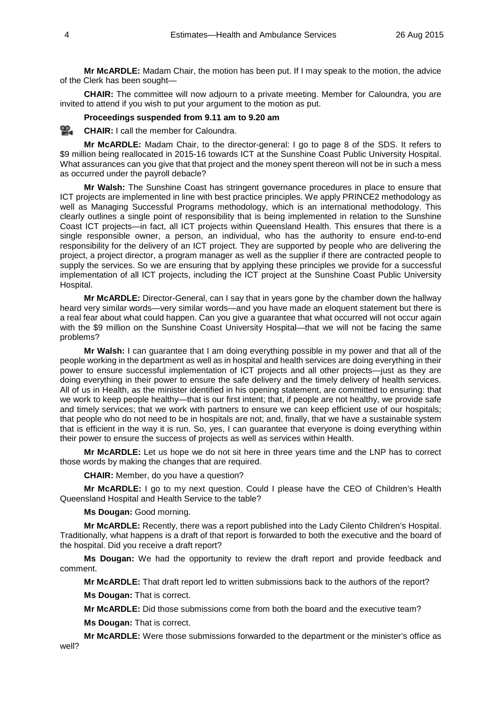**Mr McARDLE:** Madam Chair, the motion has been put. If I may speak to the motion, the advice of the Clerk has been sought—

**CHAIR:** The committee will now adjourn to a private meeting. Member for Caloundra, you are invited to attend if you wish to put your argument to the motion as put.

### **Proceedings suspended from 9.11 am to 9.20 am**

≌. **[CHAIR:](http://www.parliament.qld.gov.au/docs/find.aspx?id=0Mba20150826_092045)** I call the member for Caloundra.

**Mr McARDLE:** Madam Chair, to the director-general: I go to page 8 of the SDS. It refers to \$9 million being reallocated in 2015-16 towards ICT at the Sunshine Coast Public University Hospital. What assurances can you give that that project and the money spent thereon will not be in such a mess as occurred under the payroll debacle?

**Mr Walsh:** The Sunshine Coast has stringent governance procedures in place to ensure that ICT projects are implemented in line with best practice principles. We apply PRINCE2 methodology as well as Managing Successful Programs methodology, which is an international methodology. This clearly outlines a single point of responsibility that is being implemented in relation to the Sunshine Coast ICT projects—in fact, all ICT projects within Queensland Health. This ensures that there is a single responsible owner, a person, an individual, who has the authority to ensure end-to-end responsibility for the delivery of an ICT project. They are supported by people who are delivering the project, a project director, a program manager as well as the supplier if there are contracted people to supply the services. So we are ensuring that by applying these principles we provide for a successful implementation of all ICT projects, including the ICT project at the Sunshine Coast Public University Hospital.

**Mr McARDLE:** Director-General, can I say that in years gone by the chamber down the hallway heard very similar words—very similar words—and you have made an eloquent statement but there is a real fear about what could happen. Can you give a guarantee that what occurred will not occur again with the \$9 million on the Sunshine Coast University Hospital—that we will not be facing the same problems?

**Mr Walsh:** I can guarantee that I am doing everything possible in my power and that all of the people working in the department as well as in hospital and health services are doing everything in their power to ensure successful implementation of ICT projects and all other projects—just as they are doing everything in their power to ensure the safe delivery and the timely delivery of health services. All of us in Health, as the minister identified in his opening statement, are committed to ensuring: that we work to keep people healthy—that is our first intent; that, if people are not healthy, we provide safe and timely services; that we work with partners to ensure we can keep efficient use of our hospitals; that people who do not need to be in hospitals are not; and, finally, that we have a sustainable system that is efficient in the way it is run. So, yes, I can guarantee that everyone is doing everything within their power to ensure the success of projects as well as services within Health.

**Mr McARDLE:** Let us hope we do not sit here in three years time and the LNP has to correct those words by making the changes that are required.

**CHAIR:** Member, do you have a question?

**Mr McARDLE:** I go to my next question. Could I please have the CEO of Children's Health Queensland Hospital and Health Service to the table?

**Ms Dougan:** Good morning.

**Mr McARDLE:** Recently, there was a report published into the Lady Cilento Children's Hospital. Traditionally, what happens is a draft of that report is forwarded to both the executive and the board of the hospital. Did you receive a draft report?

**Ms Dougan:** We had the opportunity to review the draft report and provide feedback and comment.

**Mr McARDLE:** That draft report led to written submissions back to the authors of the report?

**Ms Dougan:** That is correct.

**Mr McARDLE:** Did those submissions come from both the board and the executive team?

**Ms Dougan:** That is correct.

**Mr McARDLE:** Were those submissions forwarded to the department or the minister's office as well?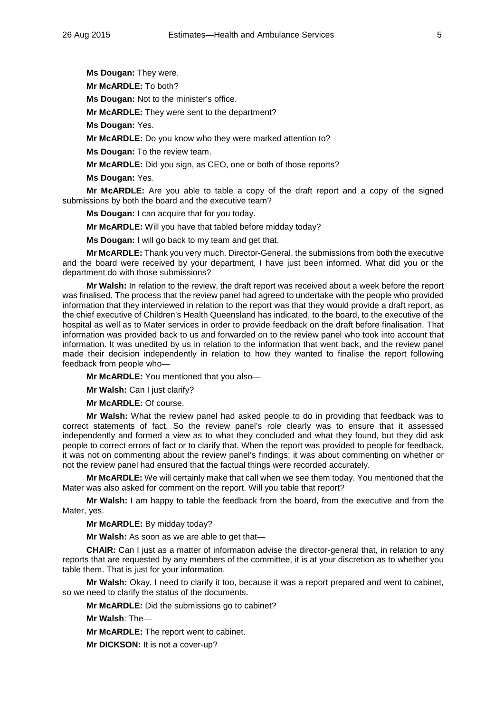**Ms Dougan:** They were.

**Mr McARDLE:** To both?

**Ms Dougan:** Not to the minister's office.

**Mr McARDLE:** They were sent to the department?

**Ms Dougan:** Yes.

**Mr McARDLE:** Do you know who they were marked attention to?

**Ms Dougan:** To the review team.

**Mr McARDLE:** Did you sign, as CEO, one or both of those reports?

**Ms Dougan:** Yes.

**Mr McARDLE:** Are you able to table a copy of the draft report and a copy of the signed submissions by both the board and the executive team?

**Ms Dougan:** I can acquire that for you today.

**Mr McARDLE:** Will you have that tabled before midday today?

**Ms Dougan:** I will go back to my team and get that.

**Mr McARDLE:** Thank you very much. Director-General, the submissions from both the executive and the board were received by your department, I have just been informed. What did you or the department do with those submissions?

**Mr Walsh:** In relation to the review, the draft report was received about a week before the report was finalised. The process that the review panel had agreed to undertake with the people who provided information that they interviewed in relation to the report was that they would provide a draft report, as the chief executive of Children's Health Queensland has indicated, to the board, to the executive of the hospital as well as to Mater services in order to provide feedback on the draft before finalisation. That information was provided back to us and forwarded on to the review panel who took into account that information. It was unedited by us in relation to the information that went back, and the review panel made their decision independently in relation to how they wanted to finalise the report following feedback from people who—

**Mr McARDLE:** You mentioned that you also—

**Mr Walsh:** Can I just clarify?

**Mr McARDLE:** Of course.

**Mr Walsh:** What the review panel had asked people to do in providing that feedback was to correct statements of fact. So the review panel's role clearly was to ensure that it assessed independently and formed a view as to what they concluded and what they found, but they did ask people to correct errors of fact or to clarify that. When the report was provided to people for feedback, it was not on commenting about the review panel's findings; it was about commenting on whether or not the review panel had ensured that the factual things were recorded accurately.

**Mr McARDLE:** We will certainly make that call when we see them today. You mentioned that the Mater was also asked for comment on the report. Will you table that report?

**Mr Walsh:** I am happy to table the feedback from the board, from the executive and from the Mater, yes.

**Mr McARDLE:** By midday today?

**Mr Walsh:** As soon as we are able to get that—

**CHAIR:** Can I just as a matter of information advise the director-general that, in relation to any reports that are requested by any members of the committee, it is at your discretion as to whether you table them. That is just for your information.

**Mr Walsh:** Okay. I need to clarify it too, because it was a report prepared and went to cabinet, so we need to clarify the status of the documents.

**Mr McARDLE:** Did the submissions go to cabinet?

**Mr Walsh**: The—

**Mr McARDLE:** The report went to cabinet.

**Mr DICKSON:** It is not a cover-up?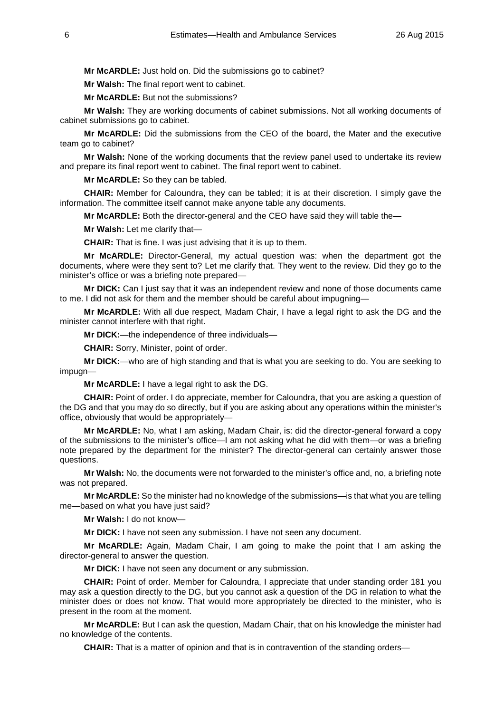**Mr McARDLE:** Just hold on. Did the submissions go to cabinet?

**Mr Walsh:** The final report went to cabinet.

**Mr McARDLE:** But not the submissions?

**Mr Walsh:** They are working documents of cabinet submissions. Not all working documents of cabinet submissions go to cabinet.

**Mr McARDLE:** Did the submissions from the CEO of the board, the Mater and the executive team go to cabinet?

**Mr Walsh:** None of the working documents that the review panel used to undertake its review and prepare its final report went to cabinet. The final report went to cabinet.

**Mr McARDLE:** So they can be tabled.

**CHAIR:** Member for Caloundra, they can be tabled; it is at their discretion. I simply gave the information. The committee itself cannot make anyone table any documents.

**Mr McARDLE:** Both the director-general and the CEO have said they will table the—

**Mr Walsh:** Let me clarify that—

**CHAIR:** That is fine. I was just advising that it is up to them.

**Mr McARDLE:** Director-General, my actual question was: when the department got the documents, where were they sent to? Let me clarify that. They went to the review. Did they go to the minister's office or was a briefing note prepared—

**Mr DICK:** Can I just say that it was an independent review and none of those documents came to me. I did not ask for them and the member should be careful about impugning—

**Mr McARDLE:** With all due respect, Madam Chair, I have a legal right to ask the DG and the minister cannot interfere with that right.

**Mr DICK:**—the independence of three individuals—

**CHAIR:** Sorry, Minister, point of order.

**Mr DICK:**—who are of high standing and that is what you are seeking to do. You are seeking to impugn—

**Mr McARDLE:** I have a legal right to ask the DG.

**CHAIR:** Point of order. I do appreciate, member for Caloundra, that you are asking a question of the DG and that you may do so directly, but if you are asking about any operations within the minister's office, obviously that would be appropriately—

**Mr McARDLE:** No, what I am asking, Madam Chair, is: did the director-general forward a copy of the submissions to the minister's office—I am not asking what he did with them—or was a briefing note prepared by the department for the minister? The director-general can certainly answer those questions.

**Mr Walsh:** No, the documents were not forwarded to the minister's office and, no, a briefing note was not prepared.

**Mr McARDLE:** So the minister had no knowledge of the submissions—is that what you are telling me—based on what you have just said?

**Mr Walsh:** I do not know—

**Mr DICK:** I have not seen any submission. I have not seen any document.

**Mr McARDLE:** Again, Madam Chair, I am going to make the point that I am asking the director-general to answer the question.

**Mr DICK:** I have not seen any document or any submission.

**CHAIR:** Point of order. Member for Caloundra, I appreciate that under standing order 181 you may ask a question directly to the DG, but you cannot ask a question of the DG in relation to what the minister does or does not know. That would more appropriately be directed to the minister, who is present in the room at the moment.

**Mr McARDLE:** But I can ask the question, Madam Chair, that on his knowledge the minister had no knowledge of the contents.

**CHAIR:** That is a matter of opinion and that is in contravention of the standing orders—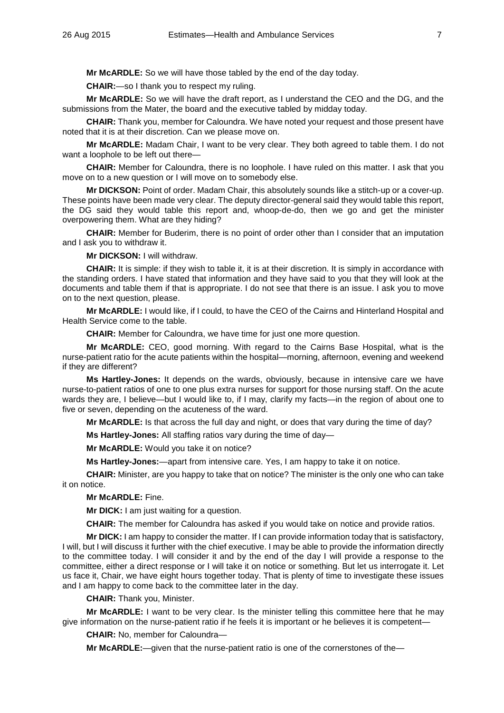**Mr McARDLE:** So we will have those tabled by the end of the day today.

**CHAIR:**—so I thank you to respect my ruling.

**Mr McARDLE:** So we will have the draft report, as I understand the CEO and the DG, and the submissions from the Mater, the board and the executive tabled by midday today.

**CHAIR:** Thank you, member for Caloundra. We have noted your request and those present have noted that it is at their discretion. Can we please move on.

**Mr McARDLE:** Madam Chair, I want to be very clear. They both agreed to table them. I do not want a loophole to be left out there-

**CHAIR:** Member for Caloundra, there is no loophole. I have ruled on this matter. I ask that you move on to a new question or I will move on to somebody else.

**Mr DICKSON:** Point of order. Madam Chair, this absolutely sounds like a stitch-up or a cover-up. These points have been made very clear. The deputy director-general said they would table this report, the DG said they would table this report and, whoop-de-do, then we go and get the minister overpowering them. What are they hiding?

**CHAIR:** Member for Buderim, there is no point of order other than I consider that an imputation and I ask you to withdraw it.

**Mr DICKSON:** I will withdraw.

**CHAIR:** It is simple: if they wish to table it, it is at their discretion. It is simply in accordance with the standing orders. I have stated that information and they have said to you that they will look at the documents and table them if that is appropriate. I do not see that there is an issue. I ask you to move on to the next question, please.

**Mr McARDLE:** I would like, if I could, to have the CEO of the Cairns and Hinterland Hospital and Health Service come to the table.

**CHAIR:** Member for Caloundra, we have time for just one more question.

**Mr McARDLE:** CEO, good morning. With regard to the Cairns Base Hospital, what is the nurse-patient ratio for the acute patients within the hospital—morning, afternoon, evening and weekend if they are different?

**Ms Hartley-Jones:** It depends on the wards, obviously, because in intensive care we have nurse-to-patient ratios of one to one plus extra nurses for support for those nursing staff. On the acute wards they are, I believe—but I would like to, if I may, clarify my facts—in the region of about one to five or seven, depending on the acuteness of the ward.

**Mr McARDLE:** Is that across the full day and night, or does that vary during the time of day?

**Ms Hartley-Jones:** All staffing ratios vary during the time of day—

**Mr McARDLE:** Would you take it on notice?

**Ms Hartley-Jones:**—apart from intensive care. Yes, I am happy to take it on notice.

**CHAIR:** Minister, are you happy to take that on notice? The minister is the only one who can take it on notice.

**Mr McARDLE:** Fine.

**Mr DICK:** I am just waiting for a question.

**CHAIR:** The member for Caloundra has asked if you would take on notice and provide ratios.

**Mr DICK:** I am happy to consider the matter. If I can provide information today that is satisfactory, I will, but I will discuss it further with the chief executive. I may be able to provide the information directly to the committee today. I will consider it and by the end of the day I will provide a response to the committee, either a direct response or I will take it on notice or something. But let us interrogate it. Let us face it, Chair, we have eight hours together today. That is plenty of time to investigate these issues and I am happy to come back to the committee later in the day.

**CHAIR:** Thank you, Minister.

**Mr McARDLE:** I want to be very clear. Is the minister telling this committee here that he may give information on the nurse-patient ratio if he feels it is important or he believes it is competent—

**CHAIR:** No, member for Caloundra—

**Mr McARDLE:**—given that the nurse-patient ratio is one of the cornerstones of the—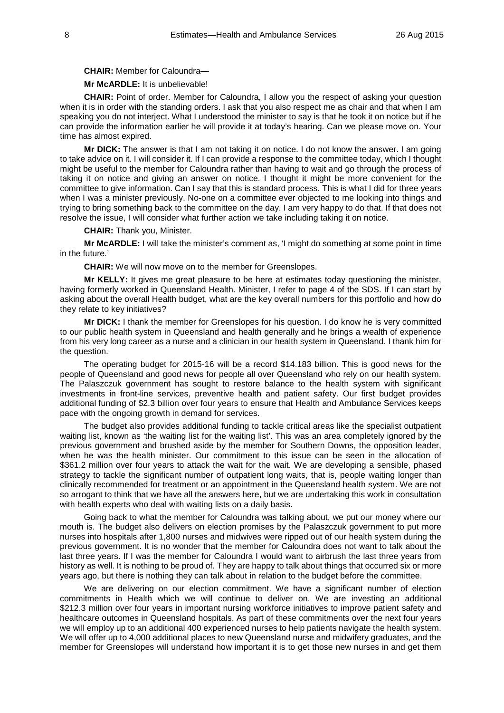**CHAIR:** Member for Caloundra—

#### **Mr McARDLE:** It is unbelievable!

**CHAIR:** Point of order. Member for Caloundra, I allow you the respect of asking your question when it is in order with the standing orders. I ask that you also respect me as chair and that when I am speaking you do not interject. What I understood the minister to say is that he took it on notice but if he can provide the information earlier he will provide it at today's hearing. Can we please move on. Your time has almost expired.

**Mr DICK:** The answer is that I am not taking it on notice. I do not know the answer. I am going to take advice on it. I will consider it. If I can provide a response to the committee today, which I thought might be useful to the member for Caloundra rather than having to wait and go through the process of taking it on notice and giving an answer on notice. I thought it might be more convenient for the committee to give information. Can I say that this is standard process. This is what I did for three years when I was a minister previously. No-one on a committee ever objected to me looking into things and trying to bring something back to the committee on the day. I am very happy to do that. If that does not resolve the issue, I will consider what further action we take including taking it on notice.

**CHAIR:** Thank you, Minister.

**Mr McARDLE:** I will take the minister's comment as, 'I might do something at some point in time in the future.'

**CHAIR:** We will now move on to the member for Greenslopes.

**Mr KELLY:** It gives me great pleasure to be here at estimates today questioning the minister, having formerly worked in Queensland Health. Minister, I refer to page 4 of the SDS. If I can start by asking about the overall Health budget, what are the key overall numbers for this portfolio and how do they relate to key initiatives?

**Mr DICK:** I thank the member for Greenslopes for his question. I do know he is very committed to our public health system in Queensland and health generally and he brings a wealth of experience from his very long career as a nurse and a clinician in our health system in Queensland. I thank him for the question.

The operating budget for 2015-16 will be a record \$14.183 billion. This is good news for the people of Queensland and good news for people all over Queensland who rely on our health system. The Palaszczuk government has sought to restore balance to the health system with significant investments in front-line services, preventive health and patient safety. Our first budget provides additional funding of \$2.3 billion over four years to ensure that Health and Ambulance Services keeps pace with the ongoing growth in demand for services.

The budget also provides additional funding to tackle critical areas like the specialist outpatient waiting list, known as 'the waiting list for the waiting list'. This was an area completely ignored by the previous government and brushed aside by the member for Southern Downs, the opposition leader, when he was the health minister. Our commitment to this issue can be seen in the allocation of \$361.2 million over four years to attack the wait for the wait. We are developing a sensible, phased strategy to tackle the significant number of outpatient long waits, that is, people waiting longer than clinically recommended for treatment or an appointment in the Queensland health system. We are not so arrogant to think that we have all the answers here, but we are undertaking this work in consultation with health experts who deal with waiting lists on a daily basis.

Going back to what the member for Caloundra was talking about, we put our money where our mouth is. The budget also delivers on election promises by the Palaszczuk government to put more nurses into hospitals after 1,800 nurses and midwives were ripped out of our health system during the previous government. It is no wonder that the member for Caloundra does not want to talk about the last three years. If I was the member for Caloundra I would want to airbrush the last three years from history as well. It is nothing to be proud of. They are happy to talk about things that occurred six or more years ago, but there is nothing they can talk about in relation to the budget before the committee.

We are delivering on our election commitment. We have a significant number of election commitments in Health which we will continue to deliver on. We are investing an additional \$212.3 million over four years in important nursing workforce initiatives to improve patient safety and healthcare outcomes in Queensland hospitals. As part of these commitments over the next four years we will employ up to an additional 400 experienced nurses to help patients navigate the health system. We will offer up to 4,000 additional places to new Queensland nurse and midwifery graduates, and the member for Greenslopes will understand how important it is to get those new nurses in and get them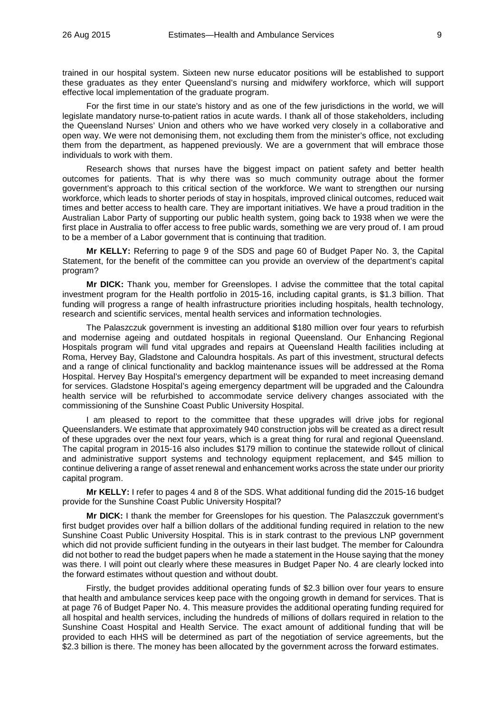trained in our hospital system. Sixteen new nurse educator positions will be established to support these graduates as they enter Queensland's nursing and midwifery workforce, which will support effective local implementation of the graduate program.

For the first time in our state's history and as one of the few jurisdictions in the world, we will legislate mandatory nurse-to-patient ratios in acute wards. I thank all of those stakeholders, including the Queensland Nurses' Union and others who we have worked very closely in a collaborative and open way. We were not demonising them, not excluding them from the minister's office, not excluding them from the department, as happened previously. We are a government that will embrace those individuals to work with them.

Research shows that nurses have the biggest impact on patient safety and better health outcomes for patients. That is why there was so much community outrage about the former government's approach to this critical section of the workforce. We want to strengthen our nursing workforce, which leads to shorter periods of stay in hospitals, improved clinical outcomes, reduced wait times and better access to health care. They are important initiatives. We have a proud tradition in the Australian Labor Party of supporting our public health system, going back to 1938 when we were the first place in Australia to offer access to free public wards, something we are very proud of. I am proud to be a member of a Labor government that is continuing that tradition.

**Mr KELLY:** Referring to page 9 of the SDS and page 60 of Budget Paper No. 3, the Capital Statement, for the benefit of the committee can you provide an overview of the department's capital program?

**Mr DICK:** Thank you, member for Greenslopes. I advise the committee that the total capital investment program for the Health portfolio in 2015-16, including capital grants, is \$1.3 billion. That funding will progress a range of health infrastructure priorities including hospitals, health technology, research and scientific services, mental health services and information technologies.

The Palaszczuk government is investing an additional \$180 million over four years to refurbish and modernise ageing and outdated hospitals in regional Queensland. Our Enhancing Regional Hospitals program will fund vital upgrades and repairs at Queensland Health facilities including at Roma, Hervey Bay, Gladstone and Caloundra hospitals. As part of this investment, structural defects and a range of clinical functionality and backlog maintenance issues will be addressed at the Roma Hospital. Hervey Bay Hospital's emergency department will be expanded to meet increasing demand for services. Gladstone Hospital's ageing emergency department will be upgraded and the Caloundra health service will be refurbished to accommodate service delivery changes associated with the commissioning of the Sunshine Coast Public University Hospital.

I am pleased to report to the committee that these upgrades will drive jobs for regional Queenslanders. We estimate that approximately 940 construction jobs will be created as a direct result of these upgrades over the next four years, which is a great thing for rural and regional Queensland. The capital program in 2015-16 also includes \$179 million to continue the statewide rollout of clinical and administrative support systems and technology equipment replacement, and \$45 million to continue delivering a range of asset renewal and enhancement works across the state under our priority capital program.

**Mr KELLY:** I refer to pages 4 and 8 of the SDS. What additional funding did the 2015-16 budget provide for the Sunshine Coast Public University Hospital?

**Mr DICK:** I thank the member for Greenslopes for his question. The Palaszczuk government's first budget provides over half a billion dollars of the additional funding required in relation to the new Sunshine Coast Public University Hospital. This is in stark contrast to the previous LNP government which did not provide sufficient funding in the outyears in their last budget. The member for Caloundra did not bother to read the budget papers when he made a statement in the House saying that the money was there. I will point out clearly where these measures in Budget Paper No. 4 are clearly locked into the forward estimates without question and without doubt.

Firstly, the budget provides additional operating funds of \$2.3 billion over four years to ensure that health and ambulance services keep pace with the ongoing growth in demand for services. That is at page 76 of Budget Paper No. 4. This measure provides the additional operating funding required for all hospital and health services, including the hundreds of millions of dollars required in relation to the Sunshine Coast Hospital and Health Service. The exact amount of additional funding that will be provided to each HHS will be determined as part of the negotiation of service agreements, but the \$2.3 billion is there. The money has been allocated by the government across the forward estimates.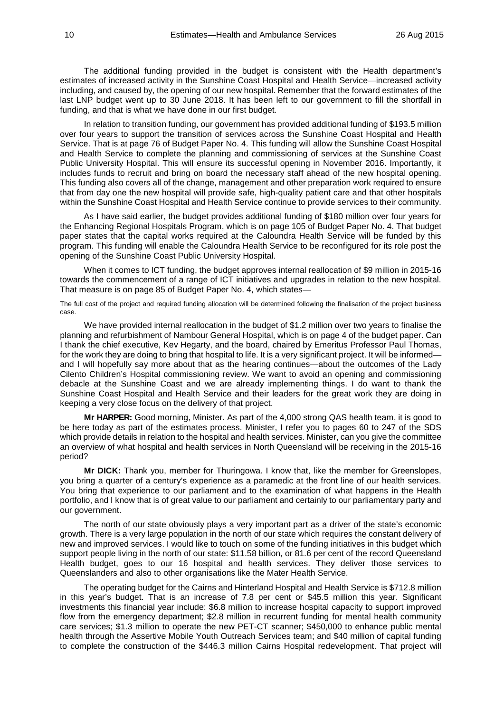The additional funding provided in the budget is consistent with the Health department's estimates of increased activity in the Sunshine Coast Hospital and Health Service—increased activity including, and caused by, the opening of our new hospital. Remember that the forward estimates of the last LNP budget went up to 30 June 2018. It has been left to our government to fill the shortfall in funding, and that is what we have done in our first budget.

In relation to transition funding, our government has provided additional funding of \$193.5 million over four years to support the transition of services across the Sunshine Coast Hospital and Health Service. That is at page 76 of Budget Paper No. 4. This funding will allow the Sunshine Coast Hospital and Health Service to complete the planning and commissioning of services at the Sunshine Coast Public University Hospital. This will ensure its successful opening in November 2016. Importantly, it includes funds to recruit and bring on board the necessary staff ahead of the new hospital opening. This funding also covers all of the change, management and other preparation work required to ensure that from day one the new hospital will provide safe, high-quality patient care and that other hospitals within the Sunshine Coast Hospital and Health Service continue to provide services to their community.

As I have said earlier, the budget provides additional funding of \$180 million over four years for the Enhancing Regional Hospitals Program, which is on page 105 of Budget Paper No. 4. That budget paper states that the capital works required at the Caloundra Health Service will be funded by this program. This funding will enable the Caloundra Health Service to be reconfigured for its role post the opening of the Sunshine Coast Public University Hospital.

When it comes to ICT funding, the budget approves internal reallocation of \$9 million in 2015-16 towards the commencement of a range of ICT initiatives and upgrades in relation to the new hospital. That measure is on page 85 of Budget Paper No. 4, which states—

The full cost of the project and required funding allocation will be determined following the finalisation of the project business case.

We have provided internal reallocation in the budget of \$1.2 million over two years to finalise the planning and refurbishment of Nambour General Hospital, which is on page 4 of the budget paper. Can I thank the chief executive, Kev Hegarty, and the board, chaired by Emeritus Professor Paul Thomas, for the work they are doing to bring that hospital to life. It is a very significant project. It will be informed and I will hopefully say more about that as the hearing continues—about the outcomes of the Lady Cilento Children's Hospital commissioning review. We want to avoid an opening and commissioning debacle at the Sunshine Coast and we are already implementing things. I do want to thank the Sunshine Coast Hospital and Health Service and their leaders for the great work they are doing in keeping a very close focus on the delivery of that project.

**Mr HARPER:** Good morning, Minister. As part of the 4,000 strong QAS health team, it is good to be here today as part of the estimates process. Minister, I refer you to pages 60 to 247 of the SDS which provide details in relation to the hospital and health services. Minister, can you give the committee an overview of what hospital and health services in North Queensland will be receiving in the 2015-16 period?

**Mr DICK:** Thank you, member for Thuringowa. I know that, like the member for Greenslopes, you bring a quarter of a century's experience as a paramedic at the front line of our health services. You bring that experience to our parliament and to the examination of what happens in the Health portfolio, and I know that is of great value to our parliament and certainly to our parliamentary party and our government.

The north of our state obviously plays a very important part as a driver of the state's economic growth. There is a very large population in the north of our state which requires the constant delivery of new and improved services. I would like to touch on some of the funding initiatives in this budget which support people living in the north of our state: \$11.58 billion, or 81.6 per cent of the record Queensland Health budget, goes to our 16 hospital and health services. They deliver those services to Queenslanders and also to other organisations like the Mater Health Service.

The operating budget for the Cairns and Hinterland Hospital and Health Service is \$712.8 million in this year's budget. That is an increase of 7.8 per cent or \$45.5 million this year. Significant investments this financial year include: \$6.8 million to increase hospital capacity to support improved flow from the emergency department; \$2.8 million in recurrent funding for mental health community care services; \$1.3 million to operate the new PET-CT scanner; \$450,000 to enhance public mental health through the Assertive Mobile Youth Outreach Services team; and \$40 million of capital funding to complete the construction of the \$446.3 million Cairns Hospital redevelopment. That project will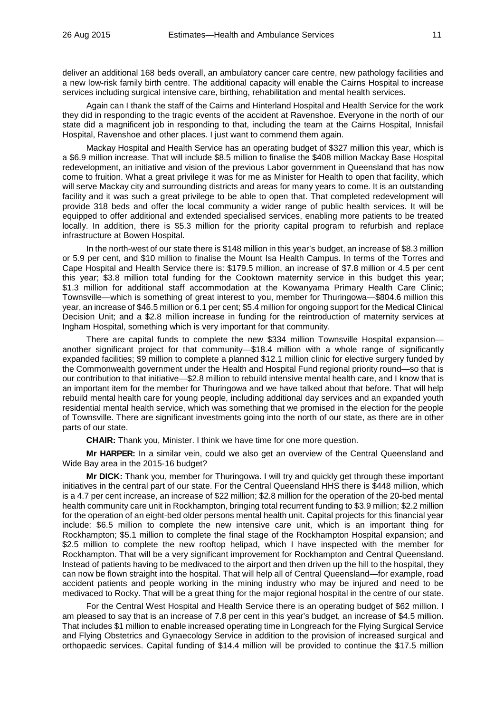deliver an additional 168 beds overall, an ambulatory cancer care centre, new pathology facilities and a new low-risk family birth centre. The additional capacity will enable the Cairns Hospital to increase services including surgical intensive care, birthing, rehabilitation and mental health services.

Again can I thank the staff of the Cairns and Hinterland Hospital and Health Service for the work they did in responding to the tragic events of the accident at Ravenshoe. Everyone in the north of our state did a magnificent job in responding to that, including the team at the Cairns Hospital, Innisfail Hospital, Ravenshoe and other places. I just want to commend them again.

Mackay Hospital and Health Service has an operating budget of \$327 million this year, which is a \$6.9 million increase. That will include \$8.5 million to finalise the \$408 million Mackay Base Hospital redevelopment, an initiative and vision of the previous Labor government in Queensland that has now come to fruition. What a great privilege it was for me as Minister for Health to open that facility, which will serve Mackay city and surrounding districts and areas for many years to come. It is an outstanding facility and it was such a great privilege to be able to open that. That completed redevelopment will provide 318 beds and offer the local community a wider range of public health services. It will be equipped to offer additional and extended specialised services, enabling more patients to be treated locally. In addition, there is \$5.3 million for the priority capital program to refurbish and replace infrastructure at Bowen Hospital.

In the north-west of our state there is \$148 million in this year's budget, an increase of \$8.3 million or 5.9 per cent, and \$10 million to finalise the Mount Isa Health Campus. In terms of the Torres and Cape Hospital and Health Service there is: \$179.5 million, an increase of \$7.8 million or 4.5 per cent this year; \$3.8 million total funding for the Cooktown maternity service in this budget this year; \$1.3 million for additional staff accommodation at the Kowanyama Primary Health Care Clinic; Townsville—which is something of great interest to you, member for Thuringowa—\$804.6 million this year, an increase of \$46.5 million or 6.1 per cent; \$5.4 million for ongoing support for the Medical Clinical Decision Unit; and a \$2.8 million increase in funding for the reintroduction of maternity services at Ingham Hospital, something which is very important for that community.

There are capital funds to complete the new \$334 million Townsville Hospital expansion another significant project for that community—\$18.4 million with a whole range of significantly expanded facilities; \$9 million to complete a planned \$12.1 million clinic for elective surgery funded by the Commonwealth government under the Health and Hospital Fund regional priority round—so that is our contribution to that initiative—\$2.8 million to rebuild intensive mental health care, and I know that is an important item for the member for Thuringowa and we have talked about that before. That will help rebuild mental health care for young people, including additional day services and an expanded youth residential mental health service, which was something that we promised in the election for the people of Townsville. There are significant investments going into the north of our state, as there are in other parts of our state.

**CHAIR:** Thank you, Minister. I think we have time for one more question.

**Mr HARPER:** In a similar vein, could we also get an overview of the Central Queensland and Wide Bay area in the 2015-16 budget?

**Mr DICK:** Thank you, member for Thuringowa. I will try and quickly get through these important initiatives in the central part of our state. For the Central Queensland HHS there is \$448 million, which is a 4.7 per cent increase, an increase of \$22 million; \$2.8 million for the operation of the 20-bed mental health community care unit in Rockhampton, bringing total recurrent funding to \$3.9 million; \$2.2 million for the operation of an eight-bed older persons mental health unit. Capital projects for this financial year include: \$6.5 million to complete the new intensive care unit, which is an important thing for Rockhampton; \$5.1 million to complete the final stage of the Rockhampton Hospital expansion; and \$2.5 million to complete the new rooftop helipad, which I have inspected with the member for Rockhampton. That will be a very significant improvement for Rockhampton and Central Queensland. Instead of patients having to be medivaced to the airport and then driven up the hill to the hospital, they can now be flown straight into the hospital. That will help all of Central Queensland—for example, road accident patients and people working in the mining industry who may be injured and need to be medivaced to Rocky. That will be a great thing for the major regional hospital in the centre of our state.

For the Central West Hospital and Health Service there is an operating budget of \$62 million. I am pleased to say that is an increase of 7.8 per cent in this year's budget, an increase of \$4.5 million. That includes \$1 million to enable increased operating time in Longreach for the Flying Surgical Service and Flying Obstetrics and Gynaecology Service in addition to the provision of increased surgical and orthopaedic services. Capital funding of \$14.4 million will be provided to continue the \$17.5 million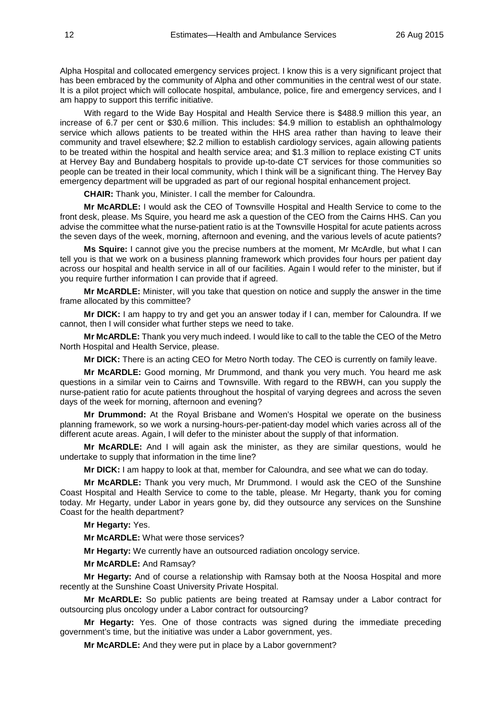Alpha Hospital and collocated emergency services project. I know this is a very significant project that has been embraced by the community of Alpha and other communities in the central west of our state. It is a pilot project which will collocate hospital, ambulance, police, fire and emergency services, and I am happy to support this terrific initiative.

With regard to the Wide Bay Hospital and Health Service there is \$488.9 million this year, an increase of 6.7 per cent or \$30.6 million. This includes: \$4.9 million to establish an ophthalmology service which allows patients to be treated within the HHS area rather than having to leave their community and travel elsewhere; \$2.2 million to establish cardiology services, again allowing patients to be treated within the hospital and health service area; and \$1.3 million to replace existing CT units at Hervey Bay and Bundaberg hospitals to provide up-to-date CT services for those communities so people can be treated in their local community, which I think will be a significant thing. The Hervey Bay emergency department will be upgraded as part of our regional hospital enhancement project.

**CHAIR:** Thank you, Minister. I call the member for Caloundra.

**Mr McARDLE:** I would ask the CEO of Townsville Hospital and Health Service to come to the front desk, please. Ms Squire, you heard me ask a question of the CEO from the Cairns HHS. Can you advise the committee what the nurse-patient ratio is at the Townsville Hospital for acute patients across the seven days of the week, morning, afternoon and evening, and the various levels of acute patients?

**Ms Squire:** I cannot give you the precise numbers at the moment, Mr McArdle, but what I can tell you is that we work on a business planning framework which provides four hours per patient day across our hospital and health service in all of our facilities. Again I would refer to the minister, but if you require further information I can provide that if agreed.

**Mr McARDLE:** Minister, will you take that question on notice and supply the answer in the time frame allocated by this committee?

**Mr DICK:** I am happy to try and get you an answer today if I can, member for Caloundra. If we cannot, then I will consider what further steps we need to take.

**Mr McARDLE:** Thank you very much indeed. I would like to call to the table the CEO of the Metro North Hospital and Health Service, please.

**Mr DICK:** There is an acting CEO for Metro North today. The CEO is currently on family leave.

**Mr McARDLE:** Good morning, Mr Drummond, and thank you very much. You heard me ask questions in a similar vein to Cairns and Townsville. With regard to the RBWH, can you supply the nurse-patient ratio for acute patients throughout the hospital of varying degrees and across the seven days of the week for morning, afternoon and evening?

**Mr Drummond:** At the Royal Brisbane and Women's Hospital we operate on the business planning framework, so we work a nursing-hours-per-patient-day model which varies across all of the different acute areas. Again, I will defer to the minister about the supply of that information.

**Mr McARDLE:** And I will again ask the minister, as they are similar questions, would he undertake to supply that information in the time line?

**Mr DICK:** I am happy to look at that, member for Caloundra, and see what we can do today.

**Mr McARDLE:** Thank you very much, Mr Drummond. I would ask the CEO of the Sunshine Coast Hospital and Health Service to come to the table, please. Mr Hegarty, thank you for coming today. Mr Hegarty, under Labor in years gone by, did they outsource any services on the Sunshine Coast for the health department?

**Mr Hegarty:** Yes.

**Mr McARDLE:** What were those services?

**Mr Hegarty:** We currently have an outsourced radiation oncology service.

**Mr McARDLE:** And Ramsay?

**Mr Hegarty:** And of course a relationship with Ramsay both at the Noosa Hospital and more recently at the Sunshine Coast University Private Hospital.

**Mr McARDLE:** So public patients are being treated at Ramsay under a Labor contract for outsourcing plus oncology under a Labor contract for outsourcing?

**Mr Hegarty:** Yes. One of those contracts was signed during the immediate preceding government's time, but the initiative was under a Labor government, yes.

**Mr McARDLE:** And they were put in place by a Labor government?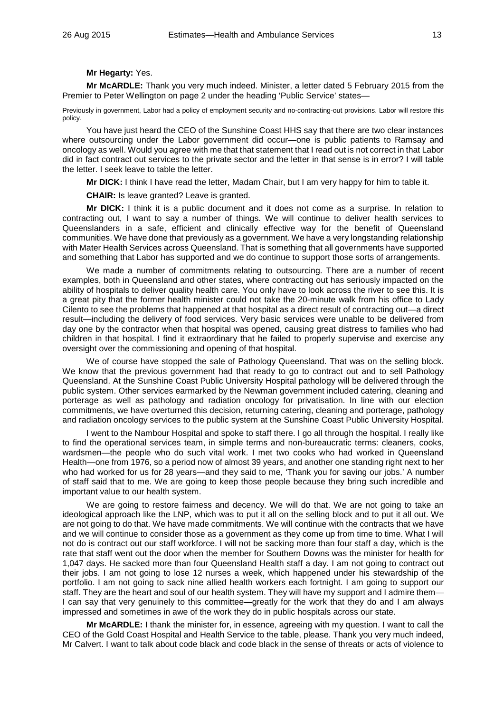#### **Mr Hegarty:** Yes.

**Mr McARDLE:** Thank you very much indeed. Minister, a letter dated 5 February 2015 from the Premier to Peter Wellington on page 2 under the heading 'Public Service' states—

Previously in government, Labor had a policy of employment security and no-contracting-out provisions. Labor will restore this policy.

You have just heard the CEO of the Sunshine Coast HHS say that there are two clear instances where outsourcing under the Labor government did occur—one is public patients to Ramsay and oncology as well. Would you agree with me that that statement that I read out is not correct in that Labor did in fact contract out services to the private sector and the letter in that sense is in error? I will table the letter. I seek leave to table the letter.

**Mr DICK:** I think I have read the letter, Madam Chair, but I am very happy for him to table it.

**CHAIR:** Is leave granted? Leave is granted.

**Mr DICK:** I think it is a public document and it does not come as a surprise. In relation to contracting out, I want to say a number of things. We will continue to deliver health services to Queenslanders in a safe, efficient and clinically effective way for the benefit of Queensland communities. We have done that previously as a government. We have a very longstanding relationship with Mater Health Services across Queensland. That is something that all governments have supported and something that Labor has supported and we do continue to support those sorts of arrangements.

We made a number of commitments relating to outsourcing. There are a number of recent examples, both in Queensland and other states, where contracting out has seriously impacted on the ability of hospitals to deliver quality health care. You only have to look across the river to see this. It is a great pity that the former health minister could not take the 20-minute walk from his office to Lady Cilento to see the problems that happened at that hospital as a direct result of contracting out—a direct result—including the delivery of food services. Very basic services were unable to be delivered from day one by the contractor when that hospital was opened, causing great distress to families who had children in that hospital. I find it extraordinary that he failed to properly supervise and exercise any oversight over the commissioning and opening of that hospital.

We of course have stopped the sale of Pathology Queensland. That was on the selling block. We know that the previous government had that ready to go to contract out and to sell Pathology Queensland. At the Sunshine Coast Public University Hospital pathology will be delivered through the public system. Other services earmarked by the Newman government included catering, cleaning and porterage as well as pathology and radiation oncology for privatisation. In line with our election commitments, we have overturned this decision, returning catering, cleaning and porterage, pathology and radiation oncology services to the public system at the Sunshine Coast Public University Hospital.

I went to the Nambour Hospital and spoke to staff there. I go all through the hospital. I really like to find the operational services team, in simple terms and non-bureaucratic terms: cleaners, cooks, wardsmen—the people who do such vital work. I met two cooks who had worked in Queensland Health—one from 1976, so a period now of almost 39 years, and another one standing right next to her who had worked for us for 28 years—and they said to me, 'Thank you for saving our jobs.' A number of staff said that to me. We are going to keep those people because they bring such incredible and important value to our health system.

We are going to restore fairness and decency. We will do that. We are not going to take an ideological approach like the LNP, which was to put it all on the selling block and to put it all out. We are not going to do that. We have made commitments. We will continue with the contracts that we have and we will continue to consider those as a government as they come up from time to time. What I will not do is contract out our staff workforce. I will not be sacking more than four staff a day, which is the rate that staff went out the door when the member for Southern Downs was the minister for health for 1,047 days. He sacked more than four Queensland Health staff a day. I am not going to contract out their jobs. I am not going to lose 12 nurses a week, which happened under his stewardship of the portfolio. I am not going to sack nine allied health workers each fortnight. I am going to support our staff. They are the heart and soul of our health system. They will have my support and I admire them— I can say that very genuinely to this committee—greatly for the work that they do and I am always impressed and sometimes in awe of the work they do in public hospitals across our state.

**Mr McARDLE:** I thank the minister for, in essence, agreeing with my question. I want to call the CEO of the Gold Coast Hospital and Health Service to the table, please. Thank you very much indeed, Mr Calvert. I want to talk about code black and code black in the sense of threats or acts of violence to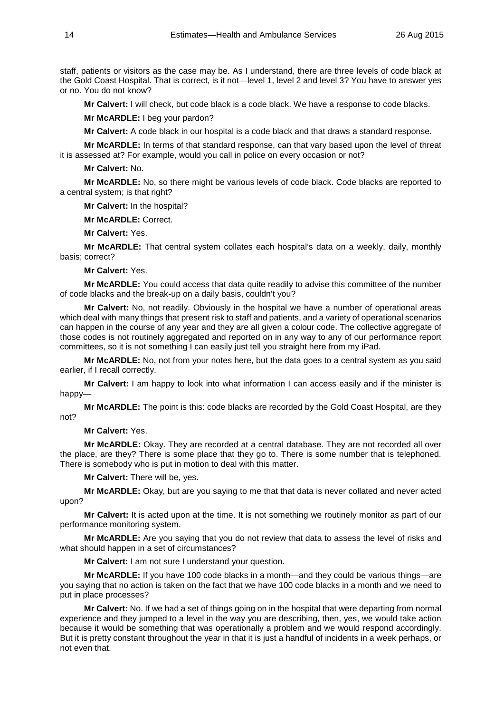staff, patients or visitors as the case may be. As I understand, there are three levels of code black at the Gold Coast Hospital. That is correct, is it not—level 1, level 2 and level 3? You have to answer yes or no. You do not know?

**Mr Calvert:** I will check, but code black is a code black. We have a response to code blacks.

**Mr McARDLE:** I beg your pardon?

**Mr Calvert:** A code black in our hospital is a code black and that draws a standard response.

**Mr McARDLE:** In terms of that standard response, can that vary based upon the level of threat it is assessed at? For example, would you call in police on every occasion or not?

**Mr Calvert:** No.

**Mr McARDLE:** No, so there might be various levels of code black. Code blacks are reported to a central system; is that right?

**Mr Calvert:** In the hospital?

**Mr McARDLE:** Correct.

**Mr Calvert:** Yes.

**Mr McARDLE:** That central system collates each hospital's data on a weekly, daily, monthly basis; correct?

**Mr Calvert:** Yes.

**Mr McARDLE:** You could access that data quite readily to advise this committee of the number of code blacks and the break-up on a daily basis, couldn't you?

**Mr Calvert:** No, not readily. Obviously in the hospital we have a number of operational areas which deal with many things that present risk to staff and patients, and a variety of operational scenarios can happen in the course of any year and they are all given a colour code. The collective aggregate of those codes is not routinely aggregated and reported on in any way to any of our performance report committees, so it is not something I can easily just tell you straight here from my iPad.

**Mr McARDLE:** No, not from your notes here, but the data goes to a central system as you said earlier, if I recall correctly.

**Mr Calvert:** I am happy to look into what information I can access easily and if the minister is happy—

**Mr McARDLE:** The point is this: code blacks are recorded by the Gold Coast Hospital, are they not?

**Mr Calvert:** Yes.

**Mr McARDLE:** Okay. They are recorded at a central database. They are not recorded all over the place, are they? There is some place that they go to. There is some number that is telephoned. There is somebody who is put in motion to deal with this matter.

**Mr Calvert:** There will be, yes.

**Mr McARDLE:** Okay, but are you saying to me that that data is never collated and never acted upon?

**Mr Calvert:** It is acted upon at the time. It is not something we routinely monitor as part of our performance monitoring system.

**Mr McARDLE:** Are you saying that you do not review that data to assess the level of risks and what should happen in a set of circumstances?

**Mr Calvert:** I am not sure I understand your question.

**Mr McARDLE:** If you have 100 code blacks in a month—and they could be various things—are you saying that no action is taken on the fact that we have 100 code blacks in a month and we need to put in place processes?

**Mr Calvert:** No. If we had a set of things going on in the hospital that were departing from normal experience and they jumped to a level in the way you are describing, then, yes, we would take action because it would be something that was operationally a problem and we would respond accordingly. But it is pretty constant throughout the year in that it is just a handful of incidents in a week perhaps, or not even that.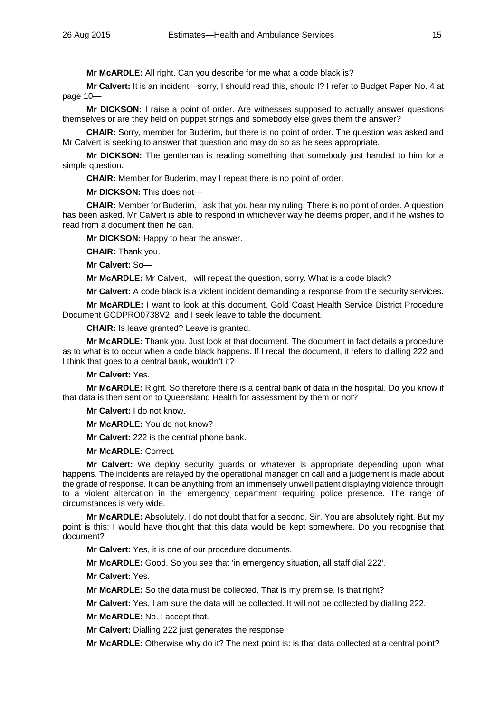**Mr McARDLE:** All right. Can you describe for me what a code black is?

**Mr Calvert:** It is an incident—sorry, I should read this, should I? I refer to Budget Paper No. 4 at page 10—

**Mr DICKSON:** I raise a point of order. Are witnesses supposed to actually answer questions themselves or are they held on puppet strings and somebody else gives them the answer?

**CHAIR:** Sorry, member for Buderim, but there is no point of order. The question was asked and Mr Calvert is seeking to answer that question and may do so as he sees appropriate.

**Mr DICKSON:** The gentleman is reading something that somebody just handed to him for a simple question.

**CHAIR:** Member for Buderim, may I repeat there is no point of order.

**Mr DICKSON:** This does not—

**CHAIR:** Member for Buderim, I ask that you hear my ruling. There is no point of order. A question has been asked. Mr Calvert is able to respond in whichever way he deems proper, and if he wishes to read from a document then he can.

**Mr DICKSON:** Happy to hear the answer.

**CHAIR:** Thank you.

**Mr Calvert:** So—

**Mr McARDLE:** Mr Calvert, I will repeat the question, sorry. What is a code black?

**Mr Calvert:** A code black is a violent incident demanding a response from the security services.

**Mr McARDLE:** I want to look at this document, Gold Coast Health Service District Procedure Document GCDPRO0738V2, and I seek leave to table the document.

**CHAIR:** Is leave granted? Leave is granted.

**Mr McARDLE:** Thank you. Just look at that document. The document in fact details a procedure as to what is to occur when a code black happens. If I recall the document, it refers to dialling 222 and I think that goes to a central bank, wouldn't it?

**Mr Calvert:** Yes.

**Mr McARDLE:** Right. So therefore there is a central bank of data in the hospital. Do you know if that data is then sent on to Queensland Health for assessment by them or not?

**Mr Calvert:** I do not know.

**Mr McARDLE:** You do not know?

**Mr Calvert:** 222 is the central phone bank.

**Mr McARDLE:** Correct.

**Mr Calvert:** We deploy security guards or whatever is appropriate depending upon what happens. The incidents are relayed by the operational manager on call and a judgement is made about the grade of response. It can be anything from an immensely unwell patient displaying violence through to a violent altercation in the emergency department requiring police presence. The range of circumstances is very wide.

**Mr McARDLE:** Absolutely. I do not doubt that for a second, Sir. You are absolutely right. But my point is this: I would have thought that this data would be kept somewhere. Do you recognise that document?

**Mr Calvert:** Yes, it is one of our procedure documents.

**Mr McARDLE:** Good. So you see that 'in emergency situation, all staff dial 222'.

**Mr Calvert:** Yes.

**Mr McARDLE:** So the data must be collected. That is my premise. Is that right?

**Mr Calvert:** Yes, I am sure the data will be collected. It will not be collected by dialling 222.

**Mr McARDLE:** No. I accept that.

**Mr Calvert:** Dialling 222 just generates the response.

**Mr McARDLE:** Otherwise why do it? The next point is: is that data collected at a central point?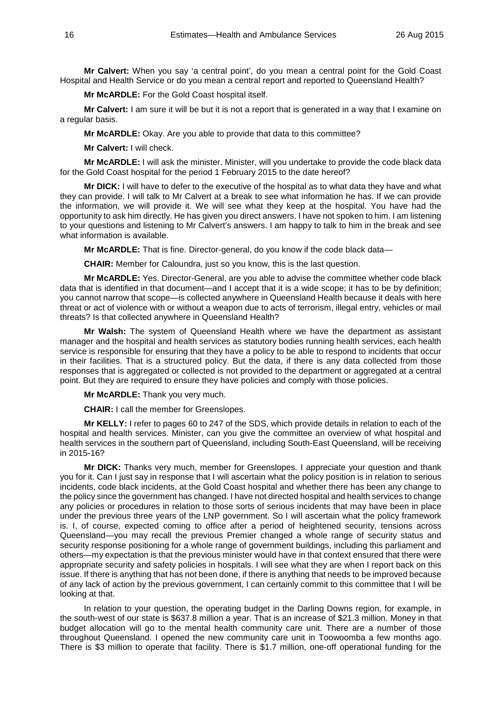**Mr Calvert:** When you say 'a central point', do you mean a central point for the Gold Coast Hospital and Health Service or do you mean a central report and reported to Queensland Health?

**Mr McARDLE:** For the Gold Coast hospital itself.

**Mr Calvert:** I am sure it will be but it is not a report that is generated in a way that I examine on a regular basis.

**Mr McARDLE:** Okay. Are you able to provide that data to this committee?

**Mr Calvert:** I will check.

**Mr McARDLE:** I will ask the minister. Minister, will you undertake to provide the code black data for the Gold Coast hospital for the period 1 February 2015 to the date hereof?

**Mr DICK:** I will have to defer to the executive of the hospital as to what data they have and what they can provide. I will talk to Mr Calvert at a break to see what information he has. If we can provide the information, we will provide it. We will see what they keep at the hospital. You have had the opportunity to ask him directly. He has given you direct answers. I have not spoken to him. I am listening to your questions and listening to Mr Calvert's answers. I am happy to talk to him in the break and see what information is available.

**Mr McARDLE:** That is fine. Director-general, do you know if the code black data—

**CHAIR:** Member for Caloundra, just so you know, this is the last question.

**Mr McARDLE:** Yes. Director-General, are you able to advise the committee whether code black data that is identified in that document—and I accept that it is a wide scope; it has to be by definition; you cannot narrow that scope—is collected anywhere in Queensland Health because it deals with here threat or act of violence with or without a weapon due to acts of terrorism, illegal entry, vehicles or mail threats? Is that collected anywhere in Queensland Health?

**Mr Walsh:** The system of Queensland Health where we have the department as assistant manager and the hospital and health services as statutory bodies running health services, each health service is responsible for ensuring that they have a policy to be able to respond to incidents that occur in their facilities. That is a structured policy. But the data, if there is any data collected from those responses that is aggregated or collected is not provided to the department or aggregated at a central point. But they are required to ensure they have policies and comply with those policies.

**Mr McARDLE:** Thank you very much.

**CHAIR:** I call the member for Greenslopes.

**Mr KELLY:** I refer to pages 60 to 247 of the SDS, which provide details in relation to each of the hospital and health services. Minister, can you give the committee an overview of what hospital and health services in the southern part of Queensland, including South-East Queensland, will be receiving in 2015-16?

**Mr DICK:** Thanks very much, member for Greenslopes. I appreciate your question and thank you for it. Can I just say in response that I will ascertain what the policy position is in relation to serious incidents, code black incidents, at the Gold Coast hospital and whether there has been any change to the policy since the government has changed. I have not directed hospital and health services to change any policies or procedures in relation to those sorts of serious incidents that may have been in place under the previous three years of the LNP government. So I will ascertain what the policy framework is. I, of course, expected coming to office after a period of heightened security, tensions across Queensland—you may recall the previous Premier changed a whole range of security status and security response positioning for a whole range of government buildings, including this parliament and others—my expectation is that the previous minister would have in that context ensured that there were appropriate security and safety policies in hospitals. I will see what they are when I report back on this issue. If there is anything that has not been done, if there is anything that needs to be improved because of any lack of action by the previous government, I can certainly commit to this committee that I will be looking at that.

In relation to your question, the operating budget in the Darling Downs region, for example, in the south-west of our state is \$637.8 million a year. That is an increase of \$21.3 million. Money in that budget allocation will go to the mental health community care unit. There are a number of those throughout Queensland. I opened the new community care unit in Toowoomba a few months ago. There is \$3 million to operate that facility. There is \$1.7 million, one-off operational funding for the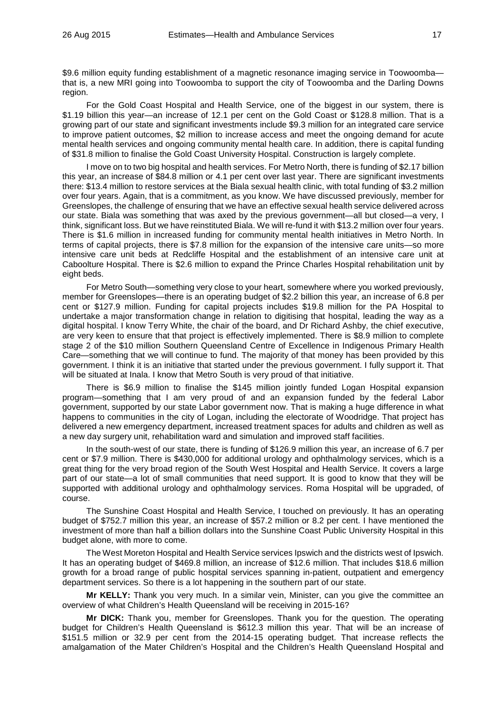\$9.6 million equity funding establishment of a magnetic resonance imaging service in Toowoomba that is, a new MRI going into Toowoomba to support the city of Toowoomba and the Darling Downs region.

For the Gold Coast Hospital and Health Service, one of the biggest in our system, there is \$1.19 billion this year—an increase of 12.1 per cent on the Gold Coast or \$128.8 million. That is a growing part of our state and significant investments include \$9.3 million for an integrated care service to improve patient outcomes, \$2 million to increase access and meet the ongoing demand for acute mental health services and ongoing community mental health care. In addition, there is capital funding of \$31.8 million to finalise the Gold Coast University Hospital. Construction is largely complete.

I move on to two big hospital and health services. For Metro North, there is funding of \$2.17 billion this year, an increase of \$84.8 million or 4.1 per cent over last year. There are significant investments there: \$13.4 million to restore services at the Biala sexual health clinic, with total funding of \$3.2 million over four years. Again, that is a commitment, as you know. We have discussed previously, member for Greenslopes, the challenge of ensuring that we have an effective sexual health service delivered across our state. Biala was something that was axed by the previous government—all but closed—a very, I think, significant loss. But we have reinstituted Biala. We will re-fund it with \$13.2 million over four years. There is \$1.6 million in increased funding for community mental health initiatives in Metro North. In terms of capital projects, there is \$7.8 million for the expansion of the intensive care units—so more intensive care unit beds at Redcliffe Hospital and the establishment of an intensive care unit at Caboolture Hospital. There is \$2.6 million to expand the Prince Charles Hospital rehabilitation unit by eight beds.

For Metro South—something very close to your heart, somewhere where you worked previously, member for Greenslopes—there is an operating budget of \$2.2 billion this year, an increase of 6.8 per cent or \$127.9 million. Funding for capital projects includes \$19.8 million for the PA Hospital to undertake a major transformation change in relation to digitising that hospital, leading the way as a digital hospital. I know Terry White, the chair of the board, and Dr Richard Ashby, the chief executive, are very keen to ensure that that project is effectively implemented. There is \$8.9 million to complete stage 2 of the \$10 million Southern Queensland Centre of Excellence in Indigenous Primary Health Care—something that we will continue to fund. The majority of that money has been provided by this government. I think it is an initiative that started under the previous government. I fully support it. That will be situated at Inala. I know that Metro South is very proud of that initiative.

There is \$6.9 million to finalise the \$145 million jointly funded Logan Hospital expansion program—something that I am very proud of and an expansion funded by the federal Labor government, supported by our state Labor government now. That is making a huge difference in what happens to communities in the city of Logan, including the electorate of Woodridge. That project has delivered a new emergency department, increased treatment spaces for adults and children as well as a new day surgery unit, rehabilitation ward and simulation and improved staff facilities.

In the south-west of our state, there is funding of \$126.9 million this year, an increase of 6.7 per cent or \$7.9 million. There is \$430,000 for additional urology and ophthalmology services, which is a great thing for the very broad region of the South West Hospital and Health Service. It covers a large part of our state—a lot of small communities that need support. It is good to know that they will be supported with additional urology and ophthalmology services. Roma Hospital will be upgraded, of course.

The Sunshine Coast Hospital and Health Service, I touched on previously. It has an operating budget of \$752.7 million this year, an increase of \$57.2 million or 8.2 per cent. I have mentioned the investment of more than half a billion dollars into the Sunshine Coast Public University Hospital in this budget alone, with more to come.

The West Moreton Hospital and Health Service services Ipswich and the districts west of Ipswich. It has an operating budget of \$469.8 million, an increase of \$12.6 million. That includes \$18.6 million growth for a broad range of public hospital services spanning in-patient, outpatient and emergency department services. So there is a lot happening in the southern part of our state.

**Mr KELLY:** Thank you very much. In a similar vein, Minister, can you give the committee an overview of what Children's Health Queensland will be receiving in 2015-16?

**Mr DICK:** Thank you, member for Greenslopes. Thank you for the question. The operating budget for Children's Health Queensland is \$612.3 million this year. That will be an increase of \$151.5 million or 32.9 per cent from the 2014-15 operating budget. That increase reflects the amalgamation of the Mater Children's Hospital and the Children's Health Queensland Hospital and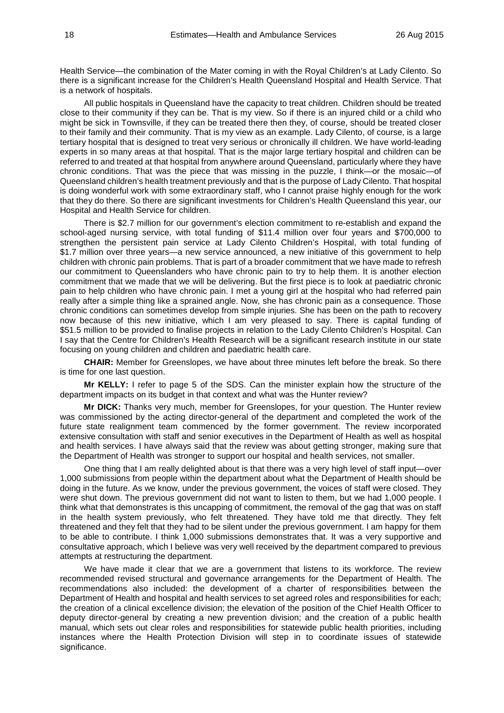Health Service—the combination of the Mater coming in with the Royal Children's at Lady Cilento. So there is a significant increase for the Children's Health Queensland Hospital and Health Service. That is a network of hospitals.

All public hospitals in Queensland have the capacity to treat children. Children should be treated close to their community if they can be. That is my view. So if there is an injured child or a child who might be sick in Townsville, if they can be treated there then they, of course, should be treated closer to their family and their community. That is my view as an example. Lady Cilento, of course, is a large tertiary hospital that is designed to treat very serious or chronically ill children. We have world-leading experts in so many areas at that hospital. That is the major large tertiary hospital and children can be referred to and treated at that hospital from anywhere around Queensland, particularly where they have chronic conditions. That was the piece that was missing in the puzzle, I think—or the mosaic—of Queensland children's health treatment previously and that is the purpose of Lady Cilento. That hospital is doing wonderful work with some extraordinary staff, who I cannot praise highly enough for the work that they do there. So there are significant investments for Children's Health Queensland this year, our Hospital and Health Service for children.

There is \$2.7 million for our government's election commitment to re-establish and expand the school-aged nursing service, with total funding of \$11.4 million over four years and \$700,000 to strengthen the persistent pain service at Lady Cilento Children's Hospital, with total funding of \$1.7 million over three years—a new service announced, a new initiative of this government to help children with chronic pain problems. That is part of a broader commitment that we have made to refresh our commitment to Queenslanders who have chronic pain to try to help them. It is another election commitment that we made that we will be delivering. But the first piece is to look at paediatric chronic pain to help children who have chronic pain. I met a young girl at the hospital who had referred pain really after a simple thing like a sprained angle. Now, she has chronic pain as a consequence. Those chronic conditions can sometimes develop from simple injuries. She has been on the path to recovery now because of this new initiative, which I am very pleased to say. There is capital funding of \$51.5 million to be provided to finalise projects in relation to the Lady Cilento Children's Hospital. Can I say that the Centre for Children's Health Research will be a significant research institute in our state focusing on young children and children and paediatric health care.

**CHAIR:** Member for Greenslopes, we have about three minutes left before the break. So there is time for one last question.

**Mr KELLY:** I refer to page 5 of the SDS. Can the minister explain how the structure of the department impacts on its budget in that context and what was the Hunter review?

**Mr DICK:** Thanks very much, member for Greenslopes, for your question. The Hunter review was commissioned by the acting director-general of the department and completed the work of the future state realignment team commenced by the former government. The review incorporated extensive consultation with staff and senior executives in the Department of Health as well as hospital and health services. I have always said that the review was about getting stronger, making sure that the Department of Health was stronger to support our hospital and health services, not smaller.

One thing that I am really delighted about is that there was a very high level of staff input—over 1,000 submissions from people within the department about what the Department of Health should be doing in the future. As we know, under the previous government, the voices of staff were closed. They were shut down. The previous government did not want to listen to them, but we had 1,000 people. I think what that demonstrates is this uncapping of commitment, the removal of the gag that was on staff in the health system previously, who felt threatened. They have told me that directly. They felt threatened and they felt that they had to be silent under the previous government. I am happy for them to be able to contribute. I think 1,000 submissions demonstrates that. It was a very supportive and consultative approach, which I believe was very well received by the department compared to previous attempts at restructuring the department.

We have made it clear that we are a government that listens to its workforce. The review recommended revised structural and governance arrangements for the Department of Health. The recommendations also included: the development of a charter of responsibilities between the Department of Health and hospital and health services to set agreed roles and responsibilities for each; the creation of a clinical excellence division; the elevation of the position of the Chief Health Officer to deputy director-general by creating a new prevention division; and the creation of a public health manual, which sets out clear roles and responsibilities for statewide public health priorities, including instances where the Health Protection Division will step in to coordinate issues of statewide significance.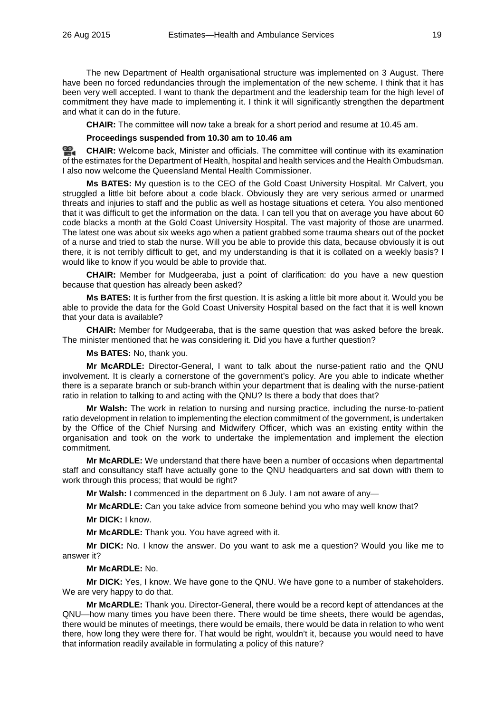The new Department of Health organisational structure was implemented on 3 August. There have been no forced redundancies through the implementation of the new scheme. I think that it has been very well accepted. I want to thank the department and the leadership team for the high level of commitment they have made to implementing it. I think it will significantly strengthen the department and what it can do in the future.

**CHAIR:** The committee will now take a break for a short period and resume at 10.45 am.

#### **Proceedings suspended from 10.30 am to 10.46 am**

**[CHAIR:](http://www.parliament.qld.gov.au/docs/find.aspx?id=0Mba20150826_104655)** Welcome back, Minister and officials. The committee will continue with its examination of the estimates for the Department of Health, hospital and health services and the Health Ombudsman. I also now welcome the Queensland Mental Health Commissioner.

**Ms BATES:** My question is to the CEO of the Gold Coast University Hospital. Mr Calvert, you struggled a little bit before about a code black. Obviously they are very serious armed or unarmed threats and injuries to staff and the public as well as hostage situations et cetera. You also mentioned that it was difficult to get the information on the data. I can tell you that on average you have about 60 code blacks a month at the Gold Coast University Hospital. The vast majority of those are unarmed. The latest one was about six weeks ago when a patient grabbed some trauma shears out of the pocket of a nurse and tried to stab the nurse. Will you be able to provide this data, because obviously it is out there, it is not terribly difficult to get, and my understanding is that it is collated on a weekly basis? I would like to know if you would be able to provide that.

**CHAIR:** Member for Mudgeeraba, just a point of clarification: do you have a new question because that question has already been asked?

**Ms BATES:** It is further from the first question. It is asking a little bit more about it. Would you be able to provide the data for the Gold Coast University Hospital based on the fact that it is well known that your data is available?

**CHAIR:** Member for Mudgeeraba, that is the same question that was asked before the break. The minister mentioned that he was considering it. Did you have a further question?

**Ms BATES:** No, thank you.

**Mr McARDLE:** Director-General, I want to talk about the nurse-patient ratio and the QNU involvement. It is clearly a cornerstone of the government's policy. Are you able to indicate whether there is a separate branch or sub-branch within your department that is dealing with the nurse-patient ratio in relation to talking to and acting with the QNU? Is there a body that does that?

**Mr Walsh:** The work in relation to nursing and nursing practice, including the nurse-to-patient ratio development in relation to implementing the election commitment of the government, is undertaken by the Office of the Chief Nursing and Midwifery Officer, which was an existing entity within the organisation and took on the work to undertake the implementation and implement the election commitment.

**Mr McARDLE:** We understand that there have been a number of occasions when departmental staff and consultancy staff have actually gone to the QNU headquarters and sat down with them to work through this process; that would be right?

**Mr Walsh:** I commenced in the department on 6 July. I am not aware of any—

**Mr McARDLE:** Can you take advice from someone behind you who may well know that?

**Mr DICK:** I know.

**Mr McARDLE:** Thank you. You have agreed with it.

**Mr DICK:** No. I know the answer. Do you want to ask me a question? Would you like me to answer it?

#### **Mr McARDLE:** No.

**Mr DICK:** Yes, I know. We have gone to the QNU. We have gone to a number of stakeholders. We are very happy to do that.

**Mr McARDLE:** Thank you. Director-General, there would be a record kept of attendances at the QNU—how many times you have been there. There would be time sheets, there would be agendas, there would be minutes of meetings, there would be emails, there would be data in relation to who went there, how long they were there for. That would be right, wouldn't it, because you would need to have that information readily available in formulating a policy of this nature?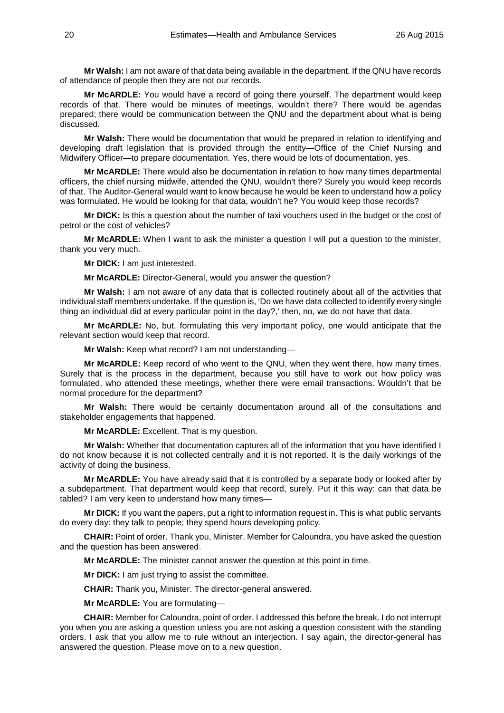**Mr Walsh:** I am not aware of that data being available in the department. If the QNU have records of attendance of people then they are not our records.

**Mr McARDLE:** You would have a record of going there yourself. The department would keep records of that. There would be minutes of meetings, wouldn't there? There would be agendas prepared; there would be communication between the QNU and the department about what is being discussed.

**Mr Walsh:** There would be documentation that would be prepared in relation to identifying and developing draft legislation that is provided through the entity—Office of the Chief Nursing and Midwifery Officer—to prepare documentation. Yes, there would be lots of documentation, yes.

**Mr McARDLE:** There would also be documentation in relation to how many times departmental officers, the chief nursing midwife, attended the QNU, wouldn't there? Surely you would keep records of that. The Auditor-General would want to know because he would be keen to understand how a policy was formulated. He would be looking for that data, wouldn't he? You would keep those records?

**Mr DICK:** Is this a question about the number of taxi vouchers used in the budget or the cost of petrol or the cost of vehicles?

**Mr McARDLE:** When I want to ask the minister a question I will put a question to the minister, thank you very much.

**Mr DICK:** I am just interested.

**Mr McARDLE:** Director-General, would you answer the question?

**Mr Walsh:** I am not aware of any data that is collected routinely about all of the activities that individual staff members undertake. If the question is, 'Do we have data collected to identify every single thing an individual did at every particular point in the day?,' then, no, we do not have that data.

**Mr McARDLE:** No, but, formulating this very important policy, one would anticipate that the relevant section would keep that record.

**Mr Walsh:** Keep what record? I am not understanding—

**Mr McARDLE:** Keep record of who went to the QNU, when they went there, how many times. Surely that is the process in the department, because you still have to work out how policy was formulated, who attended these meetings, whether there were email transactions. Wouldn't that be normal procedure for the department?

**Mr Walsh:** There would be certainly documentation around all of the consultations and stakeholder engagements that happened.

**Mr McARDLE:** Excellent. That is my question.

**Mr Walsh:** Whether that documentation captures all of the information that you have identified I do not know because it is not collected centrally and it is not reported. It is the daily workings of the activity of doing the business.

**Mr McARDLE:** You have already said that it is controlled by a separate body or looked after by a subdepartment. That department would keep that record, surely. Put it this way: can that data be tabled? I am very keen to understand how many times—

**Mr DICK:** If you want the papers, put a right to information request in. This is what public servants do every day: they talk to people; they spend hours developing policy.

**CHAIR:** Point of order. Thank you, Minister. Member for Caloundra, you have asked the question and the question has been answered.

**Mr McARDLE:** The minister cannot answer the question at this point in time.

**Mr DICK:** I am just trying to assist the committee.

**CHAIR:** Thank you, Minister. The director-general answered.

**Mr McARDLE:** You are formulating—

**CHAIR:** Member for Caloundra, point of order. I addressed this before the break. I do not interrupt you when you are asking a question unless you are not asking a question consistent with the standing orders. I ask that you allow me to rule without an interjection. I say again, the director-general has answered the question. Please move on to a new question.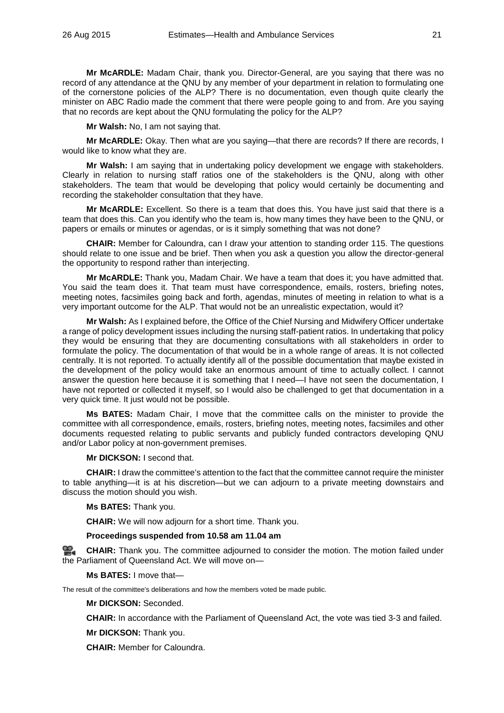**Mr McARDLE:** Madam Chair, thank you. Director-General, are you saying that there was no record of any attendance at the QNU by any member of your department in relation to formulating one of the cornerstone policies of the ALP? There is no documentation, even though quite clearly the minister on ABC Radio made the comment that there were people going to and from. Are you saying that no records are kept about the QNU formulating the policy for the ALP?

**Mr Walsh:** No, I am not saying that.

**Mr McARDLE:** Okay. Then what are you saying—that there are records? If there are records, I would like to know what they are.

**Mr Walsh:** I am saying that in undertaking policy development we engage with stakeholders. Clearly in relation to nursing staff ratios one of the stakeholders is the QNU, along with other stakeholders. The team that would be developing that policy would certainly be documenting and recording the stakeholder consultation that they have.

**Mr McARDLE:** Excellent. So there is a team that does this. You have just said that there is a team that does this. Can you identify who the team is, how many times they have been to the QNU, or papers or emails or minutes or agendas, or is it simply something that was not done?

**CHAIR:** Member for Caloundra, can I draw your attention to standing order 115. The questions should relate to one issue and be brief. Then when you ask a question you allow the director-general the opportunity to respond rather than interjecting.

**Mr McARDLE:** Thank you, Madam Chair. We have a team that does it; you have admitted that. You said the team does it. That team must have correspondence, emails, rosters, briefing notes, meeting notes, facsimiles going back and forth, agendas, minutes of meeting in relation to what is a very important outcome for the ALP. That would not be an unrealistic expectation, would it?

**Mr Walsh:** As I explained before, the Office of the Chief Nursing and Midwifery Officer undertake a range of policy development issues including the nursing staff-patient ratios. In undertaking that policy they would be ensuring that they are documenting consultations with all stakeholders in order to formulate the policy. The documentation of that would be in a whole range of areas. It is not collected centrally. It is not reported. To actually identify all of the possible documentation that maybe existed in the development of the policy would take an enormous amount of time to actually collect. I cannot answer the question here because it is something that I need—I have not seen the documentation, I have not reported or collected it myself, so I would also be challenged to get that documentation in a very quick time. It just would not be possible.

**Ms BATES:** Madam Chair, I move that the committee calls on the minister to provide the committee with all correspondence, emails, rosters, briefing notes, meeting notes, facsimiles and other documents requested relating to public servants and publicly funded contractors developing QNU and/or Labor policy at non-government premises.

**Mr DICKSON:** I second that.

**CHAIR:** I draw the committee's attention to the fact that the committee cannot require the minister to table anything—it is at his discretion—but we can adjourn to a private meeting downstairs and discuss the motion should you wish.

**Ms BATES:** Thank you.

**CHAIR:** We will now adjourn for a short time. Thank you.

#### **Proceedings suspended from 10.58 am 11.04 am**

**[CHAIR:](http://www.parliament.qld.gov.au/docs/find.aspx?id=0Mba20150826_110416)** Thank you. The committee adjourned to consider the motion. The motion failed under the Parliament of Queensland Act. We will move on—

**Ms BATES:** I move that—

The result of the committee's deliberations and how the members voted be made public.

**Mr DICKSON:** Seconded.

**CHAIR:** In accordance with the Parliament of Queensland Act, the vote was tied 3-3 and failed.

**Mr DICKSON:** Thank you.

**CHAIR:** Member for Caloundra.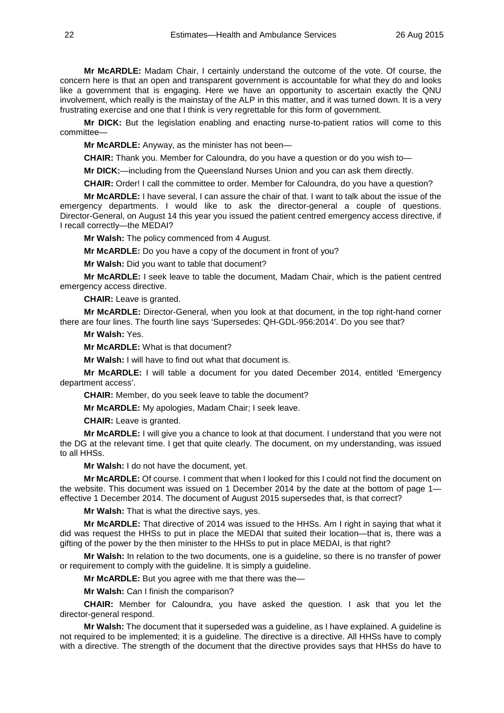**Mr McARDLE:** Madam Chair, I certainly understand the outcome of the vote. Of course, the concern here is that an open and transparent government is accountable for what they do and looks like a government that is engaging. Here we have an opportunity to ascertain exactly the QNU involvement, which really is the mainstay of the ALP in this matter, and it was turned down. It is a very frustrating exercise and one that I think is very regrettable for this form of government.

**Mr DICK:** But the legislation enabling and enacting nurse-to-patient ratios will come to this committee—

**Mr McARDLE:** Anyway, as the minister has not been—

**CHAIR:** Thank you. Member for Caloundra, do you have a question or do you wish to—

**Mr DICK:**—including from the Queensland Nurses Union and you can ask them directly.

**CHAIR:** Order! I call the committee to order. Member for Caloundra, do you have a question?

**Mr McARDLE:** I have several, I can assure the chair of that. I want to talk about the issue of the emergency departments. I would like to ask the director-general a couple of questions. Director-General, on August 14 this year you issued the patient centred emergency access directive, if I recall correctly—the MEDAI?

**Mr Walsh:** The policy commenced from 4 August.

**Mr McARDLE:** Do you have a copy of the document in front of you?

**Mr Walsh:** Did you want to table that document?

**Mr McARDLE:** I seek leave to table the document, Madam Chair, which is the patient centred emergency access directive.

**CHAIR:** Leave is granted.

**Mr McARDLE:** Director-General, when you look at that document, in the top right-hand corner there are four lines. The fourth line says 'Supersedes: QH-GDL-956:2014'. Do you see that?

**Mr Walsh:** Yes.

**Mr McARDLE:** What is that document?

**Mr Walsh:** I will have to find out what that document is.

**Mr McARDLE:** I will table a document for you dated December 2014, entitled 'Emergency department access'.

**CHAIR:** Member, do you seek leave to table the document?

**Mr McARDLE:** My apologies, Madam Chair; I seek leave.

**CHAIR:** Leave is granted.

**Mr McARDLE:** I will give you a chance to look at that document. I understand that you were not the DG at the relevant time. I get that quite clearly. The document, on my understanding, was issued to all HHSs.

**Mr Walsh:** I do not have the document, yet.

**Mr McARDLE:** Of course. I comment that when I looked for this I could not find the document on the website. This document was issued on 1 December 2014 by the date at the bottom of page 1 effective 1 December 2014. The document of August 2015 supersedes that, is that correct?

**Mr Walsh:** That is what the directive says, yes.

**Mr McARDLE:** That directive of 2014 was issued to the HHSs. Am I right in saying that what it did was request the HHSs to put in place the MEDAI that suited their location—that is, there was a gifting of the power by the then minister to the HHSs to put in place MEDAI, is that right?

**Mr Walsh:** In relation to the two documents, one is a guideline, so there is no transfer of power or requirement to comply with the guideline. It is simply a guideline.

**Mr McARDLE:** But you agree with me that there was the—

**Mr Walsh:** Can I finish the comparison?

**CHAIR:** Member for Caloundra, you have asked the question. I ask that you let the director-general respond.

**Mr Walsh:** The document that it superseded was a guideline, as I have explained. A guideline is not required to be implemented; it is a guideline. The directive is a directive. All HHSs have to comply with a directive. The strength of the document that the directive provides says that HHSs do have to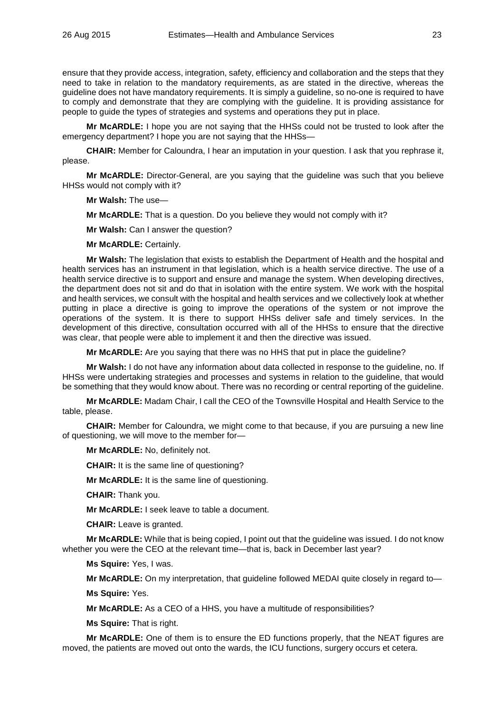ensure that they provide access, integration, safety, efficiency and collaboration and the steps that they need to take in relation to the mandatory requirements, as are stated in the directive, whereas the guideline does not have mandatory requirements. It is simply a guideline, so no-one is required to have to comply and demonstrate that they are complying with the guideline. It is providing assistance for people to guide the types of strategies and systems and operations they put in place.

**Mr McARDLE:** I hope you are not saying that the HHSs could not be trusted to look after the emergency department? I hope you are not saying that the HHSs—

**CHAIR:** Member for Caloundra, I hear an imputation in your question. I ask that you rephrase it, please.

**Mr McARDLE:** Director-General, are you saying that the guideline was such that you believe HHSs would not comply with it?

**Mr Walsh:** The use—

**Mr McARDLE:** That is a question. Do you believe they would not comply with it?

**Mr Walsh:** Can I answer the question?

**Mr McARDLE:** Certainly.

**Mr Walsh:** The legislation that exists to establish the Department of Health and the hospital and health services has an instrument in that legislation, which is a health service directive. The use of a health service directive is to support and ensure and manage the system. When developing directives, the department does not sit and do that in isolation with the entire system. We work with the hospital and health services, we consult with the hospital and health services and we collectively look at whether putting in place a directive is going to improve the operations of the system or not improve the operations of the system. It is there to support HHSs deliver safe and timely services. In the development of this directive, consultation occurred with all of the HHSs to ensure that the directive was clear, that people were able to implement it and then the directive was issued.

**Mr McARDLE:** Are you saying that there was no HHS that put in place the guideline?

**Mr Walsh:** I do not have any information about data collected in response to the guideline, no. If HHSs were undertaking strategies and processes and systems in relation to the guideline, that would be something that they would know about. There was no recording or central reporting of the guideline.

**Mr McARDLE:** Madam Chair, I call the CEO of the Townsville Hospital and Health Service to the table, please.

**CHAIR:** Member for Caloundra, we might come to that because, if you are pursuing a new line of questioning, we will move to the member for—

**Mr McARDLE:** No, definitely not.

**CHAIR:** It is the same line of questioning?

**Mr McARDLE:** It is the same line of questioning.

**CHAIR:** Thank you.

**Mr McARDLE:** I seek leave to table a document.

**CHAIR:** Leave is granted.

**Mr McARDLE:** While that is being copied, I point out that the guideline was issued. I do not know whether you were the CEO at the relevant time—that is, back in December last year?

**Ms Squire:** Yes, I was.

**Mr McARDLE:** On my interpretation, that guideline followed MEDAI quite closely in regard to—

**Ms Squire:** Yes.

**Mr McARDLE:** As a CEO of a HHS, you have a multitude of responsibilities?

**Ms Squire:** That is right.

**Mr McARDLE:** One of them is to ensure the ED functions properly, that the NEAT figures are moved, the patients are moved out onto the wards, the ICU functions, surgery occurs et cetera.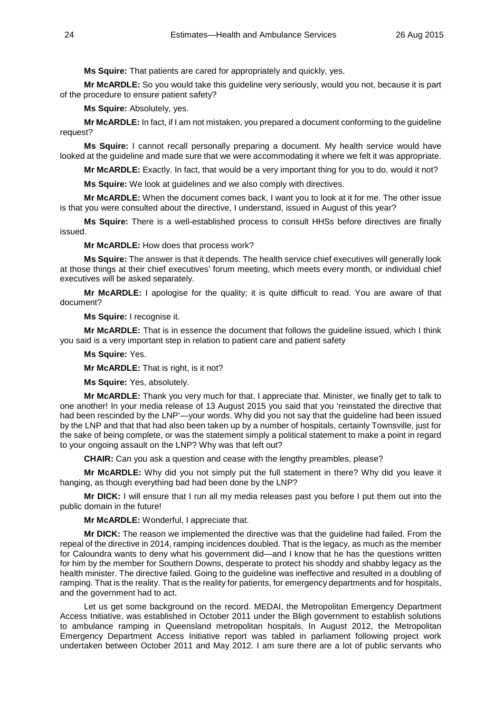**Ms Squire:** That patients are cared for appropriately and quickly, yes.

**Mr McARDLE:** So you would take this guideline very seriously, would you not, because it is part of the procedure to ensure patient safety?

**Ms Squire:** Absolutely, yes.

**Mr McARDLE:** In fact, if I am not mistaken, you prepared a document conforming to the guideline request?

**Ms Squire:** I cannot recall personally preparing a document. My health service would have looked at the guideline and made sure that we were accommodating it where we felt it was appropriate.

**Mr McARDLE:** Exactly. In fact, that would be a very important thing for you to do, would it not?

**Ms Squire:** We look at guidelines and we also comply with directives.

**Mr McARDLE:** When the document comes back, I want you to look at it for me. The other issue is that you were consulted about the directive, I understand, issued in August of this year?

**Ms Squire:** There is a well-established process to consult HHSs before directives are finally issued.

**Mr McARDLE:** How does that process work?

**Ms Squire:** The answer is that it depends. The health service chief executives will generally look at those things at their chief executives' forum meeting, which meets every month, or individual chief executives will be asked separately.

**Mr McARDLE:** I apologise for the quality; it is quite difficult to read. You are aware of that document?

**Ms Squire:** I recognise it.

**Mr McARDLE:** That is in essence the document that follows the guideline issued, which I think you said is a very important step in relation to patient care and patient safety

**Ms Squire:** Yes.

**Mr McARDLE:** That is right, is it not?

**Ms Squire:** Yes, absolutely.

**Mr McARDLE:** Thank you very much for that. I appreciate that. Minister, we finally get to talk to one another! In your media release of 13 August 2015 you said that you 'reinstated the directive that had been rescinded by the LNP'—your words. Why did you not say that the guideline had been issued by the LNP and that that had also been taken up by a number of hospitals, certainly Townsville, just for the sake of being complete, or was the statement simply a political statement to make a point in regard to your ongoing assault on the LNP? Why was that left out?

**CHAIR:** Can you ask a question and cease with the lengthy preambles, please?

**Mr McARDLE:** Why did you not simply put the full statement in there? Why did you leave it hanging, as though everything bad had been done by the LNP?

**Mr DICK:** I will ensure that I run all my media releases past you before I put them out into the public domain in the future!

**Mr McARDLE:** Wonderful, I appreciate that.

**Mr DICK:** The reason we implemented the directive was that the guideline had failed. From the repeal of the directive in 2014, ramping incidences doubled. That is the legacy, as much as the member for Caloundra wants to deny what his government did—and I know that he has the questions written for him by the member for Southern Downs, desperate to protect his shoddy and shabby legacy as the health minister. The directive failed. Going to the guideline was ineffective and resulted in a doubling of ramping. That is the reality. That is the reality for patients, for emergency departments and for hospitals, and the government had to act.

Let us get some background on the record. MEDAI, the Metropolitan Emergency Department Access Initiative, was established in October 2011 under the Bligh government to establish solutions to ambulance ramping in Queensland metropolitan hospitals. In August 2012, the Metropolitan Emergency Department Access Initiative report was tabled in parliament following project work undertaken between October 2011 and May 2012. I am sure there are a lot of public servants who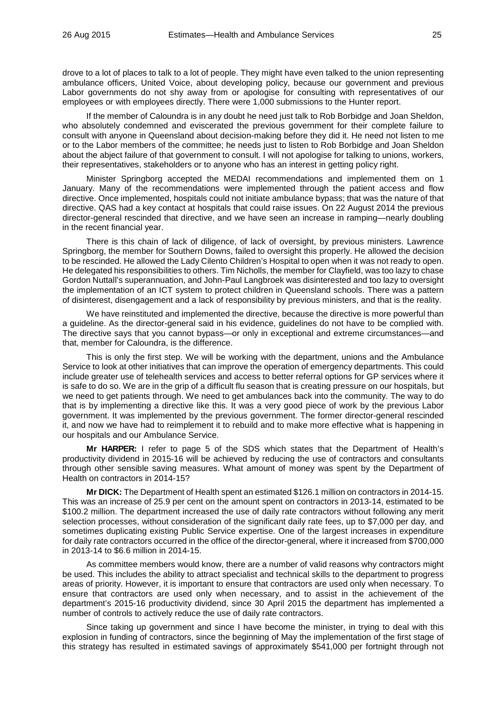drove to a lot of places to talk to a lot of people. They might have even talked to the union representing ambulance officers, United Voice, about developing policy, because our government and previous Labor governments do not shy away from or apologise for consulting with representatives of our employees or with employees directly. There were 1,000 submissions to the Hunter report.

If the member of Caloundra is in any doubt he need just talk to Rob Borbidge and Joan Sheldon, who absolutely condemned and eviscerated the previous government for their complete failure to consult with anyone in Queensland about decision-making before they did it. He need not listen to me or to the Labor members of the committee; he needs just to listen to Rob Borbidge and Joan Sheldon about the abject failure of that government to consult. I will not apologise for talking to unions, workers, their representatives, stakeholders or to anyone who has an interest in getting policy right.

Minister Springborg accepted the MEDAI recommendations and implemented them on 1 January. Many of the recommendations were implemented through the patient access and flow directive. Once implemented, hospitals could not initiate ambulance bypass; that was the nature of that directive. QAS had a key contact at hospitals that could raise issues. On 22 August 2014 the previous director-general rescinded that directive, and we have seen an increase in ramping—nearly doubling in the recent financial year.

There is this chain of lack of diligence, of lack of oversight, by previous ministers. Lawrence Springborg, the member for Southern Downs, failed to oversight this properly. He allowed the decision to be rescinded. He allowed the Lady Cilento Children's Hospital to open when it was not ready to open. He delegated his responsibilities to others. Tim Nicholls, the member for Clayfield, was too lazy to chase Gordon Nuttall's superannuation, and John-Paul Langbroek was disinterested and too lazy to oversight the implementation of an ICT system to protect children in Queensland schools. There was a pattern of disinterest, disengagement and a lack of responsibility by previous ministers, and that is the reality.

We have reinstituted and implemented the directive, because the directive is more powerful than a guideline. As the director-general said in his evidence, guidelines do not have to be complied with. The directive says that you cannot bypass—or only in exceptional and extreme circumstances—and that, member for Caloundra, is the difference.

This is only the first step. We will be working with the department, unions and the Ambulance Service to look at other initiatives that can improve the operation of emergency departments. This could include greater use of telehealth services and access to better referral options for GP services where it is safe to do so. We are in the grip of a difficult flu season that is creating pressure on our hospitals, but we need to get patients through. We need to get ambulances back into the community. The way to do that is by implementing a directive like this. It was a very good piece of work by the previous Labor government. It was implemented by the previous government. The former director-general rescinded it, and now we have had to reimplement it to rebuild and to make more effective what is happening in our hospitals and our Ambulance Service.

**Mr HARPER:** I refer to page 5 of the SDS which states that the Department of Health's productivity dividend in 2015-16 will be achieved by reducing the use of contractors and consultants through other sensible saving measures. What amount of money was spent by the Department of Health on contractors in 2014-15?

**Mr DICK:** The Department of Health spent an estimated \$126.1 million on contractors in 2014-15. This was an increase of 25.9 per cent on the amount spent on contractors in 2013-14, estimated to be \$100.2 million. The department increased the use of daily rate contractors without following any merit selection processes, without consideration of the significant daily rate fees, up to \$7,000 per day, and sometimes duplicating existing Public Service expertise. One of the largest increases in expenditure for daily rate contractors occurred in the office of the director-general, where it increased from \$700,000 in 2013-14 to \$6.6 million in 2014-15.

As committee members would know, there are a number of valid reasons why contractors might be used. This includes the ability to attract specialist and technical skills to the department to progress areas of priority. However, it is important to ensure that contractors are used only when necessary. To ensure that contractors are used only when necessary, and to assist in the achievement of the department's 2015-16 productivity dividend, since 30 April 2015 the department has implemented a number of controls to actively reduce the use of daily rate contractors.

Since taking up government and since I have become the minister, in trying to deal with this explosion in funding of contractors, since the beginning of May the implementation of the first stage of this strategy has resulted in estimated savings of approximately \$541,000 per fortnight through not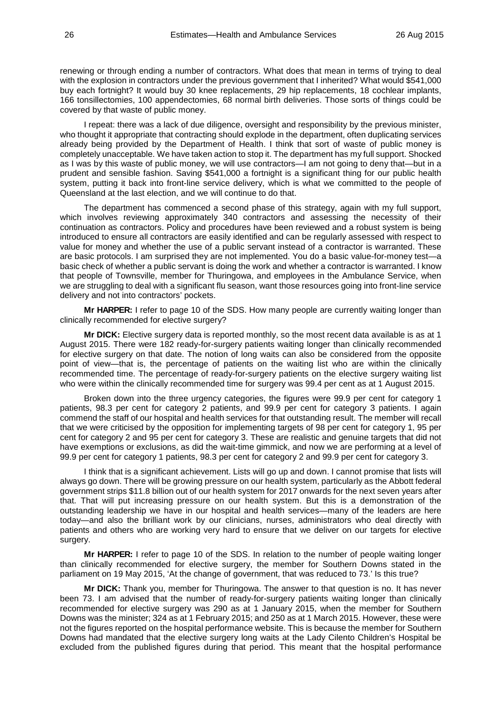renewing or through ending a number of contractors. What does that mean in terms of trying to deal with the explosion in contractors under the previous government that I inherited? What would \$541,000 buy each fortnight? It would buy 30 knee replacements, 29 hip replacements, 18 cochlear implants, 166 tonsillectomies, 100 appendectomies, 68 normal birth deliveries. Those sorts of things could be covered by that waste of public money.

I repeat: there was a lack of due diligence, oversight and responsibility by the previous minister, who thought it appropriate that contracting should explode in the department, often duplicating services already being provided by the Department of Health. I think that sort of waste of public money is completely unacceptable. We have taken action to stop it. The department has my full support. Shocked as I was by this waste of public money, we will use contractors—I am not going to deny that—but in a prudent and sensible fashion. Saving \$541,000 a fortnight is a significant thing for our public health system, putting it back into front-line service delivery, which is what we committed to the people of Queensland at the last election, and we will continue to do that.

The department has commenced a second phase of this strategy, again with my full support, which involves reviewing approximately 340 contractors and assessing the necessity of their continuation as contractors. Policy and procedures have been reviewed and a robust system is being introduced to ensure all contractors are easily identified and can be regularly assessed with respect to value for money and whether the use of a public servant instead of a contractor is warranted. These are basic protocols. I am surprised they are not implemented. You do a basic value-for-money test—a basic check of whether a public servant is doing the work and whether a contractor is warranted. I know that people of Townsville, member for Thuringowa, and employees in the Ambulance Service, when we are struggling to deal with a significant flu season, want those resources going into front-line service delivery and not into contractors' pockets.

**Mr HARPER:** I refer to page 10 of the SDS. How many people are currently waiting longer than clinically recommended for elective surgery?

**Mr DICK:** Elective surgery data is reported monthly, so the most recent data available is as at 1 August 2015. There were 182 ready-for-surgery patients waiting longer than clinically recommended for elective surgery on that date. The notion of long waits can also be considered from the opposite point of view—that is, the percentage of patients on the waiting list who are within the clinically recommended time. The percentage of ready-for-surgery patients on the elective surgery waiting list who were within the clinically recommended time for surgery was 99.4 per cent as at 1 August 2015.

Broken down into the three urgency categories, the figures were 99.9 per cent for category 1 patients, 98.3 per cent for category 2 patients, and 99.9 per cent for category 3 patients. I again commend the staff of our hospital and health services for that outstanding result. The member will recall that we were criticised by the opposition for implementing targets of 98 per cent for category 1, 95 per cent for category 2 and 95 per cent for category 3. These are realistic and genuine targets that did not have exemptions or exclusions, as did the wait-time gimmick, and now we are performing at a level of 99.9 per cent for category 1 patients, 98.3 per cent for category 2 and 99.9 per cent for category 3.

I think that is a significant achievement. Lists will go up and down. I cannot promise that lists will always go down. There will be growing pressure on our health system, particularly as the Abbott federal government strips \$11.8 billion out of our health system for 2017 onwards for the next seven years after that. That will put increasing pressure on our health system. But this is a demonstration of the outstanding leadership we have in our hospital and health services—many of the leaders are here today—and also the brilliant work by our clinicians, nurses, administrators who deal directly with patients and others who are working very hard to ensure that we deliver on our targets for elective surgery.

**Mr HARPER:** I refer to page 10 of the SDS. In relation to the number of people waiting longer than clinically recommended for elective surgery, the member for Southern Downs stated in the parliament on 19 May 2015, 'At the change of government, that was reduced to 73.' Is this true?

**Mr DICK:** Thank you, member for Thuringowa. The answer to that question is no. It has never been 73. I am advised that the number of ready-for-surgery patients waiting longer than clinically recommended for elective surgery was 290 as at 1 January 2015, when the member for Southern Downs was the minister; 324 as at 1 February 2015; and 250 as at 1 March 2015. However, these were not the figures reported on the hospital performance website. This is because the member for Southern Downs had mandated that the elective surgery long waits at the Lady Cilento Children's Hospital be excluded from the published figures during that period. This meant that the hospital performance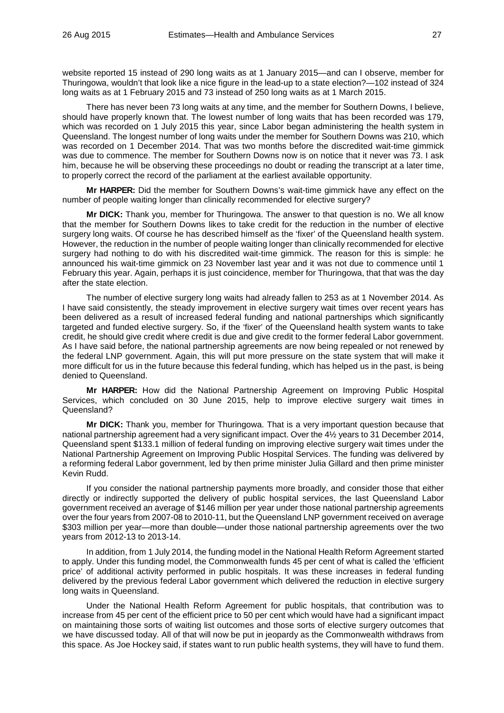website reported 15 instead of 290 long waits as at 1 January 2015—and can I observe, member for Thuringowa, wouldn't that look like a nice figure in the lead-up to a state election?—102 instead of 324 long waits as at 1 February 2015 and 73 instead of 250 long waits as at 1 March 2015.

There has never been 73 long waits at any time, and the member for Southern Downs, I believe, should have properly known that. The lowest number of long waits that has been recorded was 179, which was recorded on 1 July 2015 this year, since Labor began administering the health system in Queensland. The longest number of long waits under the member for Southern Downs was 210, which was recorded on 1 December 2014. That was two months before the discredited wait-time gimmick was due to commence. The member for Southern Downs now is on notice that it never was 73. I ask him, because he will be observing these proceedings no doubt or reading the transcript at a later time, to properly correct the record of the parliament at the earliest available opportunity.

**Mr HARPER:** Did the member for Southern Downs's wait-time gimmick have any effect on the number of people waiting longer than clinically recommended for elective surgery?

**Mr DICK:** Thank you, member for Thuringowa. The answer to that question is no. We all know that the member for Southern Downs likes to take credit for the reduction in the number of elective surgery long waits. Of course he has described himself as the 'fixer' of the Queensland health system. However, the reduction in the number of people waiting longer than clinically recommended for elective surgery had nothing to do with his discredited wait-time gimmick. The reason for this is simple: he announced his wait-time gimmick on 23 November last year and it was not due to commence until 1 February this year. Again, perhaps it is just coincidence, member for Thuringowa, that that was the day after the state election.

The number of elective surgery long waits had already fallen to 253 as at 1 November 2014. As I have said consistently, the steady improvement in elective surgery wait times over recent years has been delivered as a result of increased federal funding and national partnerships which significantly targeted and funded elective surgery. So, if the 'fixer' of the Queensland health system wants to take credit, he should give credit where credit is due and give credit to the former federal Labor government. As I have said before, the national partnership agreements are now being repealed or not renewed by the federal LNP government. Again, this will put more pressure on the state system that will make it more difficult for us in the future because this federal funding, which has helped us in the past, is being denied to Queensland.

**Mr HARPER:** How did the National Partnership Agreement on Improving Public Hospital Services, which concluded on 30 June 2015, help to improve elective surgery wait times in Queensland?

**Mr DICK:** Thank you, member for Thuringowa. That is a very important question because that national partnership agreement had a very significant impact. Over the 4½ years to 31 December 2014, Queensland spent \$133.1 million of federal funding on improving elective surgery wait times under the National Partnership Agreement on Improving Public Hospital Services. The funding was delivered by a reforming federal Labor government, led by then prime minister Julia Gillard and then prime minister Kevin Rudd.

If you consider the national partnership payments more broadly, and consider those that either directly or indirectly supported the delivery of public hospital services, the last Queensland Labor government received an average of \$146 million per year under those national partnership agreements over the four years from 2007-08 to 2010-11, but the Queensland LNP government received on average \$303 million per year—more than double—under those national partnership agreements over the two years from 2012-13 to 2013-14.

In addition, from 1 July 2014, the funding model in the National Health Reform Agreement started to apply. Under this funding model, the Commonwealth funds 45 per cent of what is called the 'efficient price' of additional activity performed in public hospitals. It was these increases in federal funding delivered by the previous federal Labor government which delivered the reduction in elective surgery long waits in Queensland.

Under the National Health Reform Agreement for public hospitals, that contribution was to increase from 45 per cent of the efficient price to 50 per cent which would have had a significant impact on maintaining those sorts of waiting list outcomes and those sorts of elective surgery outcomes that we have discussed today. All of that will now be put in jeopardy as the Commonwealth withdraws from this space. As Joe Hockey said, if states want to run public health systems, they will have to fund them.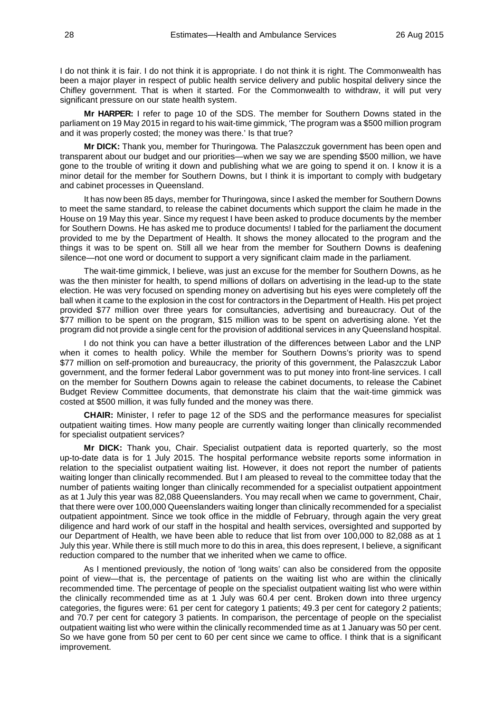I do not think it is fair. I do not think it is appropriate. I do not think it is right. The Commonwealth has been a major player in respect of public health service delivery and public hospital delivery since the Chifley government. That is when it started. For the Commonwealth to withdraw, it will put very significant pressure on our state health system.

**Mr HARPER:** I refer to page 10 of the SDS. The member for Southern Downs stated in the parliament on 19 May 2015 in regard to his wait-time gimmick, 'The program was a \$500 million program and it was properly costed; the money was there.' Is that true?

**Mr DICK:** Thank you, member for Thuringowa. The Palaszczuk government has been open and transparent about our budget and our priorities—when we say we are spending \$500 million, we have gone to the trouble of writing it down and publishing what we are going to spend it on. I know it is a minor detail for the member for Southern Downs, but I think it is important to comply with budgetary and cabinet processes in Queensland.

It has now been 85 days, member for Thuringowa, since I asked the member for Southern Downs to meet the same standard, to release the cabinet documents which support the claim he made in the House on 19 May this year. Since my request I have been asked to produce documents by the member for Southern Downs. He has asked me to produce documents! I tabled for the parliament the document provided to me by the Department of Health. It shows the money allocated to the program and the things it was to be spent on. Still all we hear from the member for Southern Downs is deafening silence—not one word or document to support a very significant claim made in the parliament.

The wait-time gimmick, I believe, was just an excuse for the member for Southern Downs, as he was the then minister for health, to spend millions of dollars on advertising in the lead-up to the state election. He was very focused on spending money on advertising but his eyes were completely off the ball when it came to the explosion in the cost for contractors in the Department of Health. His pet project provided \$77 million over three years for consultancies, advertising and bureaucracy. Out of the \$77 million to be spent on the program, \$15 million was to be spent on advertising alone. Yet the program did not provide a single cent for the provision of additional services in any Queensland hospital.

I do not think you can have a better illustration of the differences between Labor and the LNP when it comes to health policy. While the member for Southern Downs's priority was to spend \$77 million on self-promotion and bureaucracy, the priority of this government, the Palaszczuk Labor government, and the former federal Labor government was to put money into front-line services. I call on the member for Southern Downs again to release the cabinet documents, to release the Cabinet Budget Review Committee documents, that demonstrate his claim that the wait-time gimmick was costed at \$500 million, it was fully funded and the money was there.

**CHAIR:** Minister, I refer to page 12 of the SDS and the performance measures for specialist outpatient waiting times. How many people are currently waiting longer than clinically recommended for specialist outpatient services?

**Mr DICK:** Thank you, Chair. Specialist outpatient data is reported quarterly, so the most up-to-date data is for 1 July 2015. The hospital performance website reports some information in relation to the specialist outpatient waiting list. However, it does not report the number of patients waiting longer than clinically recommended. But I am pleased to reveal to the committee today that the number of patients waiting longer than clinically recommended for a specialist outpatient appointment as at 1 July this year was 82,088 Queenslanders. You may recall when we came to government, Chair, that there were over 100,000 Queenslanders waiting longer than clinically recommended for a specialist outpatient appointment. Since we took office in the middle of February, through again the very great diligence and hard work of our staff in the hospital and health services, oversighted and supported by our Department of Health, we have been able to reduce that list from over 100,000 to 82,088 as at 1 July this year. While there is still much more to do this in area, this does represent, I believe, a significant reduction compared to the number that we inherited when we came to office.

As I mentioned previously, the notion of 'long waits' can also be considered from the opposite point of view—that is, the percentage of patients on the waiting list who are within the clinically recommended time. The percentage of people on the specialist outpatient waiting list who were within the clinically recommended time as at 1 July was 60.4 per cent. Broken down into three urgency categories, the figures were: 61 per cent for category 1 patients; 49.3 per cent for category 2 patients; and 70.7 per cent for category 3 patients. In comparison, the percentage of people on the specialist outpatient waiting list who were within the clinically recommended time as at 1 January was 50 per cent. So we have gone from 50 per cent to 60 per cent since we came to office. I think that is a significant improvement.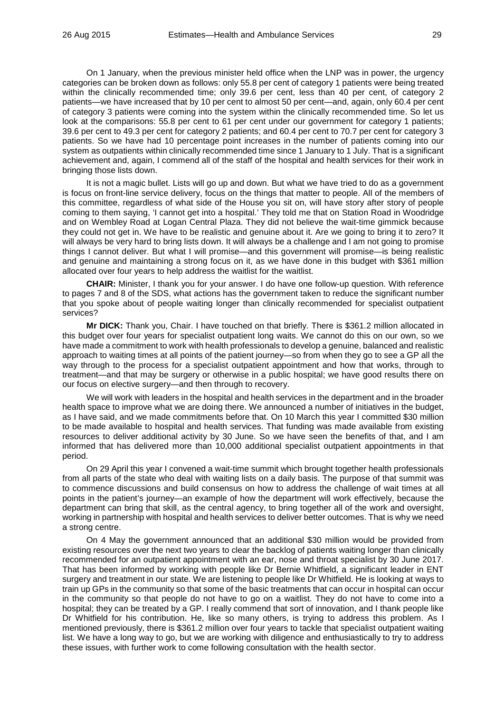On 1 January, when the previous minister held office when the LNP was in power, the urgency categories can be broken down as follows: only 55.8 per cent of category 1 patients were being treated within the clinically recommended time; only 39.6 per cent, less than 40 per cent, of category 2 patients—we have increased that by 10 per cent to almost 50 per cent—and, again, only 60.4 per cent of category 3 patients were coming into the system within the clinically recommended time. So let us look at the comparisons: 55.8 per cent to 61 per cent under our government for category 1 patients; 39.6 per cent to 49.3 per cent for category 2 patients; and 60.4 per cent to 70.7 per cent for category 3 patients. So we have had 10 percentage point increases in the number of patients coming into our system as outpatients within clinically recommended time since 1 January to 1 July. That is a significant achievement and, again, I commend all of the staff of the hospital and health services for their work in bringing those lists down.

It is not a magic bullet. Lists will go up and down. But what we have tried to do as a government is focus on front-line service delivery, focus on the things that matter to people. All of the members of this committee, regardless of what side of the House you sit on, will have story after story of people coming to them saying, 'I cannot get into a hospital.' They told me that on Station Road in Woodridge and on Wembley Road at Logan Central Plaza. They did not believe the wait-time gimmick because they could not get in. We have to be realistic and genuine about it. Are we going to bring it to zero? It will always be very hard to bring lists down. It will always be a challenge and I am not going to promise things I cannot deliver. But what I will promise—and this government will promise—is being realistic and genuine and maintaining a strong focus on it, as we have done in this budget with \$361 million allocated over four years to help address the waitlist for the waitlist.

**CHAIR:** Minister, I thank you for your answer. I do have one follow-up question. With reference to pages 7 and 8 of the SDS, what actions has the government taken to reduce the significant number that you spoke about of people waiting longer than clinically recommended for specialist outpatient services?

**Mr DICK:** Thank you, Chair. I have touched on that briefly. There is \$361.2 million allocated in this budget over four years for specialist outpatient long waits. We cannot do this on our own, so we have made a commitment to work with health professionals to develop a genuine, balanced and realistic approach to waiting times at all points of the patient journey—so from when they go to see a GP all the way through to the process for a specialist outpatient appointment and how that works, through to treatment—and that may be surgery or otherwise in a public hospital; we have good results there on our focus on elective surgery—and then through to recovery.

We will work with leaders in the hospital and health services in the department and in the broader health space to improve what we are doing there. We announced a number of initiatives in the budget, as I have said, and we made commitments before that. On 10 March this year I committed \$30 million to be made available to hospital and health services. That funding was made available from existing resources to deliver additional activity by 30 June. So we have seen the benefits of that, and I am informed that has delivered more than 10,000 additional specialist outpatient appointments in that period.

On 29 April this year I convened a wait-time summit which brought together health professionals from all parts of the state who deal with waiting lists on a daily basis. The purpose of that summit was to commence discussions and build consensus on how to address the challenge of wait times at all points in the patient's journey—an example of how the department will work effectively, because the department can bring that skill, as the central agency, to bring together all of the work and oversight, working in partnership with hospital and health services to deliver better outcomes. That is why we need a strong centre.

On 4 May the government announced that an additional \$30 million would be provided from existing resources over the next two years to clear the backlog of patients waiting longer than clinically recommended for an outpatient appointment with an ear, nose and throat specialist by 30 June 2017. That has been informed by working with people like Dr Bernie Whitfield, a significant leader in ENT surgery and treatment in our state. We are listening to people like Dr Whitfield. He is looking at ways to train up GPs in the community so that some of the basic treatments that can occur in hospital can occur in the community so that people do not have to go on a waitlist. They do not have to come into a hospital; they can be treated by a GP. I really commend that sort of innovation, and I thank people like Dr Whitfield for his contribution. He, like so many others, is trying to address this problem. As I mentioned previously, there is \$361.2 million over four years to tackle that specialist outpatient waiting list. We have a long way to go, but we are working with diligence and enthusiastically to try to address these issues, with further work to come following consultation with the health sector.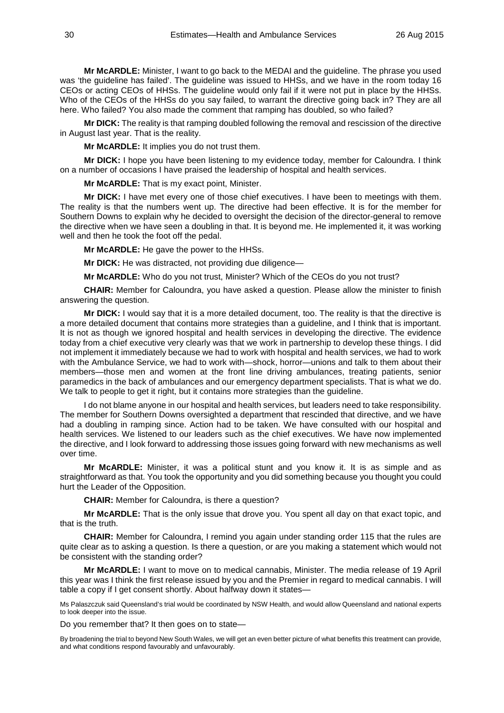**Mr McARDLE:** Minister, I want to go back to the MEDAI and the guideline. The phrase you used was 'the guideline has failed'. The guideline was issued to HHSs, and we have in the room today 16 CEOs or acting CEOs of HHSs. The guideline would only fail if it were not put in place by the HHSs. Who of the CEOs of the HHSs do you say failed, to warrant the directive going back in? They are all here. Who failed? You also made the comment that ramping has doubled, so who failed?

**Mr DICK:** The reality is that ramping doubled following the removal and rescission of the directive in August last year. That is the reality.

**Mr McARDLE:** It implies you do not trust them.

**Mr DICK:** I hope you have been listening to my evidence today, member for Caloundra. I think on a number of occasions I have praised the leadership of hospital and health services.

**Mr McARDLE:** That is my exact point, Minister.

**Mr DICK:** I have met every one of those chief executives. I have been to meetings with them. The reality is that the numbers went up. The directive had been effective. It is for the member for Southern Downs to explain why he decided to oversight the decision of the director-general to remove the directive when we have seen a doubling in that. It is beyond me. He implemented it, it was working well and then he took the foot off the pedal.

**Mr McARDLE:** He gave the power to the HHSs.

**Mr DICK:** He was distracted, not providing due diligence—

**Mr McARDLE:** Who do you not trust, Minister? Which of the CEOs do you not trust?

**CHAIR:** Member for Caloundra, you have asked a question. Please allow the minister to finish answering the question.

**Mr DICK:** I would say that it is a more detailed document, too. The reality is that the directive is a more detailed document that contains more strategies than a guideline, and I think that is important. It is not as though we ignored hospital and health services in developing the directive. The evidence today from a chief executive very clearly was that we work in partnership to develop these things. I did not implement it immediately because we had to work with hospital and health services, we had to work with the Ambulance Service, we had to work with—shock, horror—unions and talk to them about their members—those men and women at the front line driving ambulances, treating patients, senior paramedics in the back of ambulances and our emergency department specialists. That is what we do. We talk to people to get it right, but it contains more strategies than the guideline.

I do not blame anyone in our hospital and health services, but leaders need to take responsibility. The member for Southern Downs oversighted a department that rescinded that directive, and we have had a doubling in ramping since. Action had to be taken. We have consulted with our hospital and health services. We listened to our leaders such as the chief executives. We have now implemented the directive, and I look forward to addressing those issues going forward with new mechanisms as well over time.

**Mr McARDLE:** Minister, it was a political stunt and you know it. It is as simple and as straightforward as that. You took the opportunity and you did something because you thought you could hurt the Leader of the Opposition.

**CHAIR:** Member for Caloundra, is there a question?

**Mr McARDLE:** That is the only issue that drove you. You spent all day on that exact topic, and that is the truth.

**CHAIR:** Member for Caloundra, I remind you again under standing order 115 that the rules are quite clear as to asking a question. Is there a question, or are you making a statement which would not be consistent with the standing order?

**Mr McARDLE:** I want to move on to medical cannabis, Minister. The media release of 19 April this year was I think the first release issued by you and the Premier in regard to medical cannabis. I will table a copy if I get consent shortly. About halfway down it states—

Ms Palaszczuk said Queensland's trial would be coordinated by NSW Health, and would allow Queensland and national experts to look deeper into the issue.

Do you remember that? It then goes on to state—

By broadening the trial to beyond New South Wales, we will get an even better picture of what benefits this treatment can provide, and what conditions respond favourably and unfavourably.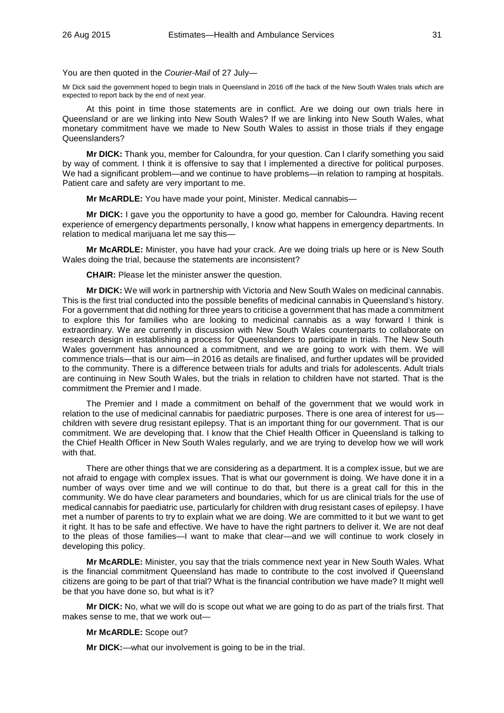You are then quoted in the *Courier-Mail* of 27 July—

Mr Dick said the government hoped to begin trials in Queensland in 2016 off the back of the New South Wales trials which are expected to report back by the end of next year.

At this point in time those statements are in conflict. Are we doing our own trials here in Queensland or are we linking into New South Wales? If we are linking into New South Wales, what monetary commitment have we made to New South Wales to assist in those trials if they engage Queenslanders?

**Mr DICK:** Thank you, member for Caloundra, for your question. Can I clarify something you said by way of comment. I think it is offensive to say that I implemented a directive for political purposes. We had a significant problem—and we continue to have problems—in relation to ramping at hospitals. Patient care and safety are very important to me.

**Mr McARDLE:** You have made your point, Minister. Medical cannabis—

**Mr DICK:** I gave you the opportunity to have a good go, member for Caloundra. Having recent experience of emergency departments personally, I know what happens in emergency departments. In relation to medical marijuana let me say this—

**Mr McARDLE:** Minister, you have had your crack. Are we doing trials up here or is New South Wales doing the trial, because the statements are inconsistent?

**CHAIR:** Please let the minister answer the question.

**Mr DICK:** We will work in partnership with Victoria and New South Wales on medicinal cannabis. This is the first trial conducted into the possible benefits of medicinal cannabis in Queensland's history. For a government that did nothing for three years to criticise a government that has made a commitment to explore this for families who are looking to medicinal cannabis as a way forward I think is extraordinary. We are currently in discussion with New South Wales counterparts to collaborate on research design in establishing a process for Queenslanders to participate in trials. The New South Wales government has announced a commitment, and we are going to work with them. We will commence trials—that is our aim—in 2016 as details are finalised, and further updates will be provided to the community. There is a difference between trials for adults and trials for adolescents. Adult trials are continuing in New South Wales, but the trials in relation to children have not started. That is the commitment the Premier and I made.

The Premier and I made a commitment on behalf of the government that we would work in relation to the use of medicinal cannabis for paediatric purposes. There is one area of interest for uschildren with severe drug resistant epilepsy. That is an important thing for our government. That is our commitment. We are developing that. I know that the Chief Health Officer in Queensland is talking to the Chief Health Officer in New South Wales regularly, and we are trying to develop how we will work with that.

There are other things that we are considering as a department. It is a complex issue, but we are not afraid to engage with complex issues. That is what our government is doing. We have done it in a number of ways over time and we will continue to do that, but there is a great call for this in the community. We do have clear parameters and boundaries, which for us are clinical trials for the use of medical cannabis for paediatric use, particularly for children with drug resistant cases of epilepsy. I have met a number of parents to try to explain what we are doing. We are committed to it but we want to get it right. It has to be safe and effective. We have to have the right partners to deliver it. We are not deaf to the pleas of those families—I want to make that clear—and we will continue to work closely in developing this policy.

**Mr McARDLE:** Minister, you say that the trials commence next year in New South Wales. What is the financial commitment Queensland has made to contribute to the cost involved if Queensland citizens are going to be part of that trial? What is the financial contribution we have made? It might well be that you have done so, but what is it?

**Mr DICK:** No, what we will do is scope out what we are going to do as part of the trials first. That makes sense to me, that we work out—

**Mr McARDLE:** Scope out?

**Mr DICK:**—what our involvement is going to be in the trial.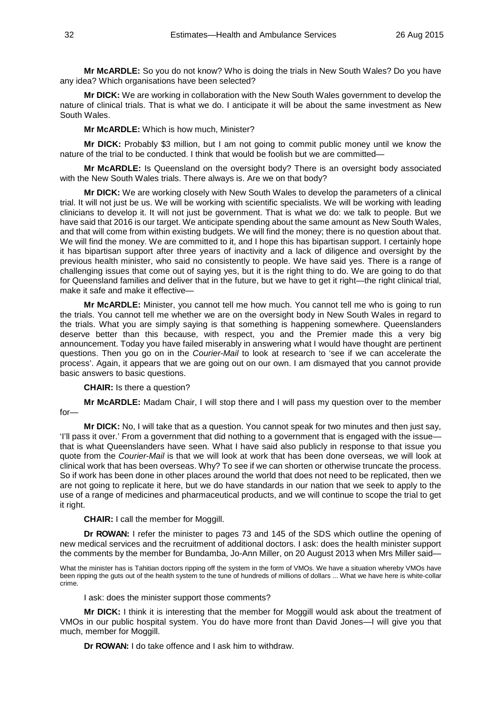**Mr McARDLE:** So you do not know? Who is doing the trials in New South Wales? Do you have any idea? Which organisations have been selected?

**Mr DICK:** We are working in collaboration with the New South Wales government to develop the nature of clinical trials. That is what we do. I anticipate it will be about the same investment as New South Wales.

#### **Mr McARDLE:** Which is how much, Minister?

**Mr DICK:** Probably \$3 million, but I am not going to commit public money until we know the nature of the trial to be conducted. I think that would be foolish but we are committed—

**Mr McARDLE:** Is Queensland on the oversight body? There is an oversight body associated with the New South Wales trials. There always is. Are we on that body?

**Mr DICK:** We are working closely with New South Wales to develop the parameters of a clinical trial. It will not just be us. We will be working with scientific specialists. We will be working with leading clinicians to develop it. It will not just be government. That is what we do: we talk to people. But we have said that 2016 is our target. We anticipate spending about the same amount as New South Wales, and that will come from within existing budgets. We will find the money; there is no question about that. We will find the money. We are committed to it, and I hope this has bipartisan support. I certainly hope it has bipartisan support after three years of inactivity and a lack of diligence and oversight by the previous health minister, who said no consistently to people. We have said yes. There is a range of challenging issues that come out of saying yes, but it is the right thing to do. We are going to do that for Queensland families and deliver that in the future, but we have to get it right—the right clinical trial, make it safe and make it effective—

**Mr McARDLE:** Minister, you cannot tell me how much. You cannot tell me who is going to run the trials. You cannot tell me whether we are on the oversight body in New South Wales in regard to the trials. What you are simply saying is that something is happening somewhere. Queenslanders deserve better than this because, with respect, you and the Premier made this a very big announcement. Today you have failed miserably in answering what I would have thought are pertinent questions. Then you go on in the *Courier-Mail* to look at research to 'see if we can accelerate the process'. Again, it appears that we are going out on our own. I am dismayed that you cannot provide basic answers to basic questions.

**CHAIR:** Is there a question?

**Mr McARDLE:** Madam Chair, I will stop there and I will pass my question over to the member for—

**Mr DICK:** No, I will take that as a question. You cannot speak for two minutes and then just say, 'I'll pass it over.' From a government that did nothing to a government that is engaged with the issuethat is what Queenslanders have seen. What I have said also publicly in response to that issue you quote from the *Courier-Mail* is that we will look at work that has been done overseas, we will look at clinical work that has been overseas. Why? To see if we can shorten or otherwise truncate the process. So if work has been done in other places around the world that does not need to be replicated, then we are not going to replicate it here, but we do have standards in our nation that we seek to apply to the use of a range of medicines and pharmaceutical products, and we will continue to scope the trial to get it right.

#### **CHAIR:** I call the member for Moggill.

**Dr ROWAN:** I refer the minister to pages 73 and 145 of the SDS which outline the opening of new medical services and the recruitment of additional doctors. I ask: does the health minister support the comments by the member for Bundamba, Jo-Ann Miller, on 20 August 2013 when Mrs Miller said—

What the minister has is Tahitian doctors ripping off the system in the form of VMOs. We have a situation whereby VMOs have been ripping the guts out of the health system to the tune of hundreds of millions of dollars ... What we have here is white-collar crime.

I ask: does the minister support those comments?

**Mr DICK:** I think it is interesting that the member for Moggill would ask about the treatment of VMOs in our public hospital system. You do have more front than David Jones—I will give you that much, member for Moggill.

**Dr ROWAN:** I do take offence and I ask him to withdraw.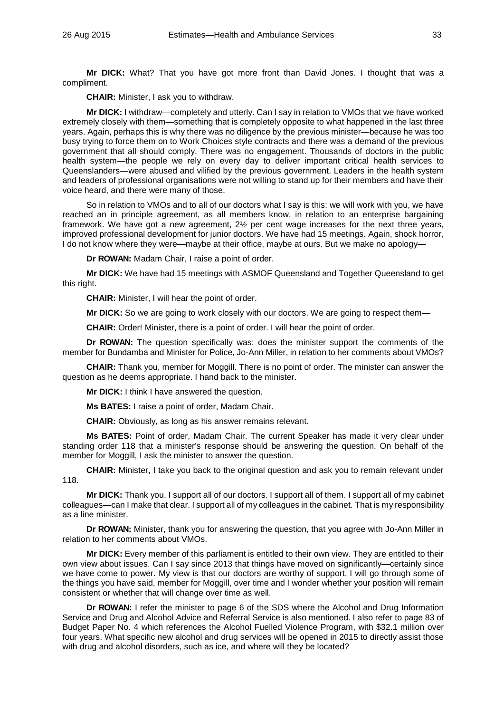**Mr DICK:** What? That you have got more front than David Jones. I thought that was a compliment.

**CHAIR:** Minister, I ask you to withdraw.

**Mr DICK:** I withdraw—completely and utterly. Can I say in relation to VMOs that we have worked extremely closely with them—something that is completely opposite to what happened in the last three years. Again, perhaps this is why there was no diligence by the previous minister—because he was too busy trying to force them on to Work Choices style contracts and there was a demand of the previous government that all should comply. There was no engagement. Thousands of doctors in the public health system—the people we rely on every day to deliver important critical health services to Queenslanders—were abused and vilified by the previous government. Leaders in the health system and leaders of professional organisations were not willing to stand up for their members and have their voice heard, and there were many of those.

So in relation to VMOs and to all of our doctors what I say is this: we will work with you, we have reached an in principle agreement, as all members know, in relation to an enterprise bargaining framework. We have got a new agreement, 2½ per cent wage increases for the next three years, improved professional development for junior doctors. We have had 15 meetings. Again, shock horror, I do not know where they were—maybe at their office, maybe at ours. But we make no apology—

**Dr ROWAN:** Madam Chair, I raise a point of order.

**Mr DICK:** We have had 15 meetings with ASMOF Queensland and Together Queensland to get this right.

**CHAIR:** Minister, I will hear the point of order.

**Mr DICK:** So we are going to work closely with our doctors. We are going to respect them—

**CHAIR:** Order! Minister, there is a point of order. I will hear the point of order.

**Dr ROWAN:** The question specifically was: does the minister support the comments of the member for Bundamba and Minister for Police, Jo-Ann Miller, in relation to her comments about VMOs?

**CHAIR:** Thank you, member for Moggill. There is no point of order. The minister can answer the question as he deems appropriate. I hand back to the minister.

**Mr DICK:** I think I have answered the question.

**Ms BATES:** I raise a point of order, Madam Chair.

**CHAIR:** Obviously, as long as his answer remains relevant.

**Ms BATES:** Point of order, Madam Chair. The current Speaker has made it very clear under standing order 118 that a minister's response should be answering the question. On behalf of the member for Moggill, I ask the minister to answer the question.

**CHAIR:** Minister, I take you back to the original question and ask you to remain relevant under 118.

**Mr DICK:** Thank you. I support all of our doctors. I support all of them. I support all of my cabinet colleagues—can I make that clear. I support all of my colleagues in the cabinet. That is my responsibility as a line minister.

**Dr ROWAN:** Minister, thank you for answering the question, that you agree with Jo-Ann Miller in relation to her comments about VMOs.

**Mr DICK:** Every member of this parliament is entitled to their own view. They are entitled to their own view about issues. Can I say since 2013 that things have moved on significantly—certainly since we have come to power. My view is that our doctors are worthy of support. I will go through some of the things you have said, member for Moggill, over time and I wonder whether your position will remain consistent or whether that will change over time as well.

**Dr ROWAN:** I refer the minister to page 6 of the SDS where the Alcohol and Drug Information Service and Drug and Alcohol Advice and Referral Service is also mentioned. I also refer to page 83 of Budget Paper No. 4 which references the Alcohol Fuelled Violence Program, with \$32.1 million over four years. What specific new alcohol and drug services will be opened in 2015 to directly assist those with drug and alcohol disorders, such as ice, and where will they be located?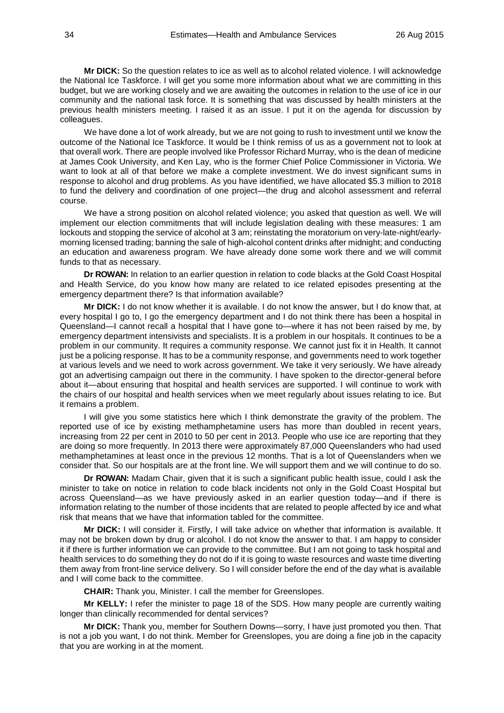**Mr DICK:** So the question relates to ice as well as to alcohol related violence. I will acknowledge the National Ice Taskforce. I will get you some more information about what we are committing in this budget, but we are working closely and we are awaiting the outcomes in relation to the use of ice in our community and the national task force. It is something that was discussed by health ministers at the previous health ministers meeting. I raised it as an issue. I put it on the agenda for discussion by colleagues.

We have done a lot of work already, but we are not going to rush to investment until we know the outcome of the National Ice Taskforce. It would be I think remiss of us as a government not to look at that overall work. There are people involved like Professor Richard Murray, who is the dean of medicine at James Cook University, and Ken Lay, who is the former Chief Police Commissioner in Victoria. We want to look at all of that before we make a complete investment. We do invest significant sums in response to alcohol and drug problems. As you have identified, we have allocated \$5.3 million to 2018 to fund the delivery and coordination of one project—the drug and alcohol assessment and referral course.

We have a strong position on alcohol related violence; you asked that question as well. We will implement our election commitments that will include legislation dealing with these measures: 1 am lockouts and stopping the service of alcohol at 3 am; reinstating the moratorium on very-late-night/earlymorning licensed trading; banning the sale of high-alcohol content drinks after midnight; and conducting an education and awareness program. We have already done some work there and we will commit funds to that as necessary.

**Dr ROWAN:** In relation to an earlier question in relation to code blacks at the Gold Coast Hospital and Health Service, do you know how many are related to ice related episodes presenting at the emergency department there? Is that information available?

**Mr DICK:** I do not know whether it is available. I do not know the answer, but I do know that, at every hospital I go to, I go the emergency department and I do not think there has been a hospital in Queensland—I cannot recall a hospital that I have gone to—where it has not been raised by me, by emergency department intensivists and specialists. It is a problem in our hospitals. It continues to be a problem in our community. It requires a community response. We cannot just fix it in Health. It cannot just be a policing response. It has to be a community response, and governments need to work together at various levels and we need to work across government. We take it very seriously. We have already got an advertising campaign out there in the community. I have spoken to the director-general before about it—about ensuring that hospital and health services are supported. I will continue to work with the chairs of our hospital and health services when we meet regularly about issues relating to ice. But it remains a problem.

I will give you some statistics here which I think demonstrate the gravity of the problem. The reported use of ice by existing methamphetamine users has more than doubled in recent years, increasing from 22 per cent in 2010 to 50 per cent in 2013. People who use ice are reporting that they are doing so more frequently. In 2013 there were approximately 87,000 Queenslanders who had used methamphetamines at least once in the previous 12 months. That is a lot of Queenslanders when we consider that. So our hospitals are at the front line. We will support them and we will continue to do so.

**Dr ROWAN:** Madam Chair, given that it is such a significant public health issue, could I ask the minister to take on notice in relation to code black incidents not only in the Gold Coast Hospital but across Queensland—as we have previously asked in an earlier question today—and if there is information relating to the number of those incidents that are related to people affected by ice and what risk that means that we have that information tabled for the committee.

**Mr DICK:** I will consider it. Firstly, I will take advice on whether that information is available. It may not be broken down by drug or alcohol. I do not know the answer to that. I am happy to consider it if there is further information we can provide to the committee. But I am not going to task hospital and health services to do something they do not do if it is going to waste resources and waste time diverting them away from front-line service delivery. So I will consider before the end of the day what is available and I will come back to the committee.

**CHAIR:** Thank you, Minister. I call the member for Greenslopes.

**Mr KELLY:** I refer the minister to page 18 of the SDS. How many people are currently waiting longer than clinically recommended for dental services?

**Mr DICK:** Thank you, member for Southern Downs—sorry, I have just promoted you then. That is not a job you want, I do not think. Member for Greenslopes, you are doing a fine job in the capacity that you are working in at the moment.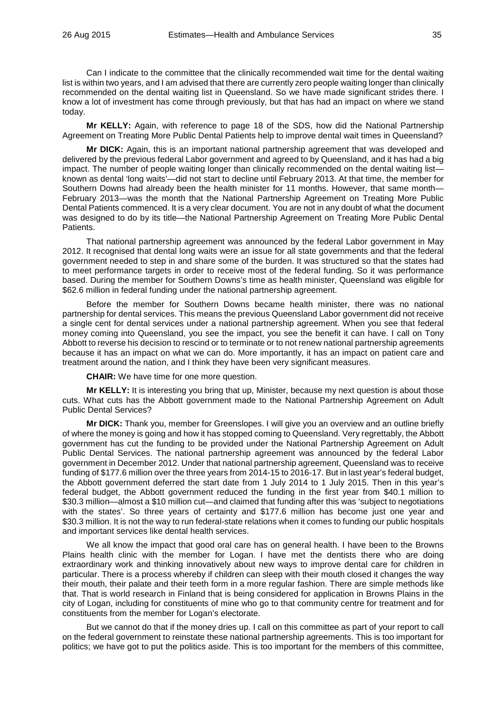Can I indicate to the committee that the clinically recommended wait time for the dental waiting list is within two years, and I am advised that there are currently zero people waiting longer than clinically recommended on the dental waiting list in Queensland. So we have made significant strides there. I know a lot of investment has come through previously, but that has had an impact on where we stand today.

**Mr KELLY:** Again, with reference to page 18 of the SDS, how did the National Partnership Agreement on Treating More Public Dental Patients help to improve dental wait times in Queensland?

**Mr DICK:** Again, this is an important national partnership agreement that was developed and delivered by the previous federal Labor government and agreed to by Queensland, and it has had a big impact. The number of people waiting longer than clinically recommended on the dental waiting list known as dental 'long waits'—did not start to decline until February 2013. At that time, the member for Southern Downs had already been the health minister for 11 months. However, that same month— February 2013—was the month that the National Partnership Agreement on Treating More Public Dental Patients commenced. It is a very clear document. You are not in any doubt of what the document was designed to do by its title—the National Partnership Agreement on Treating More Public Dental Patients.

That national partnership agreement was announced by the federal Labor government in May 2012. It recognised that dental long waits were an issue for all state governments and that the federal government needed to step in and share some of the burden. It was structured so that the states had to meet performance targets in order to receive most of the federal funding. So it was performance based. During the member for Southern Downs's time as health minister, Queensland was eligible for \$62.6 million in federal funding under the national partnership agreement.

Before the member for Southern Downs became health minister, there was no national partnership for dental services. This means the previous Queensland Labor government did not receive a single cent for dental services under a national partnership agreement. When you see that federal money coming into Queensland, you see the impact, you see the benefit it can have. I call on Tony Abbott to reverse his decision to rescind or to terminate or to not renew national partnership agreements because it has an impact on what we can do. More importantly, it has an impact on patient care and treatment around the nation, and I think they have been very significant measures.

**CHAIR:** We have time for one more question.

**Mr KELLY:** It is interesting you bring that up, Minister, because my next question is about those cuts. What cuts has the Abbott government made to the National Partnership Agreement on Adult Public Dental Services?

**Mr DICK:** Thank you, member for Greenslopes. I will give you an overview and an outline briefly of where the money is going and how it has stopped coming to Queensland. Very regrettably, the Abbott government has cut the funding to be provided under the National Partnership Agreement on Adult Public Dental Services. The national partnership agreement was announced by the federal Labor government in December 2012. Under that national partnership agreement, Queensland was to receive funding of \$177.6 million over the three years from 2014-15 to 2016-17. But in last year's federal budget, the Abbott government deferred the start date from 1 July 2014 to 1 July 2015. Then in this year's federal budget, the Abbott government reduced the funding in the first year from \$40.1 million to \$30.3 million—almost a \$10 million cut—and claimed that funding after this was 'subject to negotiations with the states'. So three years of certainty and \$177.6 million has become just one year and \$30.3 million. It is not the way to run federal-state relations when it comes to funding our public hospitals and important services like dental health services.

We all know the impact that good oral care has on general health. I have been to the Browns Plains health clinic with the member for Logan. I have met the dentists there who are doing extraordinary work and thinking innovatively about new ways to improve dental care for children in particular. There is a process whereby if children can sleep with their mouth closed it changes the way their mouth, their palate and their teeth form in a more regular fashion. There are simple methods like that. That is world research in Finland that is being considered for application in Browns Plains in the city of Logan, including for constituents of mine who go to that community centre for treatment and for constituents from the member for Logan's electorate.

But we cannot do that if the money dries up. I call on this committee as part of your report to call on the federal government to reinstate these national partnership agreements. This is too important for politics; we have got to put the politics aside. This is too important for the members of this committee,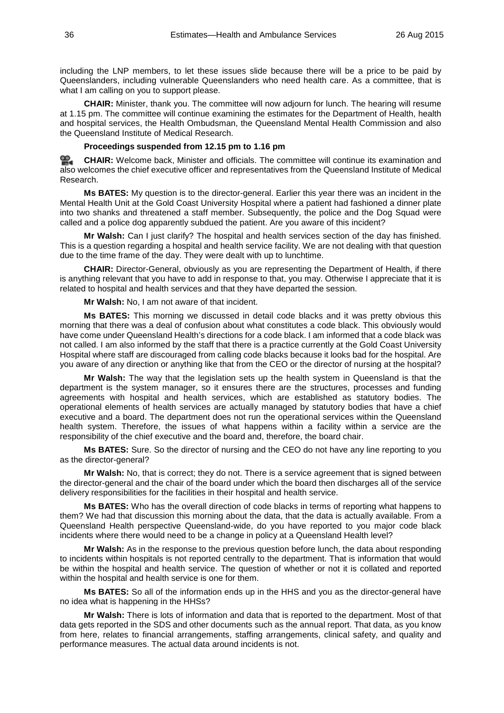including the LNP members, to let these issues slide because there will be a price to be paid by Queenslanders, including vulnerable Queenslanders who need health care. As a committee, that is what I am calling on you to support please.

**CHAIR:** Minister, thank you. The committee will now adjourn for lunch. The hearing will resume at 1.15 pm. The committee will continue examining the estimates for the Department of Health, health and hospital services, the Health Ombudsman, the Queensland Mental Health Commission and also the Queensland Institute of Medical Research.

#### **Proceedings suspended from 12.15 pm to 1.16 pm**

<u>ൈ</u> **[CHAIR:](http://www.parliament.qld.gov.au/docs/find.aspx?id=0Mba20150826_131543)** Welcome back, Minister and officials. The committee will continue its examination and also welcomes the chief executive officer and representatives from the Queensland Institute of Medical Research.

**Ms BATES:** My question is to the director-general. Earlier this year there was an incident in the Mental Health Unit at the Gold Coast University Hospital where a patient had fashioned a dinner plate into two shanks and threatened a staff member. Subsequently, the police and the Dog Squad were called and a police dog apparently subdued the patient. Are you aware of this incident?

**Mr Walsh:** Can I just clarify? The hospital and health services section of the day has finished. This is a question regarding a hospital and health service facility. We are not dealing with that question due to the time frame of the day. They were dealt with up to lunchtime.

**CHAIR:** Director-General, obviously as you are representing the Department of Health, if there is anything relevant that you have to add in response to that, you may. Otherwise I appreciate that it is related to hospital and health services and that they have departed the session.

**Mr Walsh:** No, I am not aware of that incident.

**Ms BATES:** This morning we discussed in detail code blacks and it was pretty obvious this morning that there was a deal of confusion about what constitutes a code black. This obviously would have come under Queensland Health's directions for a code black. I am informed that a code black was not called. I am also informed by the staff that there is a practice currently at the Gold Coast University Hospital where staff are discouraged from calling code blacks because it looks bad for the hospital. Are you aware of any direction or anything like that from the CEO or the director of nursing at the hospital?

**Mr Walsh:** The way that the legislation sets up the health system in Queensland is that the department is the system manager, so it ensures there are the structures, processes and funding agreements with hospital and health services, which are established as statutory bodies. The operational elements of health services are actually managed by statutory bodies that have a chief executive and a board. The department does not run the operational services within the Queensland health system. Therefore, the issues of what happens within a facility within a service are the responsibility of the chief executive and the board and, therefore, the board chair.

**Ms BATES:** Sure. So the director of nursing and the CEO do not have any line reporting to you as the director-general?

**Mr Walsh:** No, that is correct; they do not. There is a service agreement that is signed between the director-general and the chair of the board under which the board then discharges all of the service delivery responsibilities for the facilities in their hospital and health service.

**Ms BATES:** Who has the overall direction of code blacks in terms of reporting what happens to them? We had that discussion this morning about the data, that the data is actually available. From a Queensland Health perspective Queensland-wide, do you have reported to you major code black incidents where there would need to be a change in policy at a Queensland Health level?

**Mr Walsh:** As in the response to the previous question before lunch, the data about responding to incidents within hospitals is not reported centrally to the department. That is information that would be within the hospital and health service. The question of whether or not it is collated and reported within the hospital and health service is one for them.

**Ms BATES:** So all of the information ends up in the HHS and you as the director-general have no idea what is happening in the HHSs?

**Mr Walsh:** There is lots of information and data that is reported to the department. Most of that data gets reported in the SDS and other documents such as the annual report. That data, as you know from here, relates to financial arrangements, staffing arrangements, clinical safety, and quality and performance measures. The actual data around incidents is not.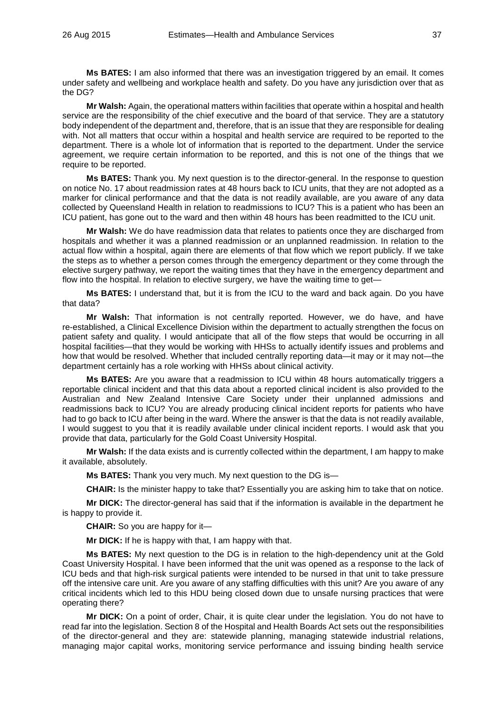**Ms BATES:** I am also informed that there was an investigation triggered by an email. It comes under safety and wellbeing and workplace health and safety. Do you have any jurisdiction over that as the DG?

**Mr Walsh:** Again, the operational matters within facilities that operate within a hospital and health service are the responsibility of the chief executive and the board of that service. They are a statutory body independent of the department and, therefore, that is an issue that they are responsible for dealing with. Not all matters that occur within a hospital and health service are required to be reported to the department. There is a whole lot of information that is reported to the department. Under the service agreement, we require certain information to be reported, and this is not one of the things that we require to be reported.

**Ms BATES:** Thank you. My next question is to the director-general. In the response to question on notice No. 17 about readmission rates at 48 hours back to ICU units, that they are not adopted as a marker for clinical performance and that the data is not readily available, are you aware of any data collected by Queensland Health in relation to readmissions to ICU? This is a patient who has been an ICU patient, has gone out to the ward and then within 48 hours has been readmitted to the ICU unit.

**Mr Walsh:** We do have readmission data that relates to patients once they are discharged from hospitals and whether it was a planned readmission or an unplanned readmission. In relation to the actual flow within a hospital, again there are elements of that flow which we report publicly. If we take the steps as to whether a person comes through the emergency department or they come through the elective surgery pathway, we report the waiting times that they have in the emergency department and flow into the hospital. In relation to elective surgery, we have the waiting time to get—

**Ms BATES:** I understand that, but it is from the ICU to the ward and back again. Do you have that data?

**Mr Walsh:** That information is not centrally reported. However, we do have, and have re-established, a Clinical Excellence Division within the department to actually strengthen the focus on patient safety and quality. I would anticipate that all of the flow steps that would be occurring in all hospital facilities—that they would be working with HHSs to actually identify issues and problems and how that would be resolved. Whether that included centrally reporting data—it may or it may not—the department certainly has a role working with HHSs about clinical activity.

**Ms BATES:** Are you aware that a readmission to ICU within 48 hours automatically triggers a reportable clinical incident and that this data about a reported clinical incident is also provided to the Australian and New Zealand Intensive Care Society under their unplanned admissions and readmissions back to ICU? You are already producing clinical incident reports for patients who have had to go back to ICU after being in the ward. Where the answer is that the data is not readily available, I would suggest to you that it is readily available under clinical incident reports. I would ask that you provide that data, particularly for the Gold Coast University Hospital.

**Mr Walsh:** If the data exists and is currently collected within the department, I am happy to make it available, absolutely.

**Ms BATES:** Thank you very much. My next question to the DG is—

**CHAIR:** Is the minister happy to take that? Essentially you are asking him to take that on notice.

**Mr DICK:** The director-general has said that if the information is available in the department he is happy to provide it.

**CHAIR:** So you are happy for it—

**Mr DICK:** If he is happy with that, I am happy with that.

**Ms BATES:** My next question to the DG is in relation to the high-dependency unit at the Gold Coast University Hospital. I have been informed that the unit was opened as a response to the lack of ICU beds and that high-risk surgical patients were intended to be nursed in that unit to take pressure off the intensive care unit. Are you aware of any staffing difficulties with this unit? Are you aware of any critical incidents which led to this HDU being closed down due to unsafe nursing practices that were operating there?

**Mr DICK:** On a point of order, Chair, it is quite clear under the legislation. You do not have to read far into the legislation. Section 8 of the Hospital and Health Boards Act sets out the responsibilities of the director-general and they are: statewide planning, managing statewide industrial relations, managing major capital works, monitoring service performance and issuing binding health service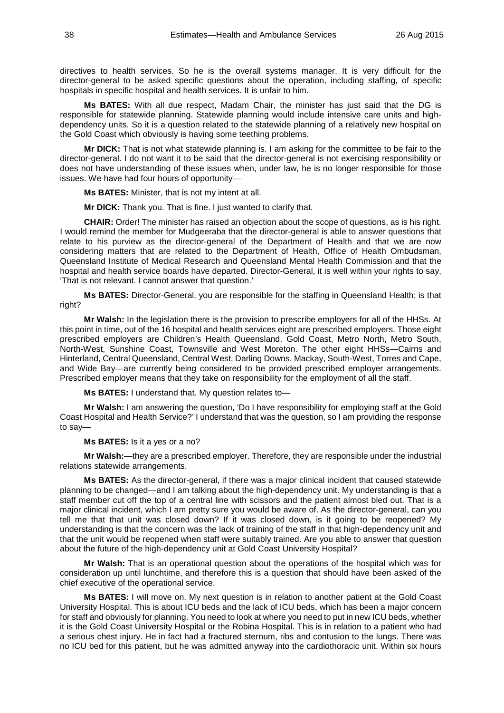directives to health services. So he is the overall systems manager. It is very difficult for the director-general to be asked specific questions about the operation, including staffing, of specific hospitals in specific hospital and health services. It is unfair to him.

**Ms BATES:** With all due respect, Madam Chair, the minister has just said that the DG is responsible for statewide planning. Statewide planning would include intensive care units and highdependency units. So it is a question related to the statewide planning of a relatively new hospital on the Gold Coast which obviously is having some teething problems.

**Mr DICK:** That is not what statewide planning is. I am asking for the committee to be fair to the director-general. I do not want it to be said that the director-general is not exercising responsibility or does not have understanding of these issues when, under law, he is no longer responsible for those issues. We have had four hours of opportunity—

**Ms BATES:** Minister, that is not my intent at all.

**Mr DICK:** Thank you. That is fine. I just wanted to clarify that.

**CHAIR:** Order! The minister has raised an objection about the scope of questions, as is his right. I would remind the member for Mudgeeraba that the director-general is able to answer questions that relate to his purview as the director-general of the Department of Health and that we are now considering matters that are related to the Department of Health, Office of Health Ombudsman, Queensland Institute of Medical Research and Queensland Mental Health Commission and that the hospital and health service boards have departed. Director-General, it is well within your rights to say, 'That is not relevant. I cannot answer that question.'

**Ms BATES:** Director-General, you are responsible for the staffing in Queensland Health; is that right?

**Mr Walsh:** In the legislation there is the provision to prescribe employers for all of the HHSs. At this point in time, out of the 16 hospital and health services eight are prescribed employers. Those eight prescribed employers are Children's Health Queensland, Gold Coast, Metro North, Metro South, North-West, Sunshine Coast, Townsville and West Moreton. The other eight HHSs—Cairns and Hinterland, Central Queensland, Central West, Darling Downs, Mackay, South-West, Torres and Cape, and Wide Bay—are currently being considered to be provided prescribed employer arrangements. Prescribed employer means that they take on responsibility for the employment of all the staff.

**Ms BATES:** I understand that. My question relates to—

**Mr Walsh:** I am answering the question, 'Do I have responsibility for employing staff at the Gold Coast Hospital and Health Service?' I understand that was the question, so I am providing the response to say—

#### **Ms BATES:** Is it a yes or a no?

**Mr Walsh:**—they are a prescribed employer. Therefore, they are responsible under the industrial relations statewide arrangements.

**Ms BATES:** As the director-general, if there was a major clinical incident that caused statewide planning to be changed—and I am talking about the high-dependency unit. My understanding is that a staff member cut off the top of a central line with scissors and the patient almost bled out. That is a major clinical incident, which I am pretty sure you would be aware of. As the director-general, can you tell me that that unit was closed down? If it was closed down, is it going to be reopened? My understanding is that the concern was the lack of training of the staff in that high-dependency unit and that the unit would be reopened when staff were suitably trained. Are you able to answer that question about the future of the high-dependency unit at Gold Coast University Hospital?

**Mr Walsh:** That is an operational question about the operations of the hospital which was for consideration up until lunchtime, and therefore this is a question that should have been asked of the chief executive of the operational service.

**Ms BATES:** I will move on. My next question is in relation to another patient at the Gold Coast University Hospital. This is about ICU beds and the lack of ICU beds, which has been a major concern for staff and obviously for planning. You need to look at where you need to put in new ICU beds, whether it is the Gold Coast University Hospital or the Robina Hospital. This is in relation to a patient who had a serious chest injury. He in fact had a fractured sternum, ribs and contusion to the lungs. There was no ICU bed for this patient, but he was admitted anyway into the cardiothoracic unit. Within six hours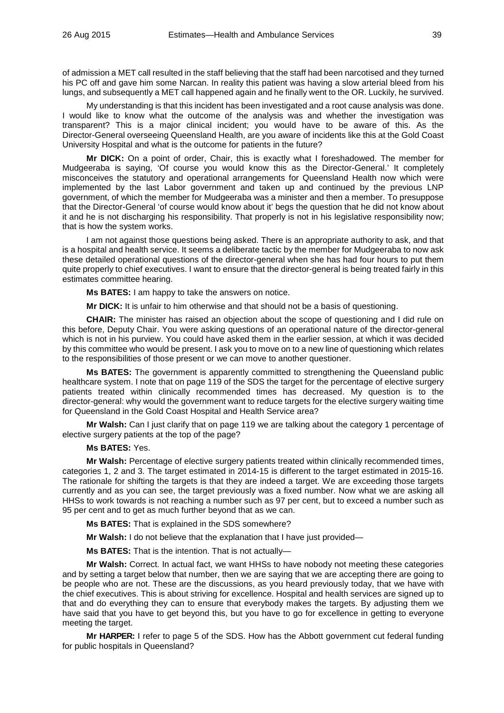of admission a MET call resulted in the staff believing that the staff had been narcotised and they turned his PC off and gave him some Narcan. In reality this patient was having a slow arterial bleed from his lungs, and subsequently a MET call happened again and he finally went to the OR. Luckily, he survived.

My understanding is that this incident has been investigated and a root cause analysis was done. I would like to know what the outcome of the analysis was and whether the investigation was transparent? This is a major clinical incident; you would have to be aware of this. As the Director-General overseeing Queensland Health, are you aware of incidents like this at the Gold Coast University Hospital and what is the outcome for patients in the future?

**Mr DICK:** On a point of order, Chair, this is exactly what I foreshadowed. The member for Mudgeeraba is saying, 'Of course you would know this as the Director-General.' It completely misconceives the statutory and operational arrangements for Queensland Health now which were implemented by the last Labor government and taken up and continued by the previous LNP government, of which the member for Mudgeeraba was a minister and then a member. To presuppose that the Director-General 'of course would know about it' begs the question that he did not know about it and he is not discharging his responsibility. That properly is not in his legislative responsibility now; that is how the system works.

I am not against those questions being asked. There is an appropriate authority to ask, and that is a hospital and health service. It seems a deliberate tactic by the member for Mudgeeraba to now ask these detailed operational questions of the director-general when she has had four hours to put them quite properly to chief executives. I want to ensure that the director-general is being treated fairly in this estimates committee hearing.

**Ms BATES:** I am happy to take the answers on notice.

**Mr DICK:** It is unfair to him otherwise and that should not be a basis of questioning.

**CHAIR:** The minister has raised an objection about the scope of questioning and I did rule on this before, Deputy Chair. You were asking questions of an operational nature of the director-general which is not in his purview. You could have asked them in the earlier session, at which it was decided by this committee who would be present. I ask you to move on to a new line of questioning which relates to the responsibilities of those present or we can move to another questioner.

**Ms BATES:** The government is apparently committed to strengthening the Queensland public healthcare system. I note that on page 119 of the SDS the target for the percentage of elective surgery patients treated within clinically recommended times has decreased. My question is to the director-general: why would the government want to reduce targets for the elective surgery waiting time for Queensland in the Gold Coast Hospital and Health Service area?

**Mr Walsh:** Can I just clarify that on page 119 we are talking about the category 1 percentage of elective surgery patients at the top of the page?

# **Ms BATES:** Yes.

**Mr Walsh:** Percentage of elective surgery patients treated within clinically recommended times, categories 1, 2 and 3. The target estimated in 2014-15 is different to the target estimated in 2015-16. The rationale for shifting the targets is that they are indeed a target. We are exceeding those targets currently and as you can see, the target previously was a fixed number. Now what we are asking all HHSs to work towards is not reaching a number such as 97 per cent, but to exceed a number such as 95 per cent and to get as much further beyond that as we can.

**Ms BATES:** That is explained in the SDS somewhere?

**Mr Walsh:** I do not believe that the explanation that I have just provided—

**Ms BATES:** That is the intention. That is not actually—

**Mr Walsh:** Correct. In actual fact, we want HHSs to have nobody not meeting these categories and by setting a target below that number, then we are saying that we are accepting there are going to be people who are not. These are the discussions, as you heard previously today, that we have with the chief executives. This is about striving for excellence. Hospital and health services are signed up to that and do everything they can to ensure that everybody makes the targets. By adjusting them we have said that you have to get beyond this, but you have to go for excellence in getting to everyone meeting the target.

**Mr HARPER:** I refer to page 5 of the SDS. How has the Abbott government cut federal funding for public hospitals in Queensland?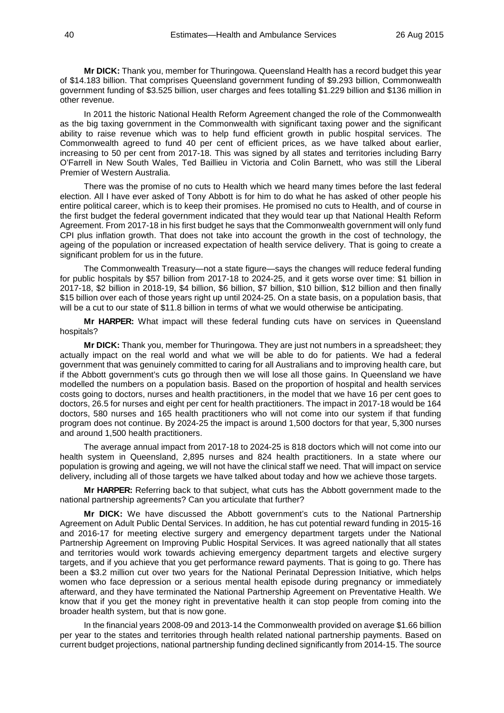**Mr DICK:** Thank you, member for Thuringowa. Queensland Health has a record budget this year of \$14.183 billion. That comprises Queensland government funding of \$9.293 billion, Commonwealth government funding of \$3.525 billion, user charges and fees totalling \$1.229 billion and \$136 million in other revenue.

In 2011 the historic National Health Reform Agreement changed the role of the Commonwealth as the big taxing government in the Commonwealth with significant taxing power and the significant ability to raise revenue which was to help fund efficient growth in public hospital services. The Commonwealth agreed to fund 40 per cent of efficient prices, as we have talked about earlier, increasing to 50 per cent from 2017-18. This was signed by all states and territories including Barry O'Farrell in New South Wales, Ted Baillieu in Victoria and Colin Barnett, who was still the Liberal Premier of Western Australia.

There was the promise of no cuts to Health which we heard many times before the last federal election. All I have ever asked of Tony Abbott is for him to do what he has asked of other people his entire political career, which is to keep their promises. He promised no cuts to Health, and of course in the first budget the federal government indicated that they would tear up that National Health Reform Agreement. From 2017-18 in his first budget he says that the Commonwealth government will only fund CPI plus inflation growth. That does not take into account the growth in the cost of technology, the ageing of the population or increased expectation of health service delivery. That is going to create a significant problem for us in the future.

The Commonwealth Treasury—not a state figure—says the changes will reduce federal funding for public hospitals by \$57 billion from 2017-18 to 2024-25, and it gets worse over time: \$1 billion in 2017-18, \$2 billion in 2018-19, \$4 billion, \$6 billion, \$7 billion, \$10 billion, \$12 billion and then finally \$15 billion over each of those years right up until 2024-25. On a state basis, on a population basis, that will be a cut to our state of \$11.8 billion in terms of what we would otherwise be anticipating.

**Mr HARPER:** What impact will these federal funding cuts have on services in Queensland hospitals?

**Mr DICK:** Thank you, member for Thuringowa. They are just not numbers in a spreadsheet; they actually impact on the real world and what we will be able to do for patients. We had a federal government that was genuinely committed to caring for all Australians and to improving health care, but if the Abbott government's cuts go through then we will lose all those gains. In Queensland we have modelled the numbers on a population basis. Based on the proportion of hospital and health services costs going to doctors, nurses and health practitioners, in the model that we have 16 per cent goes to doctors, 26.5 for nurses and eight per cent for health practitioners. The impact in 2017-18 would be 164 doctors, 580 nurses and 165 health practitioners who will not come into our system if that funding program does not continue. By 2024-25 the impact is around 1,500 doctors for that year, 5,300 nurses and around 1,500 health practitioners.

The average annual impact from 2017-18 to 2024-25 is 818 doctors which will not come into our health system in Queensland, 2,895 nurses and 824 health practitioners. In a state where our population is growing and ageing, we will not have the clinical staff we need. That will impact on service delivery, including all of those targets we have talked about today and how we achieve those targets.

**Mr HARPER:** Referring back to that subject, what cuts has the Abbott government made to the national partnership agreements? Can you articulate that further?

**Mr DICK:** We have discussed the Abbott government's cuts to the National Partnership Agreement on Adult Public Dental Services. In addition, he has cut potential reward funding in 2015-16 and 2016-17 for meeting elective surgery and emergency department targets under the National Partnership Agreement on Improving Public Hospital Services. It was agreed nationally that all states and territories would work towards achieving emergency department targets and elective surgery targets, and if you achieve that you get performance reward payments. That is going to go. There has been a \$3.2 million cut over two years for the National Perinatal Depression Initiative, which helps women who face depression or a serious mental health episode during pregnancy or immediately afterward, and they have terminated the National Partnership Agreement on Preventative Health. We know that if you get the money right in preventative health it can stop people from coming into the broader health system, but that is now gone.

In the financial years 2008-09 and 2013-14 the Commonwealth provided on average \$1.66 billion per year to the states and territories through health related national partnership payments. Based on current budget projections, national partnership funding declined significantly from 2014-15. The source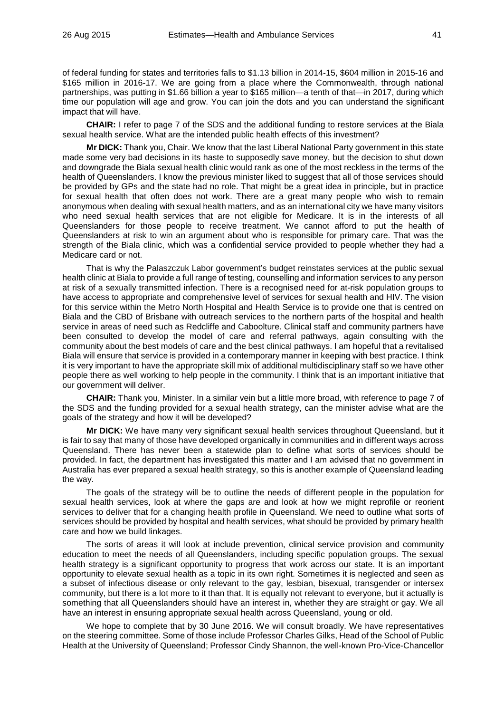of federal funding for states and territories falls to \$1.13 billion in 2014-15, \$604 million in 2015-16 and \$165 million in 2016-17. We are going from a place where the Commonwealth, through national partnerships, was putting in \$1.66 billion a year to \$165 million—a tenth of that—in 2017, during which time our population will age and grow. You can join the dots and you can understand the significant impact that will have.

**CHAIR:** I refer to page 7 of the SDS and the additional funding to restore services at the Biala sexual health service. What are the intended public health effects of this investment?

**Mr DICK:** Thank you, Chair. We know that the last Liberal National Party government in this state made some very bad decisions in its haste to supposedly save money, but the decision to shut down and downgrade the Biala sexual health clinic would rank as one of the most reckless in the terms of the health of Queenslanders. I know the previous minister liked to suggest that all of those services should be provided by GPs and the state had no role. That might be a great idea in principle, but in practice for sexual health that often does not work. There are a great many people who wish to remain anonymous when dealing with sexual health matters, and as an international city we have many visitors who need sexual health services that are not eligible for Medicare. It is in the interests of all Queenslanders for those people to receive treatment. We cannot afford to put the health of Queenslanders at risk to win an argument about who is responsible for primary care. That was the strength of the Biala clinic, which was a confidential service provided to people whether they had a Medicare card or not.

That is why the Palaszczuk Labor government's budget reinstates services at the public sexual health clinic at Biala to provide a full range of testing, counselling and information services to any person at risk of a sexually transmitted infection. There is a recognised need for at-risk population groups to have access to appropriate and comprehensive level of services for sexual health and HIV. The vision for this service within the Metro North Hospital and Health Service is to provide one that is centred on Biala and the CBD of Brisbane with outreach services to the northern parts of the hospital and health service in areas of need such as Redcliffe and Caboolture. Clinical staff and community partners have been consulted to develop the model of care and referral pathways, again consulting with the community about the best models of care and the best clinical pathways. I am hopeful that a revitalised Biala will ensure that service is provided in a contemporary manner in keeping with best practice. I think it is very important to have the appropriate skill mix of additional multidisciplinary staff so we have other people there as well working to help people in the community. I think that is an important initiative that our government will deliver.

**CHAIR:** Thank you, Minister. In a similar vein but a little more broad, with reference to page 7 of the SDS and the funding provided for a sexual health strategy, can the minister advise what are the goals of the strategy and how it will be developed?

**Mr DICK:** We have many very significant sexual health services throughout Queensland, but it is fair to say that many of those have developed organically in communities and in different ways across Queensland. There has never been a statewide plan to define what sorts of services should be provided. In fact, the department has investigated this matter and I am advised that no government in Australia has ever prepared a sexual health strategy, so this is another example of Queensland leading the way.

The goals of the strategy will be to outline the needs of different people in the population for sexual health services, look at where the gaps are and look at how we might reprofile or reorient services to deliver that for a changing health profile in Queensland. We need to outline what sorts of services should be provided by hospital and health services, what should be provided by primary health care and how we build linkages.

The sorts of areas it will look at include prevention, clinical service provision and community education to meet the needs of all Queenslanders, including specific population groups. The sexual health strategy is a significant opportunity to progress that work across our state. It is an important opportunity to elevate sexual health as a topic in its own right. Sometimes it is neglected and seen as a subset of infectious disease or only relevant to the gay, lesbian, bisexual, transgender or intersex community, but there is a lot more to it than that. It is equally not relevant to everyone, but it actually is something that all Queenslanders should have an interest in, whether they are straight or gay. We all have an interest in ensuring appropriate sexual health across Queensland, young or old.

We hope to complete that by 30 June 2016. We will consult broadly. We have representatives on the steering committee. Some of those include Professor Charles Gilks, Head of the School of Public Health at the University of Queensland; Professor Cindy Shannon, the well-known Pro-Vice-Chancellor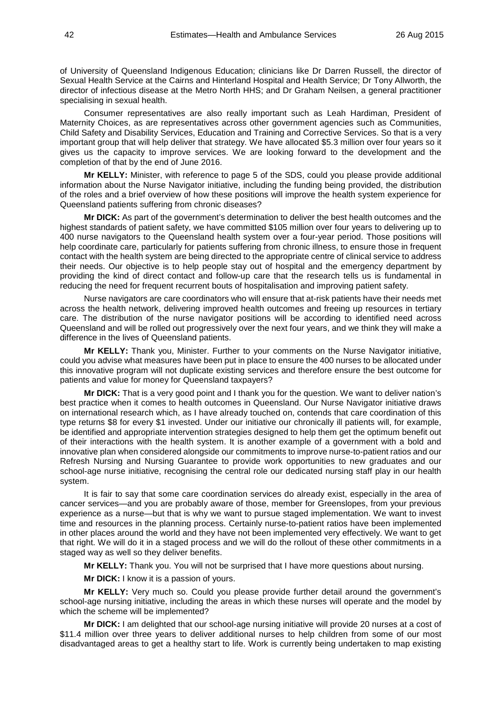of University of Queensland Indigenous Education; clinicians like Dr Darren Russell, the director of Sexual Health Service at the Cairns and Hinterland Hospital and Health Service; Dr Tony Allworth, the director of infectious disease at the Metro North HHS; and Dr Graham Neilsen, a general practitioner specialising in sexual health.

Consumer representatives are also really important such as Leah Hardiman, President of Maternity Choices, as are representatives across other government agencies such as Communities, Child Safety and Disability Services, Education and Training and Corrective Services. So that is a very important group that will help deliver that strategy. We have allocated \$5.3 million over four years so it gives us the capacity to improve services. We are looking forward to the development and the completion of that by the end of June 2016.

**Mr KELLY:** Minister, with reference to page 5 of the SDS, could you please provide additional information about the Nurse Navigator initiative, including the funding being provided, the distribution of the roles and a brief overview of how these positions will improve the health system experience for Queensland patients suffering from chronic diseases?

**Mr DICK:** As part of the government's determination to deliver the best health outcomes and the highest standards of patient safety, we have committed \$105 million over four years to delivering up to 400 nurse navigators to the Queensland health system over a four-year period. Those positions will help coordinate care, particularly for patients suffering from chronic illness, to ensure those in frequent contact with the health system are being directed to the appropriate centre of clinical service to address their needs. Our objective is to help people stay out of hospital and the emergency department by providing the kind of direct contact and follow-up care that the research tells us is fundamental in reducing the need for frequent recurrent bouts of hospitalisation and improving patient safety.

Nurse navigators are care coordinators who will ensure that at-risk patients have their needs met across the health network, delivering improved health outcomes and freeing up resources in tertiary care. The distribution of the nurse navigator positions will be according to identified need across Queensland and will be rolled out progressively over the next four years, and we think they will make a difference in the lives of Queensland patients.

**Mr KELLY:** Thank you, Minister. Further to your comments on the Nurse Navigator initiative, could you advise what measures have been put in place to ensure the 400 nurses to be allocated under this innovative program will not duplicate existing services and therefore ensure the best outcome for patients and value for money for Queensland taxpayers?

**Mr DICK:** That is a very good point and I thank you for the question. We want to deliver nation's best practice when it comes to health outcomes in Queensland. Our Nurse Navigator initiative draws on international research which, as I have already touched on, contends that care coordination of this type returns \$8 for every \$1 invested. Under our initiative our chronically ill patients will, for example, be identified and appropriate intervention strategies designed to help them get the optimum benefit out of their interactions with the health system. It is another example of a government with a bold and innovative plan when considered alongside our commitments to improve nurse-to-patient ratios and our Refresh Nursing and Nursing Guarantee to provide work opportunities to new graduates and our school-age nurse initiative, recognising the central role our dedicated nursing staff play in our health system.

It is fair to say that some care coordination services do already exist, especially in the area of cancer services—and you are probably aware of those, member for Greenslopes, from your previous experience as a nurse—but that is why we want to pursue staged implementation. We want to invest time and resources in the planning process. Certainly nurse-to-patient ratios have been implemented in other places around the world and they have not been implemented very effectively. We want to get that right. We will do it in a staged process and we will do the rollout of these other commitments in a staged way as well so they deliver benefits.

**Mr KELLY:** Thank you. You will not be surprised that I have more questions about nursing.

**Mr DICK:** I know it is a passion of yours.

**Mr KELLY:** Very much so. Could you please provide further detail around the government's school-age nursing initiative, including the areas in which these nurses will operate and the model by which the scheme will be implemented?

**Mr DICK:** I am delighted that our school-age nursing initiative will provide 20 nurses at a cost of \$11.4 million over three years to deliver additional nurses to help children from some of our most disadvantaged areas to get a healthy start to life. Work is currently being undertaken to map existing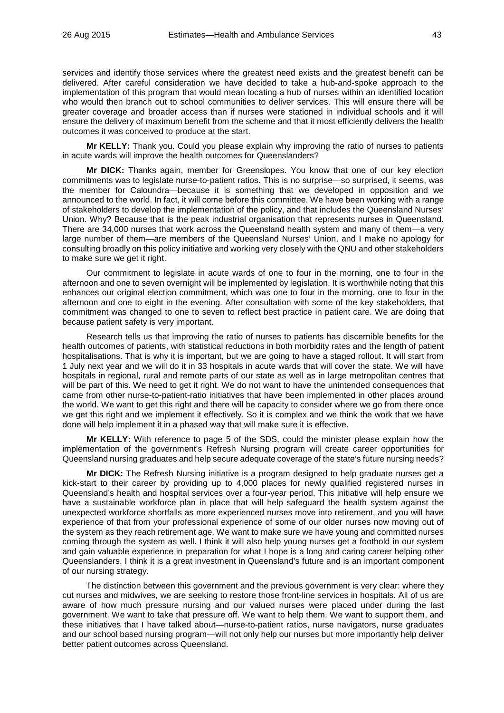services and identify those services where the greatest need exists and the greatest benefit can be delivered. After careful consideration we have decided to take a hub-and-spoke approach to the implementation of this program that would mean locating a hub of nurses within an identified location who would then branch out to school communities to deliver services. This will ensure there will be greater coverage and broader access than if nurses were stationed in individual schools and it will ensure the delivery of maximum benefit from the scheme and that it most efficiently delivers the health outcomes it was conceived to produce at the start.

**Mr KELLY:** Thank you. Could you please explain why improving the ratio of nurses to patients in acute wards will improve the health outcomes for Queenslanders?

**Mr DICK:** Thanks again, member for Greenslopes. You know that one of our key election commitments was to legislate nurse-to-patient ratios. This is no surprise—so surprised, it seems, was the member for Caloundra—because it is something that we developed in opposition and we announced to the world. In fact, it will come before this committee. We have been working with a range of stakeholders to develop the implementation of the policy, and that includes the Queensland Nurses' Union. Why? Because that is the peak industrial organisation that represents nurses in Queensland. There are 34,000 nurses that work across the Queensland health system and many of them—a very large number of them—are members of the Queensland Nurses' Union, and I make no apology for consulting broadly on this policy initiative and working very closely with the QNU and other stakeholders to make sure we get it right.

Our commitment to legislate in acute wards of one to four in the morning, one to four in the afternoon and one to seven overnight will be implemented by legislation. It is worthwhile noting that this enhances our original election commitment, which was one to four in the morning, one to four in the afternoon and one to eight in the evening. After consultation with some of the key stakeholders, that commitment was changed to one to seven to reflect best practice in patient care. We are doing that because patient safety is very important.

Research tells us that improving the ratio of nurses to patients has discernible benefits for the health outcomes of patients, with statistical reductions in both morbidity rates and the length of patient hospitalisations. That is why it is important, but we are going to have a staged rollout. It will start from 1 July next year and we will do it in 33 hospitals in acute wards that will cover the state. We will have hospitals in regional, rural and remote parts of our state as well as in large metropolitan centres that will be part of this. We need to get it right. We do not want to have the unintended consequences that came from other nurse-to-patient-ratio initiatives that have been implemented in other places around the world. We want to get this right and there will be capacity to consider where we go from there once we get this right and we implement it effectively. So it is complex and we think the work that we have done will help implement it in a phased way that will make sure it is effective.

**Mr KELLY:** With reference to page 5 of the SDS, could the minister please explain how the implementation of the government's Refresh Nursing program will create career opportunities for Queensland nursing graduates and help secure adequate coverage of the state's future nursing needs?

**Mr DICK:** The Refresh Nursing initiative is a program designed to help graduate nurses get a kick-start to their career by providing up to 4,000 places for newly qualified registered nurses in Queensland's health and hospital services over a four-year period. This initiative will help ensure we have a sustainable workforce plan in place that will help safeguard the health system against the unexpected workforce shortfalls as more experienced nurses move into retirement, and you will have experience of that from your professional experience of some of our older nurses now moving out of the system as they reach retirement age. We want to make sure we have young and committed nurses coming through the system as well. I think it will also help young nurses get a foothold in our system and gain valuable experience in preparation for what I hope is a long and caring career helping other Queenslanders. I think it is a great investment in Queensland's future and is an important component of our nursing strategy.

The distinction between this government and the previous government is very clear: where they cut nurses and midwives, we are seeking to restore those front-line services in hospitals. All of us are aware of how much pressure nursing and our valued nurses were placed under during the last government. We want to take that pressure off. We want to help them. We want to support them, and these initiatives that I have talked about—nurse-to-patient ratios, nurse navigators, nurse graduates and our school based nursing program—will not only help our nurses but more importantly help deliver better patient outcomes across Queensland.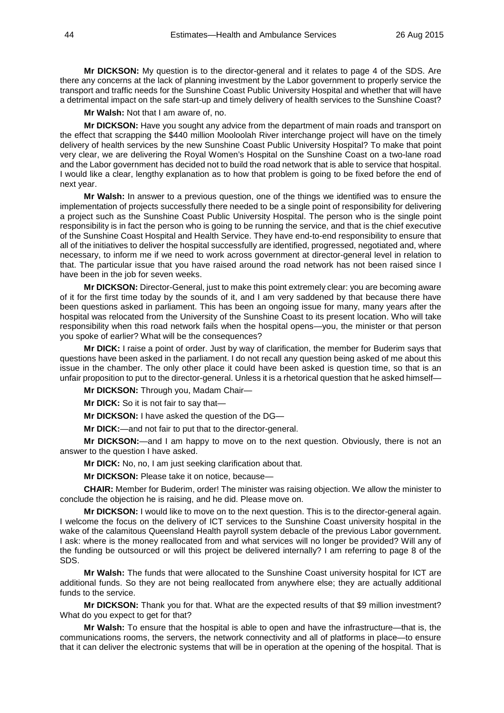**Mr DICKSON:** My question is to the director-general and it relates to page 4 of the SDS. Are there any concerns at the lack of planning investment by the Labor government to properly service the transport and traffic needs for the Sunshine Coast Public University Hospital and whether that will have a detrimental impact on the safe start-up and timely delivery of health services to the Sunshine Coast?

**Mr Walsh:** Not that I am aware of, no.

**Mr DICKSON:** Have you sought any advice from the department of main roads and transport on the effect that scrapping the \$440 million Mooloolah River interchange project will have on the timely delivery of health services by the new Sunshine Coast Public University Hospital? To make that point very clear, we are delivering the Royal Women's Hospital on the Sunshine Coast on a two-lane road and the Labor government has decided not to build the road network that is able to service that hospital. I would like a clear, lengthy explanation as to how that problem is going to be fixed before the end of next year.

**Mr Walsh:** In answer to a previous question, one of the things we identified was to ensure the implementation of projects successfully there needed to be a single point of responsibility for delivering a project such as the Sunshine Coast Public University Hospital. The person who is the single point responsibility is in fact the person who is going to be running the service, and that is the chief executive of the Sunshine Coast Hospital and Health Service. They have end-to-end responsibility to ensure that all of the initiatives to deliver the hospital successfully are identified, progressed, negotiated and, where necessary, to inform me if we need to work across government at director-general level in relation to that. The particular issue that you have raised around the road network has not been raised since I have been in the job for seven weeks.

**Mr DICKSON:** Director-General, just to make this point extremely clear: you are becoming aware of it for the first time today by the sounds of it, and I am very saddened by that because there have been questions asked in parliament. This has been an ongoing issue for many, many years after the hospital was relocated from the University of the Sunshine Coast to its present location. Who will take responsibility when this road network fails when the hospital opens—you, the minister or that person you spoke of earlier? What will be the consequences?

**Mr DICK:** I raise a point of order. Just by way of clarification, the member for Buderim says that questions have been asked in the parliament. I do not recall any question being asked of me about this issue in the chamber. The only other place it could have been asked is question time, so that is an unfair proposition to put to the director-general. Unless it is a rhetorical question that he asked himself—

**Mr DICKSON:** Through you, Madam Chair—

**Mr DICK:** So it is not fair to say that—

**Mr DICKSON:** I have asked the question of the DG—

**Mr DICK:**—and not fair to put that to the director-general.

**Mr DICKSON:**—and I am happy to move on to the next question. Obviously, there is not an answer to the question I have asked.

**Mr DICK:** No, no, I am just seeking clarification about that.

**Mr DICKSON:** Please take it on notice, because—

**CHAIR:** Member for Buderim, order! The minister was raising objection. We allow the minister to conclude the objection he is raising, and he did. Please move on.

**Mr DICKSON:** I would like to move on to the next question. This is to the director-general again. I welcome the focus on the delivery of ICT services to the Sunshine Coast university hospital in the wake of the calamitous Queensland Health payroll system debacle of the previous Labor government. I ask: where is the money reallocated from and what services will no longer be provided? Will any of the funding be outsourced or will this project be delivered internally? I am referring to page 8 of the SDS.

**Mr Walsh:** The funds that were allocated to the Sunshine Coast university hospital for ICT are additional funds. So they are not being reallocated from anywhere else; they are actually additional funds to the service.

**Mr DICKSON:** Thank you for that. What are the expected results of that \$9 million investment? What do you expect to get for that?

**Mr Walsh:** To ensure that the hospital is able to open and have the infrastructure—that is, the communications rooms, the servers, the network connectivity and all of platforms in place—to ensure that it can deliver the electronic systems that will be in operation at the opening of the hospital. That is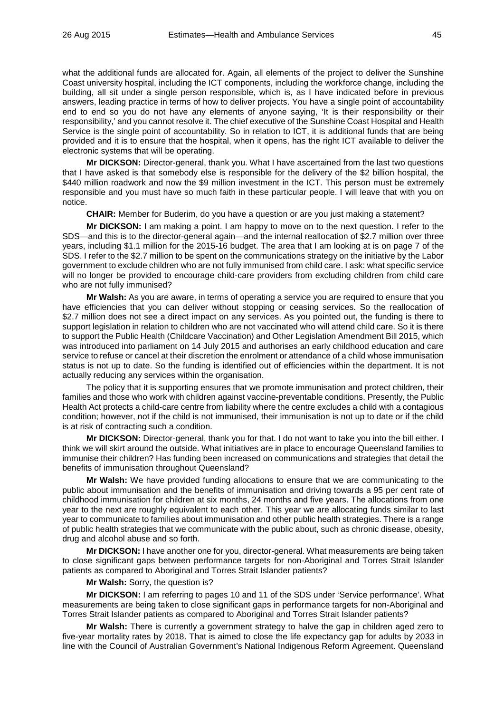what the additional funds are allocated for. Again, all elements of the project to deliver the Sunshine Coast university hospital, including the ICT components, including the workforce change, including the building, all sit under a single person responsible, which is, as I have indicated before in previous answers, leading practice in terms of how to deliver projects. You have a single point of accountability end to end so you do not have any elements of anyone saying, 'It is their responsibility or their responsibility,' and you cannot resolve it. The chief executive of the Sunshine Coast Hospital and Health Service is the single point of accountability. So in relation to ICT, it is additional funds that are being provided and it is to ensure that the hospital, when it opens, has the right ICT available to deliver the electronic systems that will be operating.

**Mr DICKSON:** Director-general, thank you. What I have ascertained from the last two questions that I have asked is that somebody else is responsible for the delivery of the \$2 billion hospital, the \$440 million roadwork and now the \$9 million investment in the ICT. This person must be extremely responsible and you must have so much faith in these particular people. I will leave that with you on notice.

**CHAIR:** Member for Buderim, do you have a question or are you just making a statement?

**Mr DICKSON:** I am making a point. I am happy to move on to the next question. I refer to the SDS—and this is to the director-general again—and the internal reallocation of \$2.7 million over three years, including \$1.1 million for the 2015-16 budget. The area that I am looking at is on page 7 of the SDS. I refer to the \$2.7 million to be spent on the communications strategy on the initiative by the Labor government to exclude children who are not fully immunised from child care. I ask: what specific service will no longer be provided to encourage child-care providers from excluding children from child care who are not fully immunised?

**Mr Walsh:** As you are aware, in terms of operating a service you are required to ensure that you have efficiencies that you can deliver without stopping or ceasing services. So the reallocation of \$2.7 million does not see a direct impact on any services. As you pointed out, the funding is there to support legislation in relation to children who are not vaccinated who will attend child care. So it is there to support the Public Health (Childcare Vaccination) and Other Legislation Amendment Bill 2015, which was introduced into parliament on 14 July 2015 and authorises an early childhood education and care service to refuse or cancel at their discretion the enrolment or attendance of a child whose immunisation status is not up to date. So the funding is identified out of efficiencies within the department. It is not actually reducing any services within the organisation.

The policy that it is supporting ensures that we promote immunisation and protect children, their families and those who work with children against vaccine-preventable conditions. Presently, the Public Health Act protects a child-care centre from liability where the centre excludes a child with a contagious condition; however, not if the child is not immunised, their immunisation is not up to date or if the child is at risk of contracting such a condition.

**Mr DICKSON:** Director-general, thank you for that. I do not want to take you into the bill either. I think we will skirt around the outside. What initiatives are in place to encourage Queensland families to immunise their children? Has funding been increased on communications and strategies that detail the benefits of immunisation throughout Queensland?

**Mr Walsh:** We have provided funding allocations to ensure that we are communicating to the public about immunisation and the benefits of immunisation and driving towards a 95 per cent rate of childhood immunisation for children at six months, 24 months and five years. The allocations from one year to the next are roughly equivalent to each other. This year we are allocating funds similar to last year to communicate to families about immunisation and other public health strategies. There is a range of public health strategies that we communicate with the public about, such as chronic disease, obesity, drug and alcohol abuse and so forth.

**Mr DICKSON:** I have another one for you, director-general. What measurements are being taken to close significant gaps between performance targets for non-Aboriginal and Torres Strait Islander patients as compared to Aboriginal and Torres Strait Islander patients?

**Mr Walsh:** Sorry, the question is?

**Mr DICKSON:** I am referring to pages 10 and 11 of the SDS under 'Service performance'. What measurements are being taken to close significant gaps in performance targets for non-Aboriginal and Torres Strait Islander patients as compared to Aboriginal and Torres Strait Islander patients?

**Mr Walsh:** There is currently a government strategy to halve the gap in children aged zero to five-year mortality rates by 2018. That is aimed to close the life expectancy gap for adults by 2033 in line with the Council of Australian Government's National Indigenous Reform Agreement. Queensland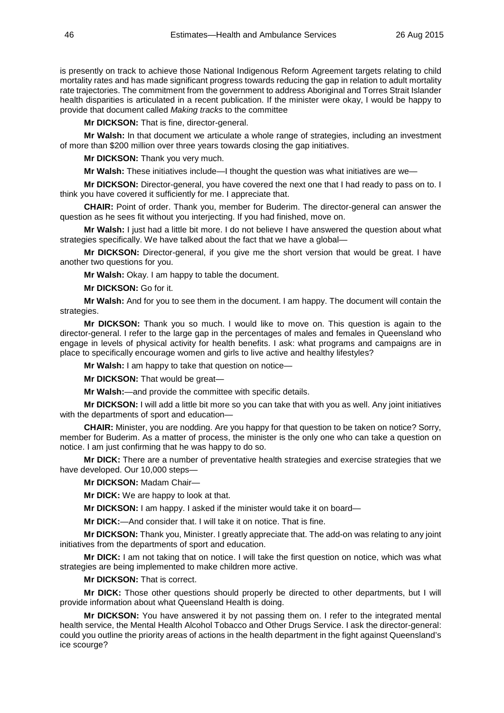is presently on track to achieve those National Indigenous Reform Agreement targets relating to child mortality rates and has made significant progress towards reducing the gap in relation to adult mortality rate trajectories. The commitment from the government to address Aboriginal and Torres Strait Islander health disparities is articulated in a recent publication. If the minister were okay, I would be happy to provide that document called *Making tracks* to the committee

**Mr DICKSON:** That is fine, director-general.

**Mr Walsh:** In that document we articulate a whole range of strategies, including an investment of more than \$200 million over three years towards closing the gap initiatives.

**Mr DICKSON:** Thank you very much.

**Mr Walsh:** These initiatives include—I thought the question was what initiatives are we—

**Mr DICKSON:** Director-general, you have covered the next one that I had ready to pass on to. I think you have covered it sufficiently for me. I appreciate that.

**CHAIR:** Point of order. Thank you, member for Buderim. The director-general can answer the question as he sees fit without you interjecting. If you had finished, move on.

**Mr Walsh:** I just had a little bit more. I do not believe I have answered the question about what strategies specifically. We have talked about the fact that we have a global—

**Mr DICKSON:** Director-general, if you give me the short version that would be great. I have another two questions for you.

**Mr Walsh:** Okay. I am happy to table the document.

**Mr DICKSON:** Go for it.

**Mr Walsh:** And for you to see them in the document. I am happy. The document will contain the strategies.

**Mr DICKSON:** Thank you so much. I would like to move on. This question is again to the director-general. I refer to the large gap in the percentages of males and females in Queensland who engage in levels of physical activity for health benefits. I ask: what programs and campaigns are in place to specifically encourage women and girls to live active and healthy lifestyles?

**Mr Walsh:** I am happy to take that question on notice—

**Mr DICKSON:** That would be great—

**Mr Walsh:**—and provide the committee with specific details.

**Mr DICKSON:** I will add a little bit more so you can take that with you as well. Any joint initiatives with the departments of sport and education—

**CHAIR:** Minister, you are nodding. Are you happy for that question to be taken on notice? Sorry, member for Buderim. As a matter of process, the minister is the only one who can take a question on notice. I am just confirming that he was happy to do so.

**Mr DICK:** There are a number of preventative health strategies and exercise strategies that we have developed. Our 10,000 steps—

**Mr DICKSON:** Madam Chair—

**Mr DICK:** We are happy to look at that.

**Mr DICKSON:** I am happy. I asked if the minister would take it on board—

**Mr DICK:**—And consider that. I will take it on notice. That is fine.

**Mr DICKSON:** Thank you, Minister. I greatly appreciate that. The add-on was relating to any joint initiatives from the departments of sport and education.

**Mr DICK:** I am not taking that on notice. I will take the first question on notice, which was what strategies are being implemented to make children more active.

**Mr DICKSON:** That is correct.

**Mr DICK:** Those other questions should properly be directed to other departments, but I will provide information about what Queensland Health is doing.

**Mr DICKSON:** You have answered it by not passing them on. I refer to the integrated mental health service, the Mental Health Alcohol Tobacco and Other Drugs Service. I ask the director-general: could you outline the priority areas of actions in the health department in the fight against Queensland's ice scourge?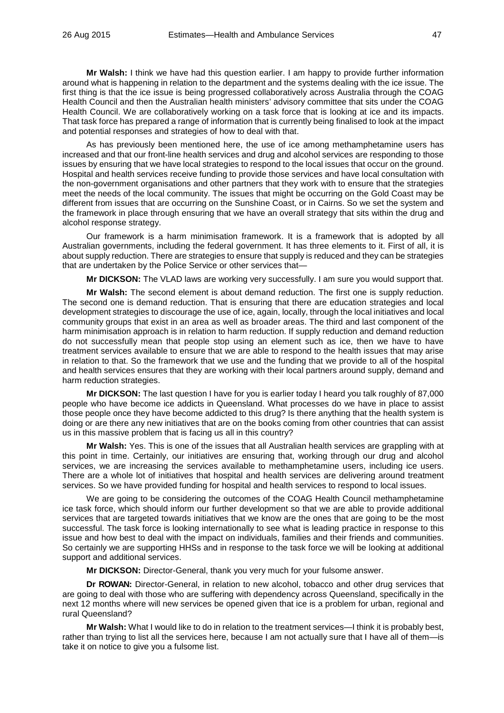**Mr Walsh:** I think we have had this question earlier. I am happy to provide further information around what is happening in relation to the department and the systems dealing with the ice issue. The first thing is that the ice issue is being progressed collaboratively across Australia through the COAG Health Council and then the Australian health ministers' advisory committee that sits under the COAG Health Council. We are collaboratively working on a task force that is looking at ice and its impacts. That task force has prepared a range of information that is currently being finalised to look at the impact and potential responses and strategies of how to deal with that.

As has previously been mentioned here, the use of ice among methamphetamine users has increased and that our front-line health services and drug and alcohol services are responding to those issues by ensuring that we have local strategies to respond to the local issues that occur on the ground. Hospital and health services receive funding to provide those services and have local consultation with the non-government organisations and other partners that they work with to ensure that the strategies meet the needs of the local community. The issues that might be occurring on the Gold Coast may be different from issues that are occurring on the Sunshine Coast, or in Cairns. So we set the system and the framework in place through ensuring that we have an overall strategy that sits within the drug and alcohol response strategy.

Our framework is a harm minimisation framework. It is a framework that is adopted by all Australian governments, including the federal government. It has three elements to it. First of all, it is about supply reduction. There are strategies to ensure that supply is reduced and they can be strategies that are undertaken by the Police Service or other services that—

**Mr DICKSON:** The VLAD laws are working very successfully. I am sure you would support that.

**Mr Walsh:** The second element is about demand reduction. The first one is supply reduction. The second one is demand reduction. That is ensuring that there are education strategies and local development strategies to discourage the use of ice, again, locally, through the local initiatives and local community groups that exist in an area as well as broader areas. The third and last component of the harm minimisation approach is in relation to harm reduction. If supply reduction and demand reduction do not successfully mean that people stop using an element such as ice, then we have to have treatment services available to ensure that we are able to respond to the health issues that may arise in relation to that. So the framework that we use and the funding that we provide to all of the hospital and health services ensures that they are working with their local partners around supply, demand and harm reduction strategies.

**Mr DICKSON:** The last question I have for you is earlier today I heard you talk roughly of 87,000 people who have become ice addicts in Queensland. What processes do we have in place to assist those people once they have become addicted to this drug? Is there anything that the health system is doing or are there any new initiatives that are on the books coming from other countries that can assist us in this massive problem that is facing us all in this country?

**Mr Walsh:** Yes. This is one of the issues that all Australian health services are grappling with at this point in time. Certainly, our initiatives are ensuring that, working through our drug and alcohol services, we are increasing the services available to methamphetamine users, including ice users. There are a whole lot of initiatives that hospital and health services are delivering around treatment services. So we have provided funding for hospital and health services to respond to local issues.

We are going to be considering the outcomes of the COAG Health Council methamphetamine ice task force, which should inform our further development so that we are able to provide additional services that are targeted towards initiatives that we know are the ones that are going to be the most successful. The task force is looking internationally to see what is leading practice in response to this issue and how best to deal with the impact on individuals, families and their friends and communities. So certainly we are supporting HHSs and in response to the task force we will be looking at additional support and additional services.

**Mr DICKSON:** Director-General, thank you very much for your fulsome answer.

**Dr ROWAN:** Director-General, in relation to new alcohol, tobacco and other drug services that are going to deal with those who are suffering with dependency across Queensland, specifically in the next 12 months where will new services be opened given that ice is a problem for urban, regional and rural Queensland?

**Mr Walsh:** What I would like to do in relation to the treatment services—I think it is probably best, rather than trying to list all the services here, because I am not actually sure that I have all of them—is take it on notice to give you a fulsome list.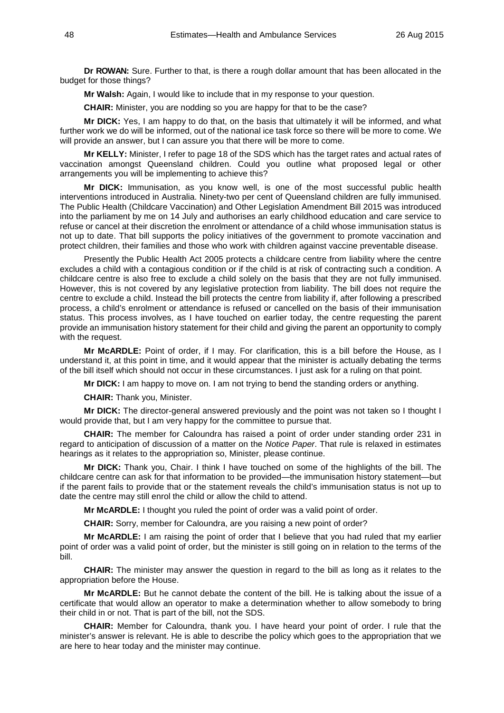**Dr ROWAN:** Sure. Further to that, is there a rough dollar amount that has been allocated in the budget for those things?

**Mr Walsh:** Again, I would like to include that in my response to your question.

**CHAIR:** Minister, you are nodding so you are happy for that to be the case?

**Mr DICK:** Yes, I am happy to do that, on the basis that ultimately it will be informed, and what further work we do will be informed, out of the national ice task force so there will be more to come. We will provide an answer, but I can assure you that there will be more to come.

**Mr KELLY:** Minister, I refer to page 18 of the SDS which has the target rates and actual rates of vaccination amongst Queensland children. Could you outline what proposed legal or other arrangements you will be implementing to achieve this?

**Mr DICK:** Immunisation, as you know well, is one of the most successful public health interventions introduced in Australia. Ninety-two per cent of Queensland children are fully immunised. The Public Health (Childcare Vaccination) and Other Legislation Amendment Bill 2015 was introduced into the parliament by me on 14 July and authorises an early childhood education and care service to refuse or cancel at their discretion the enrolment or attendance of a child whose immunisation status is not up to date. That bill supports the policy initiatives of the government to promote vaccination and protect children, their families and those who work with children against vaccine preventable disease.

Presently the Public Health Act 2005 protects a childcare centre from liability where the centre excludes a child with a contagious condition or if the child is at risk of contracting such a condition. A childcare centre is also free to exclude a child solely on the basis that they are not fully immunised. However, this is not covered by any legislative protection from liability. The bill does not require the centre to exclude a child. Instead the bill protects the centre from liability if, after following a prescribed process, a child's enrolment or attendance is refused or cancelled on the basis of their immunisation status. This process involves, as I have touched on earlier today, the centre requesting the parent provide an immunisation history statement for their child and giving the parent an opportunity to comply with the request.

**Mr McARDLE:** Point of order, if I may. For clarification, this is a bill before the House, as I understand it, at this point in time, and it would appear that the minister is actually debating the terms of the bill itself which should not occur in these circumstances. I just ask for a ruling on that point.

**Mr DICK:** I am happy to move on. I am not trying to bend the standing orders or anything.

**CHAIR:** Thank you, Minister.

**Mr DICK:** The director-general answered previously and the point was not taken so I thought I would provide that, but I am very happy for the committee to pursue that.

**CHAIR:** The member for Caloundra has raised a point of order under standing order 231 in regard to anticipation of discussion of a matter on the *Notice Paper*. That rule is relaxed in estimates hearings as it relates to the appropriation so, Minister, please continue.

**Mr DICK:** Thank you, Chair. I think I have touched on some of the highlights of the bill. The childcare centre can ask for that information to be provided—the immunisation history statement—but if the parent fails to provide that or the statement reveals the child's immunisation status is not up to date the centre may still enrol the child or allow the child to attend.

**Mr McARDLE:** I thought you ruled the point of order was a valid point of order.

**CHAIR:** Sorry, member for Caloundra, are you raising a new point of order?

**Mr McARDLE:** I am raising the point of order that I believe that you had ruled that my earlier point of order was a valid point of order, but the minister is still going on in relation to the terms of the bill.

**CHAIR:** The minister may answer the question in regard to the bill as long as it relates to the appropriation before the House.

**Mr McARDLE:** But he cannot debate the content of the bill. He is talking about the issue of a certificate that would allow an operator to make a determination whether to allow somebody to bring their child in or not. That is part of the bill, not the SDS.

**CHAIR:** Member for Caloundra, thank you. I have heard your point of order. I rule that the minister's answer is relevant. He is able to describe the policy which goes to the appropriation that we are here to hear today and the minister may continue.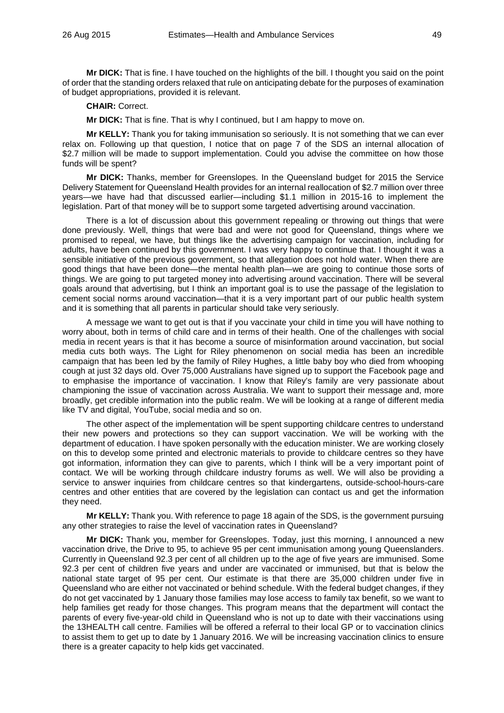**Mr DICK:** That is fine. I have touched on the highlights of the bill. I thought you said on the point of order that the standing orders relaxed that rule on anticipating debate for the purposes of examination of budget appropriations, provided it is relevant.

**CHAIR:** Correct.

**Mr DICK:** That is fine. That is why I continued, but I am happy to move on.

**Mr KELLY:** Thank you for taking immunisation so seriously. It is not something that we can ever relax on. Following up that question, I notice that on page 7 of the SDS an internal allocation of \$2.7 million will be made to support implementation. Could you advise the committee on how those funds will be spent?

**Mr DICK:** Thanks, member for Greenslopes. In the Queensland budget for 2015 the Service Delivery Statement for Queensland Health provides for an internal reallocation of \$2.7 million over three years—we have had that discussed earlier—including \$1.1 million in 2015-16 to implement the legislation. Part of that money will be to support some targeted advertising around vaccination.

There is a lot of discussion about this government repealing or throwing out things that were done previously. Well, things that were bad and were not good for Queensland, things where we promised to repeal, we have, but things like the advertising campaign for vaccination, including for adults, have been continued by this government. I was very happy to continue that. I thought it was a sensible initiative of the previous government, so that allegation does not hold water. When there are good things that have been done—the mental health plan—we are going to continue those sorts of things. We are going to put targeted money into advertising around vaccination. There will be several goals around that advertising, but I think an important goal is to use the passage of the legislation to cement social norms around vaccination—that it is a very important part of our public health system and it is something that all parents in particular should take very seriously.

A message we want to get out is that if you vaccinate your child in time you will have nothing to worry about, both in terms of child care and in terms of their health. One of the challenges with social media in recent years is that it has become a source of misinformation around vaccination, but social media cuts both ways. The Light for Riley phenomenon on social media has been an incredible campaign that has been led by the family of Riley Hughes, a little baby boy who died from whooping cough at just 32 days old. Over 75,000 Australians have signed up to support the Facebook page and to emphasise the importance of vaccination. I know that Riley's family are very passionate about championing the issue of vaccination across Australia. We want to support their message and, more broadly, get credible information into the public realm. We will be looking at a range of different media like TV and digital, YouTube, social media and so on.

The other aspect of the implementation will be spent supporting childcare centres to understand their new powers and protections so they can support vaccination. We will be working with the department of education. I have spoken personally with the education minister. We are working closely on this to develop some printed and electronic materials to provide to childcare centres so they have got information, information they can give to parents, which I think will be a very important point of contact. We will be working through childcare industry forums as well. We will also be providing a service to answer inquiries from childcare centres so that kindergartens, outside-school-hours-care centres and other entities that are covered by the legislation can contact us and get the information they need.

**Mr KELLY:** Thank you. With reference to page 18 again of the SDS, is the government pursuing any other strategies to raise the level of vaccination rates in Queensland?

**Mr DICK:** Thank you, member for Greenslopes. Today, just this morning, I announced a new vaccination drive, the Drive to 95, to achieve 95 per cent immunisation among young Queenslanders. Currently in Queensland 92.3 per cent of all children up to the age of five years are immunised. Some 92.3 per cent of children five years and under are vaccinated or immunised, but that is below the national state target of 95 per cent. Our estimate is that there are 35,000 children under five in Queensland who are either not vaccinated or behind schedule. With the federal budget changes, if they do not get vaccinated by 1 January those families may lose access to family tax benefit, so we want to help families get ready for those changes. This program means that the department will contact the parents of every five-year-old child in Queensland who is not up to date with their vaccinations using the 13HEALTH call centre. Families will be offered a referral to their local GP or to vaccination clinics to assist them to get up to date by 1 January 2016. We will be increasing vaccination clinics to ensure there is a greater capacity to help kids get vaccinated.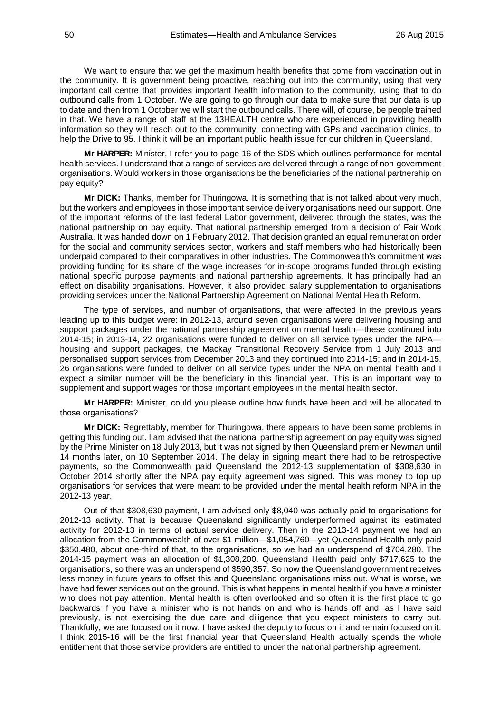We want to ensure that we get the maximum health benefits that come from vaccination out in the community. It is government being proactive, reaching out into the community, using that very important call centre that provides important health information to the community, using that to do outbound calls from 1 October. We are going to go through our data to make sure that our data is up to date and then from 1 October we will start the outbound calls. There will, of course, be people trained in that. We have a range of staff at the 13HEALTH centre who are experienced in providing health information so they will reach out to the community, connecting with GPs and vaccination clinics, to help the Drive to 95. I think it will be an important public health issue for our children in Queensland.

**Mr HARPER:** Minister, I refer you to page 16 of the SDS which outlines performance for mental health services. I understand that a range of services are delivered through a range of non-government organisations. Would workers in those organisations be the beneficiaries of the national partnership on pay equity?

**Mr DICK:** Thanks, member for Thuringowa. It is something that is not talked about very much, but the workers and employees in those important service delivery organisations need our support. One of the important reforms of the last federal Labor government, delivered through the states, was the national partnership on pay equity. That national partnership emerged from a decision of Fair Work Australia. It was handed down on 1 February 2012. That decision granted an equal remuneration order for the social and community services sector, workers and staff members who had historically been underpaid compared to their comparatives in other industries. The Commonwealth's commitment was providing funding for its share of the wage increases for in-scope programs funded through existing national specific purpose payments and national partnership agreements. It has principally had an effect on disability organisations. However, it also provided salary supplementation to organisations providing services under the National Partnership Agreement on National Mental Health Reform.

The type of services, and number of organisations, that were affected in the previous years leading up to this budget were: in 2012-13, around seven organisations were delivering housing and support packages under the national partnership agreement on mental health—these continued into 2014-15; in 2013-14, 22 organisations were funded to deliver on all service types under the NPA housing and support packages, the Mackay Transitional Recovery Service from 1 July 2013 and personalised support services from December 2013 and they continued into 2014-15; and in 2014-15, 26 organisations were funded to deliver on all service types under the NPA on mental health and I expect a similar number will be the beneficiary in this financial year. This is an important way to supplement and support wages for those important employees in the mental health sector.

**Mr HARPER:** Minister, could you please outline how funds have been and will be allocated to those organisations?

**Mr DICK:** Regrettably, member for Thuringowa, there appears to have been some problems in getting this funding out. I am advised that the national partnership agreement on pay equity was signed by the Prime Minister on 18 July 2013, but it was not signed by then Queensland premier Newman until 14 months later, on 10 September 2014. The delay in signing meant there had to be retrospective payments, so the Commonwealth paid Queensland the 2012-13 supplementation of \$308,630 in October 2014 shortly after the NPA pay equity agreement was signed. This was money to top up organisations for services that were meant to be provided under the mental health reform NPA in the 2012-13 year.

Out of that \$308,630 payment, I am advised only \$8,040 was actually paid to organisations for 2012-13 activity. That is because Queensland significantly underperformed against its estimated activity for 2012-13 in terms of actual service delivery. Then in the 2013-14 payment we had an allocation from the Commonwealth of over \$1 million—\$1,054,760—yet Queensland Health only paid \$350,480, about one-third of that, to the organisations, so we had an underspend of \$704,280. The 2014-15 payment was an allocation of \$1,308,200. Queensland Health paid only \$717,625 to the organisations, so there was an underspend of \$590,357. So now the Queensland government receives less money in future years to offset this and Queensland organisations miss out. What is worse, we have had fewer services out on the ground. This is what happens in mental health if you have a minister who does not pay attention. Mental health is often overlooked and so often it is the first place to go backwards if you have a minister who is not hands on and who is hands off and, as I have said previously, is not exercising the due care and diligence that you expect ministers to carry out. Thankfully, we are focused on it now. I have asked the deputy to focus on it and remain focused on it. I think 2015-16 will be the first financial year that Queensland Health actually spends the whole entitlement that those service providers are entitled to under the national partnership agreement.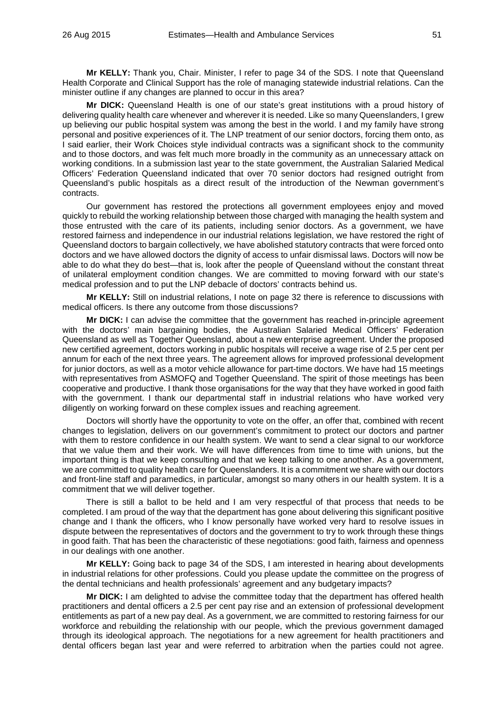**Mr KELLY:** Thank you, Chair. Minister, I refer to page 34 of the SDS. I note that Queensland Health Corporate and Clinical Support has the role of managing statewide industrial relations. Can the minister outline if any changes are planned to occur in this area?

**Mr DICK:** Queensland Health is one of our state's great institutions with a proud history of delivering quality health care whenever and wherever it is needed. Like so many Queenslanders, I grew up believing our public hospital system was among the best in the world. I and my family have strong personal and positive experiences of it. The LNP treatment of our senior doctors, forcing them onto, as I said earlier, their Work Choices style individual contracts was a significant shock to the community and to those doctors, and was felt much more broadly in the community as an unnecessary attack on working conditions. In a submission last year to the state government, the Australian Salaried Medical Officers' Federation Queensland indicated that over 70 senior doctors had resigned outright from Queensland's public hospitals as a direct result of the introduction of the Newman government's contracts.

Our government has restored the protections all government employees enjoy and moved quickly to rebuild the working relationship between those charged with managing the health system and those entrusted with the care of its patients, including senior doctors. As a government, we have restored fairness and independence in our industrial relations legislation, we have restored the right of Queensland doctors to bargain collectively, we have abolished statutory contracts that were forced onto doctors and we have allowed doctors the dignity of access to unfair dismissal laws. Doctors will now be able to do what they do best—that is, look after the people of Queensland without the constant threat of unilateral employment condition changes. We are committed to moving forward with our state's medical profession and to put the LNP debacle of doctors' contracts behind us.

**Mr KELLY:** Still on industrial relations, I note on page 32 there is reference to discussions with medical officers. Is there any outcome from those discussions?

**Mr DICK:** I can advise the committee that the government has reached in-principle agreement with the doctors' main bargaining bodies, the Australian Salaried Medical Officers' Federation Queensland as well as Together Queensland, about a new enterprise agreement. Under the proposed new certified agreement, doctors working in public hospitals will receive a wage rise of 2.5 per cent per annum for each of the next three years. The agreement allows for improved professional development for junior doctors, as well as a motor vehicle allowance for part-time doctors. We have had 15 meetings with representatives from ASMOFQ and Together Queensland. The spirit of those meetings has been cooperative and productive. I thank those organisations for the way that they have worked in good faith with the government. I thank our departmental staff in industrial relations who have worked very diligently on working forward on these complex issues and reaching agreement.

Doctors will shortly have the opportunity to vote on the offer, an offer that, combined with recent changes to legislation, delivers on our government's commitment to protect our doctors and partner with them to restore confidence in our health system. We want to send a clear signal to our workforce that we value them and their work. We will have differences from time to time with unions, but the important thing is that we keep consulting and that we keep talking to one another. As a government, we are committed to quality health care for Queenslanders. It is a commitment we share with our doctors and front-line staff and paramedics, in particular, amongst so many others in our health system. It is a commitment that we will deliver together.

There is still a ballot to be held and I am very respectful of that process that needs to be completed. I am proud of the way that the department has gone about delivering this significant positive change and I thank the officers, who I know personally have worked very hard to resolve issues in dispute between the representatives of doctors and the government to try to work through these things in good faith. That has been the characteristic of these negotiations: good faith, fairness and openness in our dealings with one another.

**Mr KELLY:** Going back to page 34 of the SDS, I am interested in hearing about developments in industrial relations for other professions. Could you please update the committee on the progress of the dental technicians and health professionals' agreement and any budgetary impacts?

**Mr DICK:** I am delighted to advise the committee today that the department has offered health practitioners and dental officers a 2.5 per cent pay rise and an extension of professional development entitlements as part of a new pay deal. As a government, we are committed to restoring fairness for our workforce and rebuilding the relationship with our people, which the previous government damaged through its ideological approach. The negotiations for a new agreement for health practitioners and dental officers began last year and were referred to arbitration when the parties could not agree.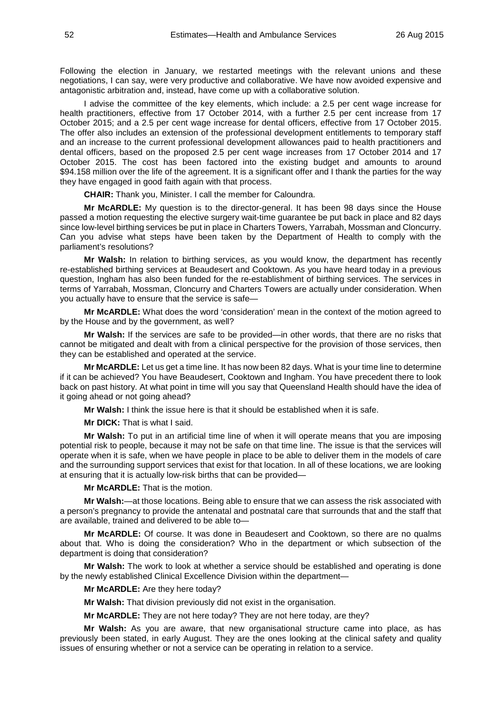Following the election in January, we restarted meetings with the relevant unions and these negotiations, I can say, were very productive and collaborative. We have now avoided expensive and antagonistic arbitration and, instead, have come up with a collaborative solution.

I advise the committee of the key elements, which include: a 2.5 per cent wage increase for health practitioners, effective from 17 October 2014, with a further 2.5 per cent increase from 17 October 2015; and a 2.5 per cent wage increase for dental officers, effective from 17 October 2015. The offer also includes an extension of the professional development entitlements to temporary staff and an increase to the current professional development allowances paid to health practitioners and dental officers, based on the proposed 2.5 per cent wage increases from 17 October 2014 and 17 October 2015. The cost has been factored into the existing budget and amounts to around \$94.158 million over the life of the agreement. It is a significant offer and I thank the parties for the way they have engaged in good faith again with that process.

**CHAIR:** Thank you, Minister. I call the member for Caloundra.

**Mr McARDLE:** My question is to the director-general. It has been 98 days since the House passed a motion requesting the elective surgery wait-time guarantee be put back in place and 82 days since low-level birthing services be put in place in Charters Towers, Yarrabah, Mossman and Cloncurry. Can you advise what steps have been taken by the Department of Health to comply with the parliament's resolutions?

**Mr Walsh:** In relation to birthing services, as you would know, the department has recently re-established birthing services at Beaudesert and Cooktown. As you have heard today in a previous question, Ingham has also been funded for the re-establishment of birthing services. The services in terms of Yarrabah, Mossman, Cloncurry and Charters Towers are actually under consideration. When you actually have to ensure that the service is safe—

**Mr McARDLE:** What does the word 'consideration' mean in the context of the motion agreed to by the House and by the government, as well?

**Mr Walsh:** If the services are safe to be provided—in other words, that there are no risks that cannot be mitigated and dealt with from a clinical perspective for the provision of those services, then they can be established and operated at the service.

**Mr McARDLE:** Let us get a time line. It has now been 82 days. What is your time line to determine if it can be achieved? You have Beaudesert, Cooktown and Ingham. You have precedent there to look back on past history. At what point in time will you say that Queensland Health should have the idea of it going ahead or not going ahead?

**Mr Walsh:** I think the issue here is that it should be established when it is safe.

**Mr DICK:** That is what I said.

**Mr Walsh:** To put in an artificial time line of when it will operate means that you are imposing potential risk to people, because it may not be safe on that time line. The issue is that the services will operate when it is safe, when we have people in place to be able to deliver them in the models of care and the surrounding support services that exist for that location. In all of these locations, we are looking at ensuring that it is actually low-risk births that can be provided—

**Mr McARDLE:** That is the motion.

**Mr Walsh:**—at those locations. Being able to ensure that we can assess the risk associated with a person's pregnancy to provide the antenatal and postnatal care that surrounds that and the staff that are available, trained and delivered to be able to—

**Mr McARDLE:** Of course. It was done in Beaudesert and Cooktown, so there are no qualms about that. Who is doing the consideration? Who in the department or which subsection of the department is doing that consideration?

**Mr Walsh:** The work to look at whether a service should be established and operating is done by the newly established Clinical Excellence Division within the department—

**Mr McARDLE:** Are they here today?

**Mr Walsh:** That division previously did not exist in the organisation.

**Mr McARDLE:** They are not here today? They are not here today, are they?

**Mr Walsh:** As you are aware, that new organisational structure came into place, as has previously been stated, in early August. They are the ones looking at the clinical safety and quality issues of ensuring whether or not a service can be operating in relation to a service.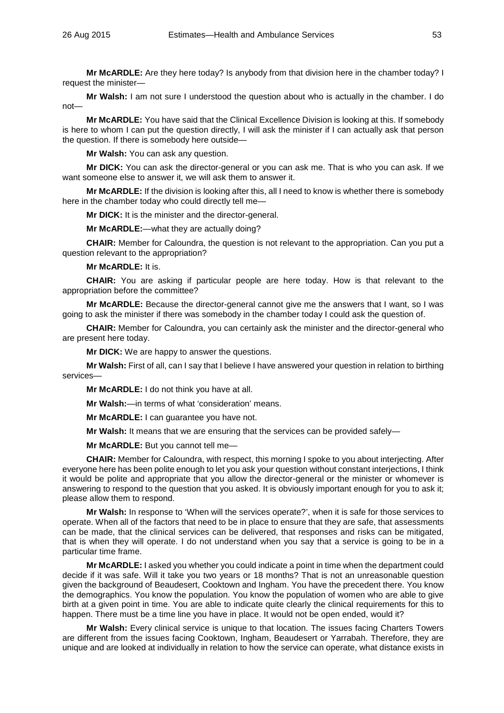**Mr McARDLE:** Are they here today? Is anybody from that division here in the chamber today? I request the minister—

**Mr Walsh:** I am not sure I understood the question about who is actually in the chamber. I do not—

**Mr McARDLE:** You have said that the Clinical Excellence Division is looking at this. If somebody is here to whom I can put the question directly, I will ask the minister if I can actually ask that person the question. If there is somebody here outside—

**Mr Walsh:** You can ask any question.

**Mr DICK:** You can ask the director-general or you can ask me. That is who you can ask. If we want someone else to answer it, we will ask them to answer it.

**Mr McARDLE:** If the division is looking after this, all I need to know is whether there is somebody here in the chamber today who could directly tell me—

**Mr DICK:** It is the minister and the director-general.

**Mr McARDLE:**—what they are actually doing?

**CHAIR:** Member for Caloundra, the question is not relevant to the appropriation. Can you put a question relevant to the appropriation?

**Mr McARDLE:** It is.

**CHAIR:** You are asking if particular people are here today. How is that relevant to the appropriation before the committee?

**Mr McARDLE:** Because the director-general cannot give me the answers that I want, so I was going to ask the minister if there was somebody in the chamber today I could ask the question of.

**CHAIR:** Member for Caloundra, you can certainly ask the minister and the director-general who are present here today.

**Mr DICK:** We are happy to answer the questions.

**Mr Walsh:** First of all, can I say that I believe I have answered your question in relation to birthing services—

**Mr McARDLE:** I do not think you have at all.

**Mr Walsh:**—in terms of what 'consideration' means.

**Mr McARDLE:** I can guarantee you have not.

**Mr Walsh:** It means that we are ensuring that the services can be provided safely—

**Mr McARDLE:** But you cannot tell me—

**CHAIR:** Member for Caloundra, with respect, this morning I spoke to you about interjecting. After everyone here has been polite enough to let you ask your question without constant interjections, I think it would be polite and appropriate that you allow the director-general or the minister or whomever is answering to respond to the question that you asked. It is obviously important enough for you to ask it; please allow them to respond.

**Mr Walsh:** In response to 'When will the services operate?', when it is safe for those services to operate. When all of the factors that need to be in place to ensure that they are safe, that assessments can be made, that the clinical services can be delivered, that responses and risks can be mitigated, that is when they will operate. I do not understand when you say that a service is going to be in a particular time frame.

**Mr McARDLE:** I asked you whether you could indicate a point in time when the department could decide if it was safe. Will it take you two years or 18 months? That is not an unreasonable question given the background of Beaudesert, Cooktown and Ingham. You have the precedent there. You know the demographics. You know the population. You know the population of women who are able to give birth at a given point in time. You are able to indicate quite clearly the clinical requirements for this to happen. There must be a time line you have in place. It would not be open ended, would it?

**Mr Walsh:** Every clinical service is unique to that location. The issues facing Charters Towers are different from the issues facing Cooktown, Ingham, Beaudesert or Yarrabah. Therefore, they are unique and are looked at individually in relation to how the service can operate, what distance exists in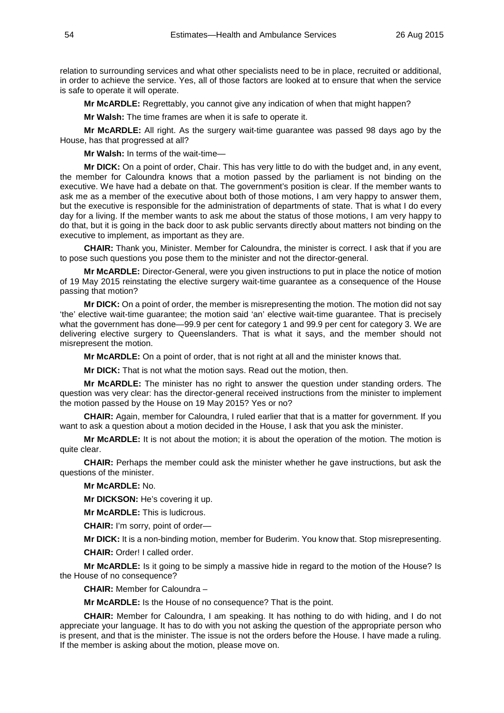relation to surrounding services and what other specialists need to be in place, recruited or additional, in order to achieve the service. Yes, all of those factors are looked at to ensure that when the service is safe to operate it will operate.

**Mr McARDLE:** Regrettably, you cannot give any indication of when that might happen?

**Mr Walsh:** The time frames are when it is safe to operate it.

**Mr McARDLE:** All right. As the surgery wait-time guarantee was passed 98 days ago by the House, has that progressed at all?

**Mr Walsh:** In terms of the wait-time—

**Mr DICK:** On a point of order, Chair. This has very little to do with the budget and, in any event, the member for Caloundra knows that a motion passed by the parliament is not binding on the executive. We have had a debate on that. The government's position is clear. If the member wants to ask me as a member of the executive about both of those motions, I am very happy to answer them, but the executive is responsible for the administration of departments of state. That is what I do every day for a living. If the member wants to ask me about the status of those motions, I am very happy to do that, but it is going in the back door to ask public servants directly about matters not binding on the executive to implement, as important as they are.

**CHAIR:** Thank you, Minister. Member for Caloundra, the minister is correct. I ask that if you are to pose such questions you pose them to the minister and not the director-general.

**Mr McARDLE:** Director-General, were you given instructions to put in place the notice of motion of 19 May 2015 reinstating the elective surgery wait-time guarantee as a consequence of the House passing that motion?

**Mr DICK:** On a point of order, the member is misrepresenting the motion. The motion did not say 'the' elective wait-time guarantee; the motion said 'an' elective wait-time guarantee. That is precisely what the government has done—99.9 per cent for category 1 and 99.9 per cent for category 3. We are delivering elective surgery to Queenslanders. That is what it says, and the member should not misrepresent the motion.

**Mr McARDLE:** On a point of order, that is not right at all and the minister knows that.

**Mr DICK:** That is not what the motion says. Read out the motion, then.

**Mr McARDLE:** The minister has no right to answer the question under standing orders. The question was very clear: has the director-general received instructions from the minister to implement the motion passed by the House on 19 May 2015? Yes or no?

**CHAIR:** Again, member for Caloundra, I ruled earlier that that is a matter for government. If you want to ask a question about a motion decided in the House, I ask that you ask the minister.

**Mr McARDLE:** It is not about the motion; it is about the operation of the motion. The motion is quite clear.

**CHAIR:** Perhaps the member could ask the minister whether he gave instructions, but ask the questions of the minister.

**Mr McARDLE:** No.

**Mr DICKSON:** He's covering it up.

**Mr McARDLE:** This is ludicrous.

**CHAIR:** I'm sorry, point of order—

**Mr DICK:** It is a non-binding motion, member for Buderim. You know that. Stop misrepresenting.

**CHAIR:** Order! I called order.

**Mr McARDLE:** Is it going to be simply a massive hide in regard to the motion of the House? Is the House of no consequence?

**CHAIR:** Member for Caloundra –

**Mr McARDLE:** Is the House of no consequence? That is the point.

**CHAIR:** Member for Caloundra, I am speaking. It has nothing to do with hiding, and I do not appreciate your language. It has to do with you not asking the question of the appropriate person who is present, and that is the minister. The issue is not the orders before the House. I have made a ruling. If the member is asking about the motion, please move on.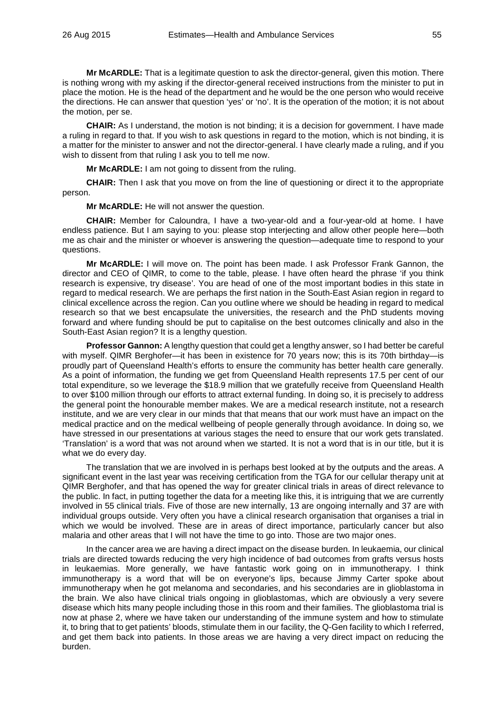**Mr McARDLE:** That is a legitimate question to ask the director-general, given this motion. There is nothing wrong with my asking if the director-general received instructions from the minister to put in place the motion. He is the head of the department and he would be the one person who would receive the directions. He can answer that question 'yes' or 'no'. It is the operation of the motion; it is not about the motion, per se.

**CHAIR:** As I understand, the motion is not binding; it is a decision for government. I have made a ruling in regard to that. If you wish to ask questions in regard to the motion, which is not binding, it is a matter for the minister to answer and not the director-general. I have clearly made a ruling, and if you wish to dissent from that ruling I ask you to tell me now.

**Mr McARDLE:** I am not going to dissent from the ruling.

**CHAIR:** Then I ask that you move on from the line of questioning or direct it to the appropriate person.

**Mr McARDLE:** He will not answer the question.

**CHAIR:** Member for Caloundra, I have a two-year-old and a four-year-old at home. I have endless patience. But I am saying to you: please stop interjecting and allow other people here—both me as chair and the minister or whoever is answering the question—adequate time to respond to your questions.

**Mr McARDLE:** I will move on. The point has been made. I ask Professor Frank Gannon, the director and CEO of QIMR, to come to the table, please. I have often heard the phrase 'if you think research is expensive, try disease'. You are head of one of the most important bodies in this state in regard to medical research. We are perhaps the first nation in the South-East Asian region in regard to clinical excellence across the region. Can you outline where we should be heading in regard to medical research so that we best encapsulate the universities, the research and the PhD students moving forward and where funding should be put to capitalise on the best outcomes clinically and also in the South-East Asian region? It is a lengthy question.

**Professor Gannon:** A lengthy question that could get a lengthy answer, so I had better be careful with myself. QIMR Berghofer—it has been in existence for 70 years now; this is its 70th birthday—is proudly part of Queensland Health's efforts to ensure the community has better health care generally. As a point of information, the funding we get from Queensland Health represents 17.5 per cent of our total expenditure, so we leverage the \$18.9 million that we gratefully receive from Queensland Health to over \$100 million through our efforts to attract external funding. In doing so, it is precisely to address the general point the honourable member makes. We are a medical research institute, not a research institute, and we are very clear in our minds that that means that our work must have an impact on the medical practice and on the medical wellbeing of people generally through avoidance. In doing so, we have stressed in our presentations at various stages the need to ensure that our work gets translated. 'Translation' is a word that was not around when we started. It is not a word that is in our title, but it is what we do every day.

The translation that we are involved in is perhaps best looked at by the outputs and the areas. A significant event in the last year was receiving certification from the TGA for our cellular therapy unit at QIMR Berghofer, and that has opened the way for greater clinical trials in areas of direct relevance to the public. In fact, in putting together the data for a meeting like this, it is intriguing that we are currently involved in 55 clinical trials. Five of those are new internally, 13 are ongoing internally and 37 are with individual groups outside. Very often you have a clinical research organisation that organises a trial in which we would be involved. These are in areas of direct importance, particularly cancer but also malaria and other areas that I will not have the time to go into. Those are two major ones.

In the cancer area we are having a direct impact on the disease burden. In leukaemia, our clinical trials are directed towards reducing the very high incidence of bad outcomes from grafts versus hosts in leukaemias. More generally, we have fantastic work going on in immunotherapy. I think immunotherapy is a word that will be on everyone's lips, because Jimmy Carter spoke about immunotherapy when he got melanoma and secondaries, and his secondaries are in glioblastoma in the brain. We also have clinical trials ongoing in glioblastomas, which are obviously a very severe disease which hits many people including those in this room and their families. The glioblastoma trial is now at phase 2, where we have taken our understanding of the immune system and how to stimulate it, to bring that to get patients' bloods, stimulate them in our facility, the Q-Gen facility to which I referred, and get them back into patients. In those areas we are having a very direct impact on reducing the burden.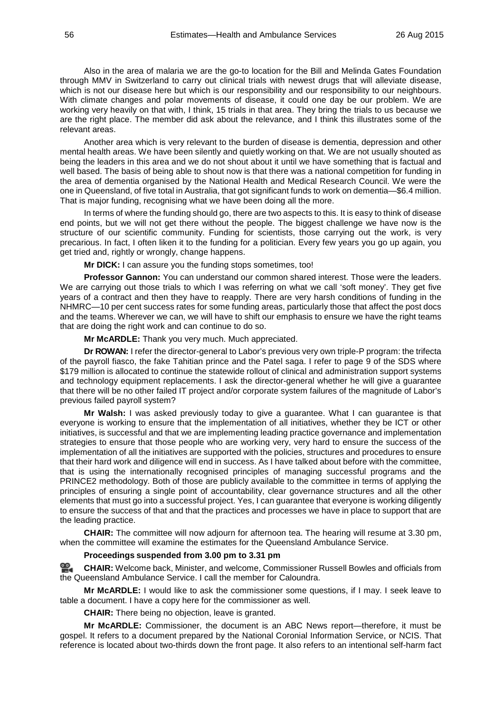Also in the area of malaria we are the go-to location for the Bill and Melinda Gates Foundation through MMV in Switzerland to carry out clinical trials with newest drugs that will alleviate disease, which is not our disease here but which is our responsibility and our responsibility to our neighbours. With climate changes and polar movements of disease, it could one day be our problem. We are working very heavily on that with, I think, 15 trials in that area. They bring the trials to us because we are the right place. The member did ask about the relevance, and I think this illustrates some of the relevant areas.

Another area which is very relevant to the burden of disease is dementia, depression and other mental health areas. We have been silently and quietly working on that. We are not usually shouted as being the leaders in this area and we do not shout about it until we have something that is factual and well based. The basis of being able to shout now is that there was a national competition for funding in the area of dementia organised by the National Health and Medical Research Council. We were the one in Queensland, of five total in Australia, that got significant funds to work on dementia—\$6.4 million. That is major funding, recognising what we have been doing all the more.

In terms of where the funding should go, there are two aspects to this. It is easy to think of disease end points, but we will not get there without the people. The biggest challenge we have now is the structure of our scientific community. Funding for scientists, those carrying out the work, is very precarious. In fact, I often liken it to the funding for a politician. Every few years you go up again, you get tried and, rightly or wrongly, change happens.

**Mr DICK:** I can assure you the funding stops sometimes, too!

**Professor Gannon:** You can understand our common shared interest. Those were the leaders. We are carrying out those trials to which I was referring on what we call 'soft money'. They get five years of a contract and then they have to reapply. There are very harsh conditions of funding in the NHMRC—10 per cent success rates for some funding areas, particularly those that affect the post docs and the teams. Wherever we can, we will have to shift our emphasis to ensure we have the right teams that are doing the right work and can continue to do so.

**Mr McARDLE:** Thank you very much. Much appreciated.

**Dr ROWAN:** I refer the director-general to Labor's previous very own triple-P program: the trifecta of the payroll fiasco, the fake Tahitian prince and the Patel saga. I refer to page 9 of the SDS where \$179 million is allocated to continue the statewide rollout of clinical and administration support systems and technology equipment replacements. I ask the director-general whether he will give a guarantee that there will be no other failed IT project and/or corporate system failures of the magnitude of Labor's previous failed payroll system?

**Mr Walsh:** I was asked previously today to give a guarantee. What I can guarantee is that everyone is working to ensure that the implementation of all initiatives, whether they be ICT or other initiatives, is successful and that we are implementing leading practice governance and implementation strategies to ensure that those people who are working very, very hard to ensure the success of the implementation of all the initiatives are supported with the policies, structures and procedures to ensure that their hard work and diligence will end in success. As I have talked about before with the committee, that is using the internationally recognised principles of managing successful programs and the PRINCE2 methodology. Both of those are publicly available to the committee in terms of applying the principles of ensuring a single point of accountability, clear governance structures and all the other elements that must go into a successful project. Yes, I can guarantee that everyone is working diligently to ensure the success of that and that the practices and processes we have in place to support that are the leading practice.

**CHAIR:** The committee will now adjourn for afternoon tea. The hearing will resume at 3.30 pm, when the committee will examine the estimates for the Queensland Ambulance Service.

## **Proceedings suspended from 3.00 pm to 3.31 pm**

**CHAIR:** Welcome back, Minister, and welcome, Commissioner Russell Bowles and officials from the Queensland Ambulance Service. I call the member for Caloundra.

**Mr McARDLE:** I would like to ask the commissioner some questions, if I may. I seek leave to table a document. I have a copy here for the commissioner as well.

**CHAIR:** There being no objection, leave is granted.

**Mr McARDLE:** Commissioner, the document is an ABC News report—therefore, it must be gospel. It refers to a document prepared by the National Coronial Information Service, or NCIS. That reference is located about two-thirds down the front page. It also refers to an intentional self-harm fact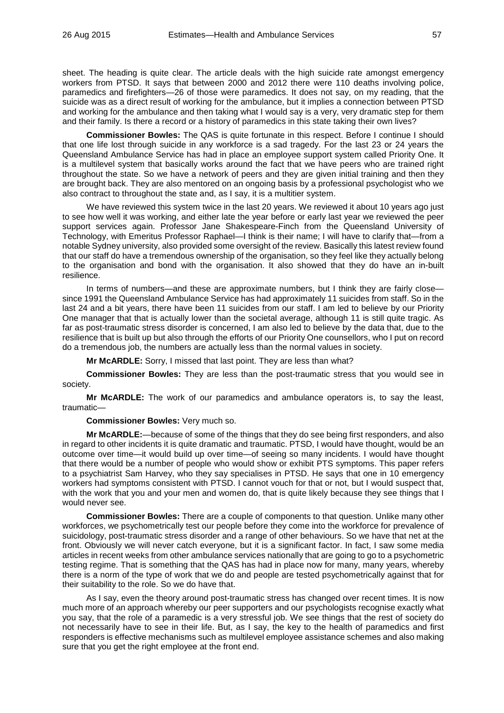sheet. The heading is quite clear. The article deals with the high suicide rate amongst emergency workers from PTSD. It says that between 2000 and 2012 there were 110 deaths involving police, paramedics and firefighters—26 of those were paramedics. It does not say, on my reading, that the suicide was as a direct result of working for the ambulance, but it implies a connection between PTSD and working for the ambulance and then taking what I would say is a very, very dramatic step for them and their family. Is there a record or a history of paramedics in this state taking their own lives?

**Commissioner Bowles:** The QAS is quite fortunate in this respect. Before I continue I should that one life lost through suicide in any workforce is a sad tragedy. For the last 23 or 24 years the Queensland Ambulance Service has had in place an employee support system called Priority One. It is a multilevel system that basically works around the fact that we have peers who are trained right throughout the state. So we have a network of peers and they are given initial training and then they are brought back. They are also mentored on an ongoing basis by a professional psychologist who we also contract to throughout the state and, as I say, it is a multitier system.

We have reviewed this system twice in the last 20 years. We reviewed it about 10 years ago just to see how well it was working, and either late the year before or early last year we reviewed the peer support services again. Professor Jane Shakespeare-Finch from the Queensland University of Technology, with Emeritus Professor Raphael—I think is their name; I will have to clarify that—from a notable Sydney university, also provided some oversight of the review. Basically this latest review found that our staff do have a tremendous ownership of the organisation, so they feel like they actually belong to the organisation and bond with the organisation. It also showed that they do have an in-built resilience.

In terms of numbers—and these are approximate numbers, but I think they are fairly close since 1991 the Queensland Ambulance Service has had approximately 11 suicides from staff. So in the last 24 and a bit years, there have been 11 suicides from our staff. I am led to believe by our Priority One manager that that is actually lower than the societal average, although 11 is still quite tragic. As far as post-traumatic stress disorder is concerned, I am also led to believe by the data that, due to the resilience that is built up but also through the efforts of our Priority One counsellors, who I put on record do a tremendous job, the numbers are actually less than the normal values in society.

**Mr McARDLE:** Sorry, I missed that last point. They are less than what?

**Commissioner Bowles:** They are less than the post-traumatic stress that you would see in society.

**Mr McARDLE:** The work of our paramedics and ambulance operators is, to say the least, traumatic—

**Commissioner Bowles:** Very much so.

**Mr McARDLE:**—because of some of the things that they do see being first responders, and also in regard to other incidents it is quite dramatic and traumatic. PTSD, I would have thought, would be an outcome over time—it would build up over time—of seeing so many incidents. I would have thought that there would be a number of people who would show or exhibit PTS symptoms. This paper refers to a psychiatrist Sam Harvey, who they say specialises in PTSD. He says that one in 10 emergency workers had symptoms consistent with PTSD. I cannot vouch for that or not, but I would suspect that, with the work that you and your men and women do, that is quite likely because they see things that I would never see.

**Commissioner Bowles:** There are a couple of components to that question. Unlike many other workforces, we psychometrically test our people before they come into the workforce for prevalence of suicidology, post-traumatic stress disorder and a range of other behaviours. So we have that net at the front. Obviously we will never catch everyone, but it is a significant factor. In fact, I saw some media articles in recent weeks from other ambulance services nationally that are going to go to a psychometric testing regime. That is something that the QAS has had in place now for many, many years, whereby there is a norm of the type of work that we do and people are tested psychometrically against that for their suitability to the role. So we do have that.

As I say, even the theory around post-traumatic stress has changed over recent times. It is now much more of an approach whereby our peer supporters and our psychologists recognise exactly what you say, that the role of a paramedic is a very stressful job. We see things that the rest of society do not necessarily have to see in their life. But, as I say, the key to the health of paramedics and first responders is effective mechanisms such as multilevel employee assistance schemes and also making sure that you get the right employee at the front end.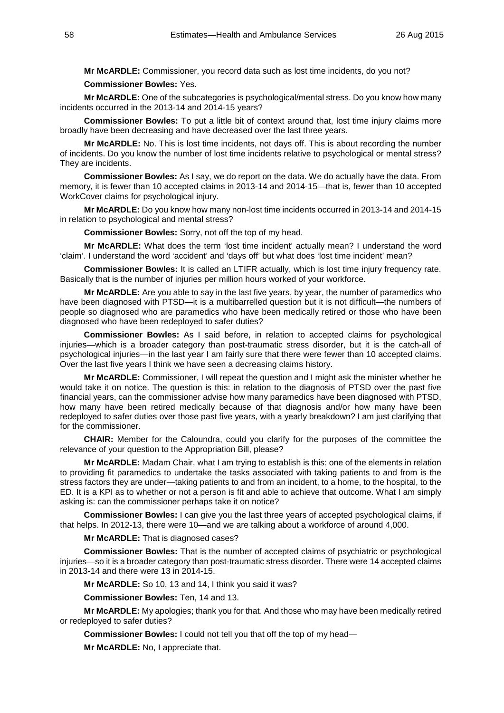**Mr McARDLE:** Commissioner, you record data such as lost time incidents, do you not?

**Commissioner Bowles:** Yes.

**Mr McARDLE:** One of the subcategories is psychological/mental stress. Do you know how many incidents occurred in the 2013-14 and 2014-15 years?

**Commissioner Bowles:** To put a little bit of context around that, lost time injury claims more broadly have been decreasing and have decreased over the last three years.

**Mr McARDLE:** No. This is lost time incidents, not days off. This is about recording the number of incidents. Do you know the number of lost time incidents relative to psychological or mental stress? They are incidents.

**Commissioner Bowles:** As I say, we do report on the data. We do actually have the data. From memory, it is fewer than 10 accepted claims in 2013-14 and 2014-15—that is, fewer than 10 accepted WorkCover claims for psychological injury.

**Mr McARDLE:** Do you know how many non-lost time incidents occurred in 2013-14 and 2014-15 in relation to psychological and mental stress?

**Commissioner Bowles:** Sorry, not off the top of my head.

**Mr McARDLE:** What does the term 'lost time incident' actually mean? I understand the word 'claim'. I understand the word 'accident' and 'days off' but what does 'lost time incident' mean?

**Commissioner Bowles:** It is called an LTIFR actually, which is lost time injury frequency rate. Basically that is the number of injuries per million hours worked of your workforce.

**Mr McARDLE:** Are you able to say in the last five years, by year, the number of paramedics who have been diagnosed with PTSD—it is a multibarrelled question but it is not difficult—the numbers of people so diagnosed who are paramedics who have been medically retired or those who have been diagnosed who have been redeployed to safer duties?

**Commissioner Bowles:** As I said before, in relation to accepted claims for psychological injuries—which is a broader category than post-traumatic stress disorder, but it is the catch-all of psychological injuries—in the last year I am fairly sure that there were fewer than 10 accepted claims. Over the last five years I think we have seen a decreasing claims history.

**Mr McARDLE:** Commissioner, I will repeat the question and I might ask the minister whether he would take it on notice. The question is this: in relation to the diagnosis of PTSD over the past five financial years, can the commissioner advise how many paramedics have been diagnosed with PTSD, how many have been retired medically because of that diagnosis and/or how many have been redeployed to safer duties over those past five years, with a yearly breakdown? I am just clarifying that for the commissioner.

**CHAIR:** Member for the Caloundra, could you clarify for the purposes of the committee the relevance of your question to the Appropriation Bill, please?

**Mr McARDLE:** Madam Chair, what I am trying to establish is this: one of the elements in relation to providing fit paramedics to undertake the tasks associated with taking patients to and from is the stress factors they are under—taking patients to and from an incident, to a home, to the hospital, to the ED. It is a KPI as to whether or not a person is fit and able to achieve that outcome. What I am simply asking is: can the commissioner perhaps take it on notice?

**Commissioner Bowles:** I can give you the last three years of accepted psychological claims, if that helps. In 2012-13, there were 10—and we are talking about a workforce of around 4,000.

**Mr McARDLE:** That is diagnosed cases?

**Commissioner Bowles:** That is the number of accepted claims of psychiatric or psychological injuries—so it is a broader category than post-traumatic stress disorder. There were 14 accepted claims in 2013-14 and there were 13 in 2014-15.

**Mr McARDLE:** So 10, 13 and 14, I think you said it was?

**Commissioner Bowles:** Ten, 14 and 13.

**Mr McARDLE:** My apologies; thank you for that. And those who may have been medically retired or redeployed to safer duties?

**Commissioner Bowles:** I could not tell you that off the top of my head—

**Mr McARDLE:** No, I appreciate that.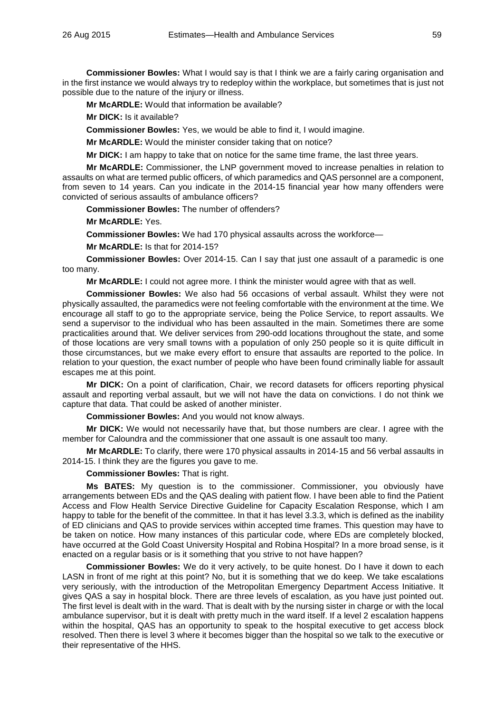**Commissioner Bowles:** What I would say is that I think we are a fairly caring organisation and in the first instance we would always try to redeploy within the workplace, but sometimes that is just not possible due to the nature of the injury or illness.

**Mr McARDLE:** Would that information be available?

**Mr DICK:** Is it available?

**Commissioner Bowles:** Yes, we would be able to find it, I would imagine.

**Mr McARDLE:** Would the minister consider taking that on notice?

**Mr DICK:** I am happy to take that on notice for the same time frame, the last three years.

**Mr McARDLE:** Commissioner, the LNP government moved to increase penalties in relation to assaults on what are termed public officers, of which paramedics and QAS personnel are a component, from seven to 14 years. Can you indicate in the 2014-15 financial year how many offenders were convicted of serious assaults of ambulance officers?

**Commissioner Bowles:** The number of offenders?

**Mr McARDLE:** Yes.

**Commissioner Bowles:** We had 170 physical assaults across the workforce—

**Mr McARDLE:** Is that for 2014-15?

**Commissioner Bowles:** Over 2014-15. Can I say that just one assault of a paramedic is one too many.

**Mr McARDLE:** I could not agree more. I think the minister would agree with that as well.

**Commissioner Bowles:** We also had 56 occasions of verbal assault. Whilst they were not physically assaulted, the paramedics were not feeling comfortable with the environment at the time. We encourage all staff to go to the appropriate service, being the Police Service, to report assaults. We send a supervisor to the individual who has been assaulted in the main. Sometimes there are some practicalities around that. We deliver services from 290-odd locations throughout the state, and some of those locations are very small towns with a population of only 250 people so it is quite difficult in those circumstances, but we make every effort to ensure that assaults are reported to the police. In relation to your question, the exact number of people who have been found criminally liable for assault escapes me at this point.

**Mr DICK:** On a point of clarification, Chair, we record datasets for officers reporting physical assault and reporting verbal assault, but we will not have the data on convictions. I do not think we capture that data. That could be asked of another minister.

**Commissioner Bowles:** And you would not know always.

**Mr DICK:** We would not necessarily have that, but those numbers are clear. I agree with the member for Caloundra and the commissioner that one assault is one assault too many.

**Mr McARDLE:** To clarify, there were 170 physical assaults in 2014-15 and 56 verbal assaults in 2014-15. I think they are the figures you gave to me.

**Commissioner Bowles:** That is right.

**Ms BATES:** My question is to the commissioner. Commissioner, you obviously have arrangements between EDs and the QAS dealing with patient flow. I have been able to find the Patient Access and Flow Health Service Directive Guideline for Capacity Escalation Response, which I am happy to table for the benefit of the committee. In that it has level 3.3.3, which is defined as the inability of ED clinicians and QAS to provide services within accepted time frames. This question may have to be taken on notice. How many instances of this particular code, where EDs are completely blocked, have occurred at the Gold Coast University Hospital and Robina Hospital? In a more broad sense, is it enacted on a regular basis or is it something that you strive to not have happen?

**Commissioner Bowles:** We do it very actively, to be quite honest. Do I have it down to each LASN in front of me right at this point? No, but it is something that we do keep. We take escalations very seriously, with the introduction of the Metropolitan Emergency Department Access Initiative. It gives QAS a say in hospital block. There are three levels of escalation, as you have just pointed out. The first level is dealt with in the ward. That is dealt with by the nursing sister in charge or with the local ambulance supervisor, but it is dealt with pretty much in the ward itself. If a level 2 escalation happens within the hospital, QAS has an opportunity to speak to the hospital executive to get access block resolved. Then there is level 3 where it becomes bigger than the hospital so we talk to the executive or their representative of the HHS.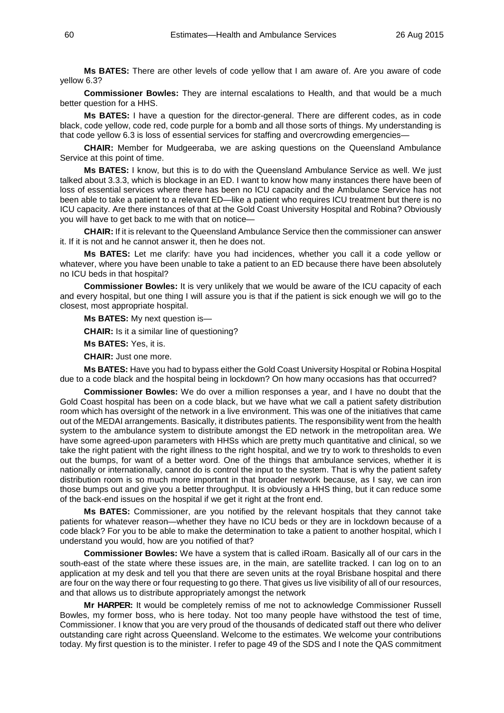**Ms BATES:** There are other levels of code yellow that I am aware of. Are you aware of code yellow 6.3?

**Commissioner Bowles:** They are internal escalations to Health, and that would be a much better question for a HHS.

**Ms BATES:** I have a question for the director-general. There are different codes, as in code black, code yellow, code red, code purple for a bomb and all those sorts of things. My understanding is that code yellow 6.3 is loss of essential services for staffing and overcrowding emergencies—

**CHAIR:** Member for Mudgeeraba, we are asking questions on the Queensland Ambulance Service at this point of time.

**Ms BATES:** I know, but this is to do with the Queensland Ambulance Service as well. We just talked about 3.3.3, which is blockage in an ED. I want to know how many instances there have been of loss of essential services where there has been no ICU capacity and the Ambulance Service has not been able to take a patient to a relevant ED—like a patient who requires ICU treatment but there is no ICU capacity. Are there instances of that at the Gold Coast University Hospital and Robina? Obviously you will have to get back to me with that on notice—

**CHAIR:** If it is relevant to the Queensland Ambulance Service then the commissioner can answer it. If it is not and he cannot answer it, then he does not.

**Ms BATES:** Let me clarify: have you had incidences, whether you call it a code yellow or whatever, where you have been unable to take a patient to an ED because there have been absolutely no ICU beds in that hospital?

**Commissioner Bowles:** It is very unlikely that we would be aware of the ICU capacity of each and every hospital, but one thing I will assure you is that if the patient is sick enough we will go to the closest, most appropriate hospital.

**Ms BATES:** My next question is—

**CHAIR:** Is it a similar line of questioning?

**Ms BATES:** Yes, it is.

**CHAIR:** Just one more.

**Ms BATES:** Have you had to bypass either the Gold Coast University Hospital or Robina Hospital due to a code black and the hospital being in lockdown? On how many occasions has that occurred?

**Commissioner Bowles:** We do over a million responses a year, and I have no doubt that the Gold Coast hospital has been on a code black, but we have what we call a patient safety distribution room which has oversight of the network in a live environment. This was one of the initiatives that came out of the MEDAI arrangements. Basically, it distributes patients. The responsibility went from the health system to the ambulance system to distribute amongst the ED network in the metropolitan area. We have some agreed-upon parameters with HHSs which are pretty much quantitative and clinical, so we take the right patient with the right illness to the right hospital, and we try to work to thresholds to even out the bumps, for want of a better word. One of the things that ambulance services, whether it is nationally or internationally, cannot do is control the input to the system. That is why the patient safety distribution room is so much more important in that broader network because, as I say, we can iron those bumps out and give you a better throughput. It is obviously a HHS thing, but it can reduce some of the back-end issues on the hospital if we get it right at the front end.

**Ms BATES:** Commissioner, are you notified by the relevant hospitals that they cannot take patients for whatever reason—whether they have no ICU beds or they are in lockdown because of a code black? For you to be able to make the determination to take a patient to another hospital, which I understand you would, how are you notified of that?

**Commissioner Bowles:** We have a system that is called iRoam. Basically all of our cars in the south-east of the state where these issues are, in the main, are satellite tracked. I can log on to an application at my desk and tell you that there are seven units at the royal Brisbane hospital and there are four on the way there or four requesting to go there. That gives us live visibility of all of our resources, and that allows us to distribute appropriately amongst the network

**Mr HARPER:** It would be completely remiss of me not to acknowledge Commissioner Russell Bowles, my former boss, who is here today. Not too many people have withstood the test of time, Commissioner. I know that you are very proud of the thousands of dedicated staff out there who deliver outstanding care right across Queensland. Welcome to the estimates. We welcome your contributions today. My first question is to the minister. I refer to page 49 of the SDS and I note the QAS commitment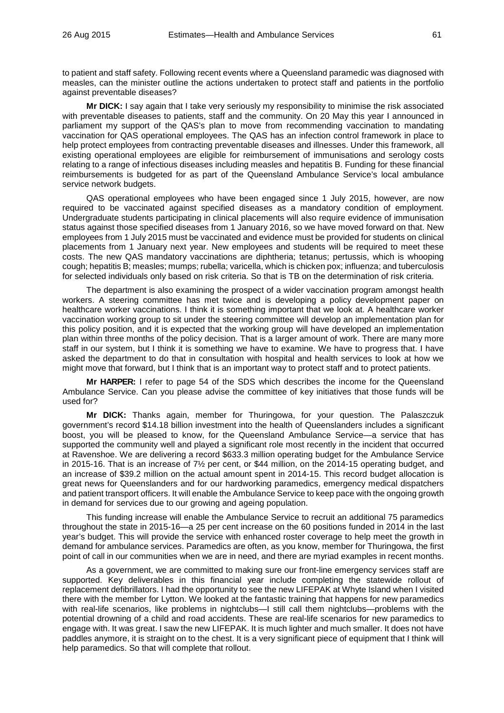to patient and staff safety. Following recent events where a Queensland paramedic was diagnosed with measles, can the minister outline the actions undertaken to protect staff and patients in the portfolio against preventable diseases?

**Mr DICK:** I say again that I take very seriously my responsibility to minimise the risk associated with preventable diseases to patients, staff and the community. On 20 May this year I announced in parliament my support of the QAS's plan to move from recommending vaccination to mandating vaccination for QAS operational employees. The QAS has an infection control framework in place to help protect employees from contracting preventable diseases and illnesses. Under this framework, all existing operational employees are eligible for reimbursement of immunisations and serology costs relating to a range of infectious diseases including measles and hepatitis B. Funding for these financial reimbursements is budgeted for as part of the Queensland Ambulance Service's local ambulance service network budgets.

QAS operational employees who have been engaged since 1 July 2015, however, are now required to be vaccinated against specified diseases as a mandatory condition of employment. Undergraduate students participating in clinical placements will also require evidence of immunisation status against those specified diseases from 1 January 2016, so we have moved forward on that. New employees from 1 July 2015 must be vaccinated and evidence must be provided for students on clinical placements from 1 January next year. New employees and students will be required to meet these costs. The new QAS mandatory vaccinations are diphtheria; tetanus; pertussis, which is whooping cough; hepatitis B; measles; mumps; rubella; varicella, which is chicken pox; influenza; and tuberculosis for selected individuals only based on risk criteria. So that is TB on the determination of risk criteria.

The department is also examining the prospect of a wider vaccination program amongst health workers. A steering committee has met twice and is developing a policy development paper on healthcare worker vaccinations. I think it is something important that we look at. A healthcare worker vaccination working group to sit under the steering committee will develop an implementation plan for this policy position, and it is expected that the working group will have developed an implementation plan within three months of the policy decision. That is a larger amount of work. There are many more staff in our system, but I think it is something we have to examine. We have to progress that. I have asked the department to do that in consultation with hospital and health services to look at how we might move that forward, but I think that is an important way to protect staff and to protect patients.

**Mr HARPER:** I refer to page 54 of the SDS which describes the income for the Queensland Ambulance Service. Can you please advise the committee of key initiatives that those funds will be used for?

**Mr DICK:** Thanks again, member for Thuringowa, for your question. The Palaszczuk government's record \$14.18 billion investment into the health of Queenslanders includes a significant boost, you will be pleased to know, for the Queensland Ambulance Service—a service that has supported the community well and played a significant role most recently in the incident that occurred at Ravenshoe. We are delivering a record \$633.3 million operating budget for the Ambulance Service in 2015-16. That is an increase of 7½ per cent, or \$44 million, on the 2014-15 operating budget, and an increase of \$39.2 million on the actual amount spent in 2014-15. This record budget allocation is great news for Queenslanders and for our hardworking paramedics, emergency medical dispatchers and patient transport officers. It will enable the Ambulance Service to keep pace with the ongoing growth in demand for services due to our growing and ageing population.

This funding increase will enable the Ambulance Service to recruit an additional 75 paramedics throughout the state in 2015-16—a 25 per cent increase on the 60 positions funded in 2014 in the last year's budget. This will provide the service with enhanced roster coverage to help meet the growth in demand for ambulance services. Paramedics are often, as you know, member for Thuringowa, the first point of call in our communities when we are in need, and there are myriad examples in recent months.

As a government, we are committed to making sure our front-line emergency services staff are supported. Key deliverables in this financial year include completing the statewide rollout of replacement defibrillators. I had the opportunity to see the new LIFEPAK at Whyte Island when I visited there with the member for Lytton. We looked at the fantastic training that happens for new paramedics with real-life scenarios, like problems in nightclubs—I still call them nightclubs—problems with the potential drowning of a child and road accidents. These are real-life scenarios for new paramedics to engage with. It was great. I saw the new LIFEPAK. It is much lighter and much smaller. It does not have paddles anymore, it is straight on to the chest. It is a very significant piece of equipment that I think will help paramedics. So that will complete that rollout.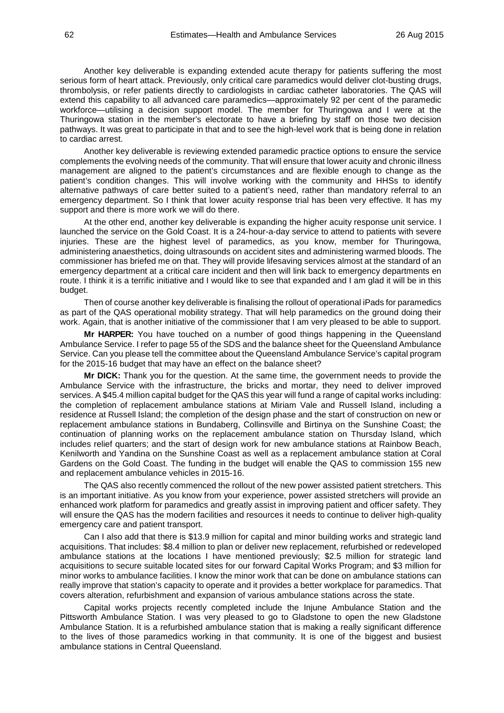Another key deliverable is expanding extended acute therapy for patients suffering the most serious form of heart attack. Previously, only critical care paramedics would deliver clot-busting drugs, thrombolysis, or refer patients directly to cardiologists in cardiac catheter laboratories. The QAS will extend this capability to all advanced care paramedics—approximately 92 per cent of the paramedic workforce—utilising a decision support model. The member for Thuringowa and I were at the Thuringowa station in the member's electorate to have a briefing by staff on those two decision pathways. It was great to participate in that and to see the high-level work that is being done in relation to cardiac arrest.

Another key deliverable is reviewing extended paramedic practice options to ensure the service complements the evolving needs of the community. That will ensure that lower acuity and chronic illness management are aligned to the patient's circumstances and are flexible enough to change as the patient's condition changes. This will involve working with the community and HHSs to identify alternative pathways of care better suited to a patient's need, rather than mandatory referral to an emergency department. So I think that lower acuity response trial has been very effective. It has my support and there is more work we will do there.

At the other end, another key deliverable is expanding the higher acuity response unit service. I launched the service on the Gold Coast. It is a 24-hour-a-day service to attend to patients with severe injuries. These are the highest level of paramedics, as you know, member for Thuringowa, administering anaesthetics, doing ultrasounds on accident sites and administering warmed bloods. The commissioner has briefed me on that. They will provide lifesaving services almost at the standard of an emergency department at a critical care incident and then will link back to emergency departments en route. I think it is a terrific initiative and I would like to see that expanded and I am glad it will be in this budget.

Then of course another key deliverable is finalising the rollout of operational iPads for paramedics as part of the QAS operational mobility strategy. That will help paramedics on the ground doing their work. Again, that is another initiative of the commissioner that I am very pleased to be able to support.

**Mr HARPER:** You have touched on a number of good things happening in the Queensland Ambulance Service. I refer to page 55 of the SDS and the balance sheet for the Queensland Ambulance Service. Can you please tell the committee about the Queensland Ambulance Service's capital program for the 2015-16 budget that may have an effect on the balance sheet?

**Mr DICK:** Thank you for the question. At the same time, the government needs to provide the Ambulance Service with the infrastructure, the bricks and mortar, they need to deliver improved services. A \$45.4 million capital budget for the QAS this year will fund a range of capital works including: the completion of replacement ambulance stations at Miriam Vale and Russell Island, including a residence at Russell Island; the completion of the design phase and the start of construction on new or replacement ambulance stations in Bundaberg, Collinsville and Birtinya on the Sunshine Coast; the continuation of planning works on the replacement ambulance station on Thursday Island, which includes relief quarters; and the start of design work for new ambulance stations at Rainbow Beach, Kenilworth and Yandina on the Sunshine Coast as well as a replacement ambulance station at Coral Gardens on the Gold Coast. The funding in the budget will enable the QAS to commission 155 new and replacement ambulance vehicles in 2015-16.

The QAS also recently commenced the rollout of the new power assisted patient stretchers. This is an important initiative. As you know from your experience, power assisted stretchers will provide an enhanced work platform for paramedics and greatly assist in improving patient and officer safety. They will ensure the QAS has the modern facilities and resources it needs to continue to deliver high-quality emergency care and patient transport.

Can I also add that there is \$13.9 million for capital and minor building works and strategic land acquisitions. That includes: \$8.4 million to plan or deliver new replacement, refurbished or redeveloped ambulance stations at the locations I have mentioned previously; \$2.5 million for strategic land acquisitions to secure suitable located sites for our forward Capital Works Program; and \$3 million for minor works to ambulance facilities. I know the minor work that can be done on ambulance stations can really improve that station's capacity to operate and it provides a better workplace for paramedics. That covers alteration, refurbishment and expansion of various ambulance stations across the state.

Capital works projects recently completed include the Injune Ambulance Station and the Pittsworth Ambulance Station. I was very pleased to go to Gladstone to open the new Gladstone Ambulance Station. It is a refurbished ambulance station that is making a really significant difference to the lives of those paramedics working in that community. It is one of the biggest and busiest ambulance stations in Central Queensland.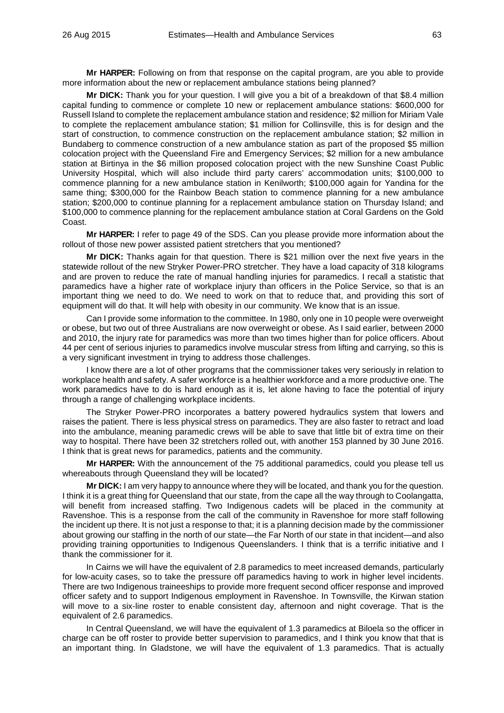**Mr HARPER:** Following on from that response on the capital program, are you able to provide more information about the new or replacement ambulance stations being planned?

**Mr DICK:** Thank you for your question. I will give you a bit of a breakdown of that \$8.4 million capital funding to commence or complete 10 new or replacement ambulance stations: \$600,000 for Russell Island to complete the replacement ambulance station and residence; \$2 million for Miriam Vale to complete the replacement ambulance station; \$1 million for Collinsville, this is for design and the start of construction, to commence construction on the replacement ambulance station; \$2 million in Bundaberg to commence construction of a new ambulance station as part of the proposed \$5 million colocation project with the Queensland Fire and Emergency Services; \$2 million for a new ambulance station at Birtinya in the \$6 million proposed colocation project with the new Sunshine Coast Public University Hospital, which will also include third party carers' accommodation units; \$100,000 to commence planning for a new ambulance station in Kenilworth; \$100,000 again for Yandina for the same thing; \$300,000 for the Rainbow Beach station to commence planning for a new ambulance station; \$200,000 to continue planning for a replacement ambulance station on Thursday Island; and \$100,000 to commence planning for the replacement ambulance station at Coral Gardens on the Gold Coast.

**Mr HARPER:** I refer to page 49 of the SDS. Can you please provide more information about the rollout of those new power assisted patient stretchers that you mentioned?

**Mr DICK:** Thanks again for that question. There is \$21 million over the next five years in the statewide rollout of the new Stryker Power-PRO stretcher. They have a load capacity of 318 kilograms and are proven to reduce the rate of manual handling injuries for paramedics. I recall a statistic that paramedics have a higher rate of workplace injury than officers in the Police Service, so that is an important thing we need to do. We need to work on that to reduce that, and providing this sort of equipment will do that. It will help with obesity in our community. We know that is an issue.

Can I provide some information to the committee. In 1980, only one in 10 people were overweight or obese, but two out of three Australians are now overweight or obese. As I said earlier, between 2000 and 2010, the injury rate for paramedics was more than two times higher than for police officers. About 44 per cent of serious injuries to paramedics involve muscular stress from lifting and carrying, so this is a very significant investment in trying to address those challenges.

I know there are a lot of other programs that the commissioner takes very seriously in relation to workplace health and safety. A safer workforce is a healthier workforce and a more productive one. The work paramedics have to do is hard enough as it is, let alone having to face the potential of injury through a range of challenging workplace incidents.

The Stryker Power-PRO incorporates a battery powered hydraulics system that lowers and raises the patient. There is less physical stress on paramedics. They are also faster to retract and load into the ambulance, meaning paramedic crews will be able to save that little bit of extra time on their way to hospital. There have been 32 stretchers rolled out, with another 153 planned by 30 June 2016. I think that is great news for paramedics, patients and the community.

**Mr HARPER:** With the announcement of the 75 additional paramedics, could you please tell us whereabouts through Queensland they will be located?

**Mr DICK:** I am very happy to announce where they will be located, and thank you for the question. I think it is a great thing for Queensland that our state, from the cape all the way through to Coolangatta, will benefit from increased staffing. Two Indigenous cadets will be placed in the community at Ravenshoe. This is a response from the call of the community in Ravenshoe for more staff following the incident up there. It is not just a response to that; it is a planning decision made by the commissioner about growing our staffing in the north of our state—the Far North of our state in that incident—and also providing training opportunities to Indigenous Queenslanders. I think that is a terrific initiative and I thank the commissioner for it.

In Cairns we will have the equivalent of 2.8 paramedics to meet increased demands, particularly for low-acuity cases, so to take the pressure off paramedics having to work in higher level incidents. There are two Indigenous traineeships to provide more frequent second officer response and improved officer safety and to support Indigenous employment in Ravenshoe. In Townsville, the Kirwan station will move to a six-line roster to enable consistent day, afternoon and night coverage. That is the equivalent of 2.6 paramedics.

In Central Queensland, we will have the equivalent of 1.3 paramedics at Biloela so the officer in charge can be off roster to provide better supervision to paramedics, and I think you know that that is an important thing. In Gladstone, we will have the equivalent of 1.3 paramedics. That is actually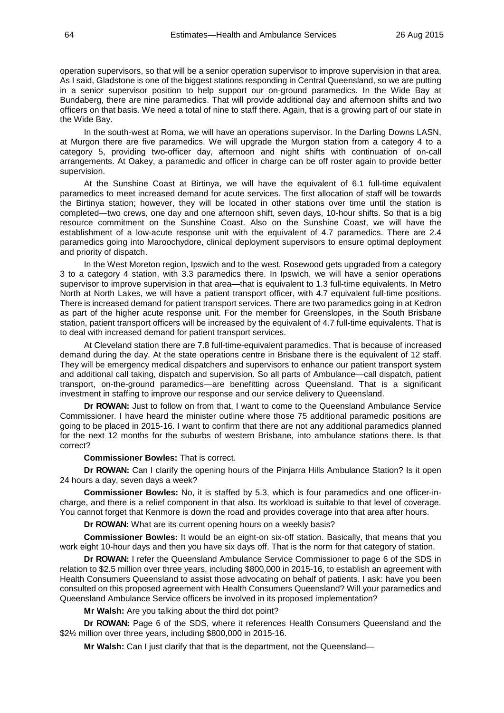operation supervisors, so that will be a senior operation supervisor to improve supervision in that area. As I said, Gladstone is one of the biggest stations responding in Central Queensland, so we are putting in a senior supervisor position to help support our on-ground paramedics. In the Wide Bay at Bundaberg, there are nine paramedics. That will provide additional day and afternoon shifts and two officers on that basis. We need a total of nine to staff there. Again, that is a growing part of our state in the Wide Bay.

In the south-west at Roma, we will have an operations supervisor. In the Darling Downs LASN, at Murgon there are five paramedics. We will upgrade the Murgon station from a category 4 to a category 5, providing two-officer day, afternoon and night shifts with continuation of on-call arrangements. At Oakey, a paramedic and officer in charge can be off roster again to provide better supervision.

At the Sunshine Coast at Birtinya, we will have the equivalent of 6.1 full-time equivalent paramedics to meet increased demand for acute services. The first allocation of staff will be towards the Birtinya station; however, they will be located in other stations over time until the station is completed—two crews, one day and one afternoon shift, seven days, 10-hour shifts. So that is a big resource commitment on the Sunshine Coast. Also on the Sunshine Coast, we will have the establishment of a low-acute response unit with the equivalent of 4.7 paramedics. There are 2.4 paramedics going into Maroochydore, clinical deployment supervisors to ensure optimal deployment and priority of dispatch.

In the West Moreton region, Ipswich and to the west, Rosewood gets upgraded from a category 3 to a category 4 station, with 3.3 paramedics there. In Ipswich, we will have a senior operations supervisor to improve supervision in that area—that is equivalent to 1.3 full-time equivalents. In Metro North at North Lakes, we will have a patient transport officer, with 4.7 equivalent full-time positions. There is increased demand for patient transport services. There are two paramedics going in at Kedron as part of the higher acute response unit. For the member for Greenslopes, in the South Brisbane station, patient transport officers will be increased by the equivalent of 4.7 full-time equivalents. That is to deal with increased demand for patient transport services.

At Cleveland station there are 7.8 full-time-equivalent paramedics. That is because of increased demand during the day. At the state operations centre in Brisbane there is the equivalent of 12 staff. They will be emergency medical dispatchers and supervisors to enhance our patient transport system and additional call taking, dispatch and supervision. So all parts of Ambulance—call dispatch, patient transport, on-the-ground paramedics—are benefitting across Queensland. That is a significant investment in staffing to improve our response and our service delivery to Queensland.

**Dr ROWAN:** Just to follow on from that, I want to come to the Queensland Ambulance Service Commissioner. I have heard the minister outline where those 75 additional paramedic positions are going to be placed in 2015-16. I want to confirm that there are not any additional paramedics planned for the next 12 months for the suburbs of western Brisbane, into ambulance stations there. Is that correct?

## **Commissioner Bowles:** That is correct.

**Dr ROWAN:** Can I clarify the opening hours of the Pinjarra Hills Ambulance Station? Is it open 24 hours a day, seven days a week?

**Commissioner Bowles:** No, it is staffed by 5.3, which is four paramedics and one officer-incharge, and there is a relief component in that also. Its workload is suitable to that level of coverage. You cannot forget that Kenmore is down the road and provides coverage into that area after hours.

**Dr ROWAN:** What are its current opening hours on a weekly basis?

**Commissioner Bowles:** It would be an eight-on six-off station. Basically, that means that you work eight 10-hour days and then you have six days off. That is the norm for that category of station.

**Dr ROWAN:** I refer the Queensland Ambulance Service Commissioner to page 6 of the SDS in relation to \$2.5 million over three years, including \$800,000 in 2015-16, to establish an agreement with Health Consumers Queensland to assist those advocating on behalf of patients. I ask: have you been consulted on this proposed agreement with Health Consumers Queensland? Will your paramedics and Queensland Ambulance Service officers be involved in its proposed implementation?

**Mr Walsh:** Are you talking about the third dot point?

**Dr ROWAN:** Page 6 of the SDS, where it references Health Consumers Queensland and the \$2½ million over three years, including \$800,000 in 2015-16.

**Mr Walsh:** Can I just clarify that that is the department, not the Queensland—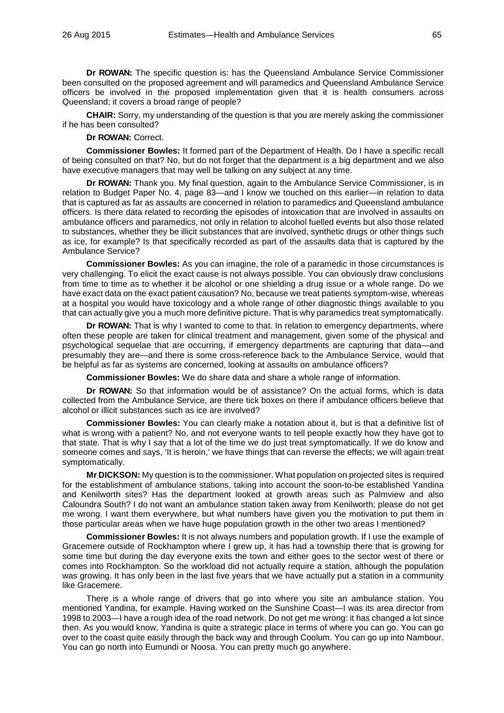**Dr ROWAN:** The specific question is: has the Queensland Ambulance Service Commissioner been consulted on the proposed agreement and will paramedics and Queensland Ambulance Service officers be involved in the proposed implementation given that it is health consumers across Queensland; it covers a broad range of people?

**CHAIR:** Sorry, my understanding of the question is that you are merely asking the commissioner if he has been consulted?

**Dr ROWAN:** Correct.

**Commissioner Bowles:** It formed part of the Department of Health. Do I have a specific recall of being consulted on that? No, but do not forget that the department is a big department and we also have executive managers that may well be talking on any subject at any time.

**Dr ROWAN:** Thank you. My final question, again to the Ambulance Service Commissioner, is in relation to Budget Paper No. 4, page 83—and I know we touched on this earlier—in relation to data that is captured as far as assaults are concerned in relation to paramedics and Queensland ambulance officers. Is there data related to recording the episodes of intoxication that are involved in assaults on ambulance officers and paramedics, not only in relation to alcohol fuelled events but also those related to substances, whether they be illicit substances that are involved, synthetic drugs or other things such as ice, for example? Is that specifically recorded as part of the assaults data that is captured by the Ambulance Service?

**Commissioner Bowles:** As you can imagine, the role of a paramedic in those circumstances is very challenging. To elicit the exact cause is not always possible. You can obviously draw conclusions from time to time as to whether it be alcohol or one shielding a drug issue or a whole range. Do we have exact data on the exact patient causation? No, because we treat patients symptom-wise, whereas at a hospital you would have toxicology and a whole range of other diagnostic things available to you that can actually give you a much more definitive picture. That is why paramedics treat symptomatically.

**Dr ROWAN:** That is why I wanted to come to that. In relation to emergency departments, where often these people are taken for clinical treatment and management, given some of the physical and psychological sequelae that are occurring, if emergency departments are capturing that data—and presumably they are—and there is some cross-reference back to the Ambulance Service, would that be helpful as far as systems are concerned, looking at assaults on ambulance officers?

**Commissioner Bowles:** We do share data and share a whole range of information.

**Dr ROWAN:** So that information would be of assistance? On the actual forms, which is data collected from the Ambulance Service, are there tick boxes on there if ambulance officers believe that alcohol or illicit substances such as ice are involved?

**Commissioner Bowles:** You can clearly make a notation about it, but is that a definitive list of what is wrong with a patient? No, and not everyone wants to tell people exactly how they have got to that state. That is why I say that a lot of the time we do just treat symptomatically. If we do know and someone comes and says, 'It is heroin,' we have things that can reverse the effects; we will again treat symptomatically.

**Mr DICKSON:** My question is to the commissioner. What population on projected sites is required for the establishment of ambulance stations, taking into account the soon-to-be established Yandina and Kenilworth sites? Has the department looked at growth areas such as Palmview and also Caloundra South? I do not want an ambulance station taken away from Kenilworth; please do not get me wrong. I want them everywhere, but what numbers have given you the motivation to put them in those particular areas when we have huge population growth in the other two areas I mentioned?

**Commissioner Bowles:** It is not always numbers and population growth. If I use the example of Gracemere outside of Rockhampton where I grew up, it has had a township there that is growing for some time but during the day everyone exits the town and either goes to the sector west of there or comes into Rockhampton. So the workload did not actually require a station, although the population was growing. It has only been in the last five years that we have actually put a station in a community like Gracemere.

There is a whole range of drivers that go into where you site an ambulance station. You mentioned Yandina, for example. Having worked on the Sunshine Coast—I was its area director from 1998 to 2003—I have a rough idea of the road network. Do not get me wrong: it has changed a lot since then. As you would know, Yandina is quite a strategic place in terms of where you can go. You can go over to the coast quite easily through the back way and through Coolum. You can go up into Nambour. You can go north into Eumundi or Noosa. You can pretty much go anywhere.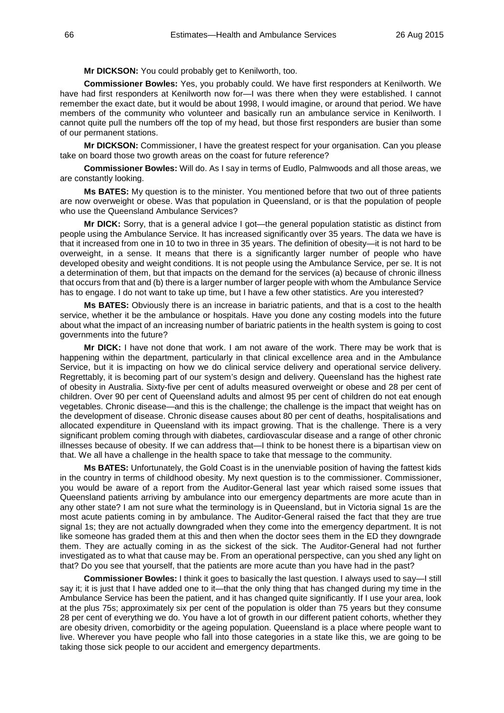**Mr DICKSON:** You could probably get to Kenilworth, too.

**Commissioner Bowles:** Yes, you probably could. We have first responders at Kenilworth. We have had first responders at Kenilworth now for—I was there when they were established. I cannot remember the exact date, but it would be about 1998, I would imagine, or around that period. We have members of the community who volunteer and basically run an ambulance service in Kenilworth. I cannot quite pull the numbers off the top of my head, but those first responders are busier than some of our permanent stations.

**Mr DICKSON:** Commissioner, I have the greatest respect for your organisation. Can you please take on board those two growth areas on the coast for future reference?

**Commissioner Bowles:** Will do. As I say in terms of Eudlo, Palmwoods and all those areas, we are constantly looking.

**Ms BATES:** My question is to the minister. You mentioned before that two out of three patients are now overweight or obese. Was that population in Queensland, or is that the population of people who use the Queensland Ambulance Services?

**Mr DICK:** Sorry, that is a general advice I got—the general population statistic as distinct from people using the Ambulance Service. It has increased significantly over 35 years. The data we have is that it increased from one in 10 to two in three in 35 years. The definition of obesity—it is not hard to be overweight, in a sense. It means that there is a significantly larger number of people who have developed obesity and weight conditions. It is not people using the Ambulance Service, per se. It is not a determination of them, but that impacts on the demand for the services (a) because of chronic illness that occurs from that and (b) there is a larger number of larger people with whom the Ambulance Service has to engage. I do not want to take up time, but I have a few other statistics. Are you interested?

**Ms BATES:** Obviously there is an increase in bariatric patients, and that is a cost to the health service, whether it be the ambulance or hospitals. Have you done any costing models into the future about what the impact of an increasing number of bariatric patients in the health system is going to cost governments into the future?

**Mr DICK:** I have not done that work. I am not aware of the work. There may be work that is happening within the department, particularly in that clinical excellence area and in the Ambulance Service, but it is impacting on how we do clinical service delivery and operational service delivery. Regrettably, it is becoming part of our system's design and delivery. Queensland has the highest rate of obesity in Australia. Sixty-five per cent of adults measured overweight or obese and 28 per cent of children. Over 90 per cent of Queensland adults and almost 95 per cent of children do not eat enough vegetables. Chronic disease—and this is the challenge; the challenge is the impact that weight has on the development of disease. Chronic disease causes about 80 per cent of deaths, hospitalisations and allocated expenditure in Queensland with its impact growing. That is the challenge. There is a very significant problem coming through with diabetes, cardiovascular disease and a range of other chronic illnesses because of obesity. If we can address that—I think to be honest there is a bipartisan view on that. We all have a challenge in the health space to take that message to the community.

**Ms BATES:** Unfortunately, the Gold Coast is in the unenviable position of having the fattest kids in the country in terms of childhood obesity. My next question is to the commissioner. Commissioner, you would be aware of a report from the Auditor-General last year which raised some issues that Queensland patients arriving by ambulance into our emergency departments are more acute than in any other state? I am not sure what the terminology is in Queensland, but in Victoria signal 1s are the most acute patients coming in by ambulance. The Auditor-General raised the fact that they are true signal 1s; they are not actually downgraded when they come into the emergency department. It is not like someone has graded them at this and then when the doctor sees them in the ED they downgrade them. They are actually coming in as the sickest of the sick. The Auditor-General had not further investigated as to what that cause may be. From an operational perspective, can you shed any light on that? Do you see that yourself, that the patients are more acute than you have had in the past?

**Commissioner Bowles:** I think it goes to basically the last question. I always used to say—I still say it; it is just that I have added one to it—that the only thing that has changed during my time in the Ambulance Service has been the patient, and it has changed quite significantly. If I use your area, look at the plus 75s; approximately six per cent of the population is older than 75 years but they consume 28 per cent of everything we do. You have a lot of growth in our different patient cohorts, whether they are obesity driven, comorbidity or the ageing population. Queensland is a place where people want to live. Wherever you have people who fall into those categories in a state like this, we are going to be taking those sick people to our accident and emergency departments.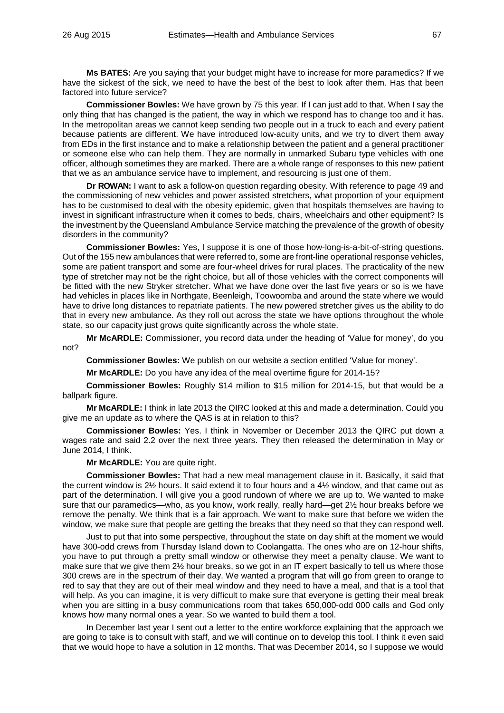**Ms BATES:** Are you saying that your budget might have to increase for more paramedics? If we have the sickest of the sick, we need to have the best of the best to look after them. Has that been factored into future service?

**Commissioner Bowles:** We have grown by 75 this year. If I can just add to that. When I say the only thing that has changed is the patient, the way in which we respond has to change too and it has. In the metropolitan areas we cannot keep sending two people out in a truck to each and every patient because patients are different. We have introduced low-acuity units, and we try to divert them away from EDs in the first instance and to make a relationship between the patient and a general practitioner or someone else who can help them. They are normally in unmarked Subaru type vehicles with one officer, although sometimes they are marked. There are a whole range of responses to this new patient that we as an ambulance service have to implement, and resourcing is just one of them.

**Dr ROWAN:** I want to ask a follow-on question regarding obesity. With reference to page 49 and the commissioning of new vehicles and power assisted stretchers, what proportion of your equipment has to be customised to deal with the obesity epidemic, given that hospitals themselves are having to invest in significant infrastructure when it comes to beds, chairs, wheelchairs and other equipment? Is the investment by the Queensland Ambulance Service matching the prevalence of the growth of obesity disorders in the community?

**Commissioner Bowles:** Yes, I suppose it is one of those how-long-is-a-bit-of-string questions. Out of the 155 new ambulances that were referred to, some are front-line operational response vehicles, some are patient transport and some are four-wheel drives for rural places. The practicality of the new type of stretcher may not be the right choice, but all of those vehicles with the correct components will be fitted with the new Stryker stretcher. What we have done over the last five years or so is we have had vehicles in places like in Northgate, Beenleigh, Toowoomba and around the state where we would have to drive long distances to repatriate patients. The new powered stretcher gives us the ability to do that in every new ambulance. As they roll out across the state we have options throughout the whole state, so our capacity just grows quite significantly across the whole state.

**Mr McARDLE:** Commissioner, you record data under the heading of 'Value for money', do you not?

**Commissioner Bowles:** We publish on our website a section entitled 'Value for money'.

**Mr McARDLE:** Do you have any idea of the meal overtime figure for 2014-15?

**Commissioner Bowles:** Roughly \$14 million to \$15 million for 2014-15, but that would be a ballpark figure.

**Mr McARDLE:** I think in late 2013 the QIRC looked at this and made a determination. Could you give me an update as to where the QAS is at in relation to this?

**Commissioner Bowles:** Yes. I think in November or December 2013 the QIRC put down a wages rate and said 2.2 over the next three years. They then released the determination in May or June 2014, I think.

**Mr McARDLE:** You are quite right.

**Commissioner Bowles:** That had a new meal management clause in it. Basically, it said that the current window is 2½ hours. It said extend it to four hours and a 4½ window, and that came out as part of the determination. I will give you a good rundown of where we are up to. We wanted to make sure that our paramedics—who, as you know, work really, really hard—get 2½ hour breaks before we remove the penalty. We think that is a fair approach. We want to make sure that before we widen the window, we make sure that people are getting the breaks that they need so that they can respond well.

Just to put that into some perspective, throughout the state on day shift at the moment we would have 300-odd crews from Thursday Island down to Coolangatta. The ones who are on 12-hour shifts, you have to put through a pretty small window or otherwise they meet a penalty clause. We want to make sure that we give them 2½ hour breaks, so we got in an IT expert basically to tell us where those 300 crews are in the spectrum of their day. We wanted a program that will go from green to orange to red to say that they are out of their meal window and they need to have a meal, and that is a tool that will help. As you can imagine, it is very difficult to make sure that everyone is getting their meal break when you are sitting in a busy communications room that takes 650,000-odd 000 calls and God only knows how many normal ones a year. So we wanted to build them a tool.

In December last year I sent out a letter to the entire workforce explaining that the approach we are going to take is to consult with staff, and we will continue on to develop this tool. I think it even said that we would hope to have a solution in 12 months. That was December 2014, so I suppose we would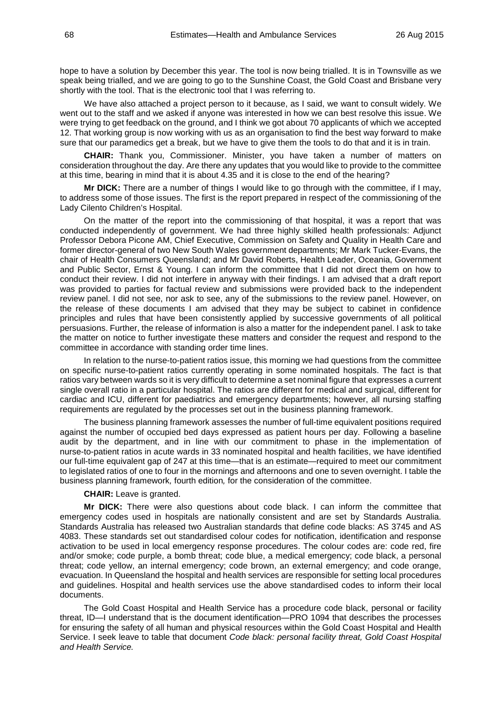hope to have a solution by December this year. The tool is now being trialled. It is in Townsville as we speak being trialled, and we are going to go to the Sunshine Coast, the Gold Coast and Brisbane very shortly with the tool. That is the electronic tool that I was referring to.

We have also attached a project person to it because, as I said, we want to consult widely. We went out to the staff and we asked if anyone was interested in how we can best resolve this issue. We were trying to get feedback on the ground, and I think we got about 70 applicants of which we accepted 12. That working group is now working with us as an organisation to find the best way forward to make sure that our paramedics get a break, but we have to give them the tools to do that and it is in train.

**CHAIR:** Thank you, Commissioner. Minister, you have taken a number of matters on consideration throughout the day. Are there any updates that you would like to provide to the committee at this time, bearing in mind that it is about 4.35 and it is close to the end of the hearing?

**Mr DICK:** There are a number of things I would like to go through with the committee, if I may, to address some of those issues. The first is the report prepared in respect of the commissioning of the Lady Cilento Children's Hospital.

On the matter of the report into the commissioning of that hospital, it was a report that was conducted independently of government. We had three highly skilled health professionals: Adjunct Professor Debora Picone AM, Chief Executive, Commission on Safety and Quality in Health Care and former director-general of two New South Wales government departments; Mr Mark Tucker-Evans, the chair of Health Consumers Queensland; and Mr David Roberts, Health Leader, Oceania, Government and Public Sector, Ernst & Young. I can inform the committee that I did not direct them on how to conduct their review. I did not interfere in anyway with their findings. I am advised that a draft report was provided to parties for factual review and submissions were provided back to the independent review panel. I did not see, nor ask to see, any of the submissions to the review panel. However, on the release of these documents I am advised that they may be subject to cabinet in confidence principles and rules that have been consistently applied by successive governments of all political persuasions. Further, the release of information is also a matter for the independent panel. I ask to take the matter on notice to further investigate these matters and consider the request and respond to the committee in accordance with standing order time lines.

In relation to the nurse-to-patient ratios issue, this morning we had questions from the committee on specific nurse-to-patient ratios currently operating in some nominated hospitals. The fact is that ratios vary between wards so it is very difficult to determine a set nominal figure that expresses a current single overall ratio in a particular hospital. The ratios are different for medical and surgical, different for cardiac and ICU, different for paediatrics and emergency departments; however, all nursing staffing requirements are regulated by the processes set out in the business planning framework.

The business planning framework assesses the number of full-time equivalent positions required against the number of occupied bed days expressed as patient hours per day. Following a baseline audit by the department, and in line with our commitment to phase in the implementation of nurse-to-patient ratios in acute wards in 33 nominated hospital and health facilities, we have identified our full-time equivalent gap of 247 at this time—that is an estimate—required to meet our commitment to legislated ratios of one to four in the mornings and afternoons and one to seven overnight. I table the business planning framework*,* fourth edition*,* for the consideration of the committee.

## **CHAIR:** Leave is granted.

**Mr DICK:** There were also questions about code black. I can inform the committee that emergency codes used in hospitals are nationally consistent and are set by Standards Australia. Standards Australia has released two Australian standards that define code blacks: AS 3745 and AS 4083. These standards set out standardised colour codes for notification, identification and response activation to be used in local emergency response procedures. The colour codes are: code red, fire and/or smoke; code purple, a bomb threat; code blue, a medical emergency; code black, a personal threat; code yellow, an internal emergency; code brown, an external emergency; and code orange, evacuation. In Queensland the hospital and health services are responsible for setting local procedures and guidelines. Hospital and health services use the above standardised codes to inform their local documents.

The Gold Coast Hospital and Health Service has a procedure code black, personal or facility threat, ID—I understand that is the document identification—PRO 1094 that describes the processes for ensuring the safety of all human and physical resources within the Gold Coast Hospital and Health Service. I seek leave to table that document *Code black: personal facility threat, Gold Coast Hospital and Health Service.*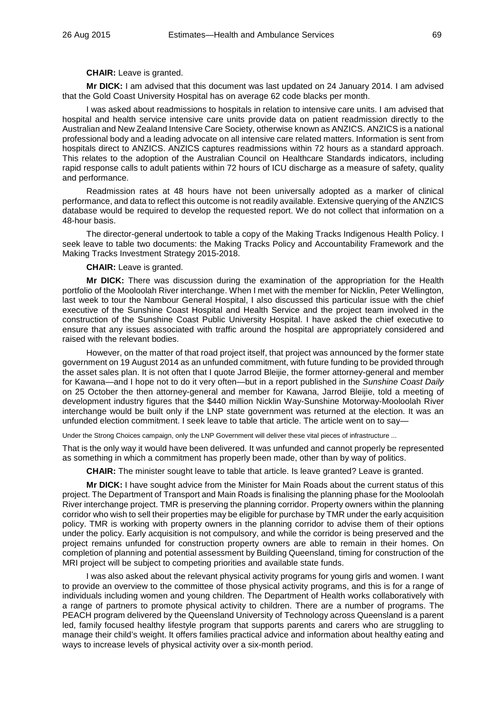#### **CHAIR:** Leave is granted.

**Mr DICK:** I am advised that this document was last updated on 24 January 2014. I am advised that the Gold Coast University Hospital has on average 62 code blacks per month.

I was asked about readmissions to hospitals in relation to intensive care units. I am advised that hospital and health service intensive care units provide data on patient readmission directly to the Australian and New Zealand Intensive Care Society, otherwise known as ANZICS. ANZICS is a national professional body and a leading advocate on all intensive care related matters. Information is sent from hospitals direct to ANZICS. ANZICS captures readmissions within 72 hours as a standard approach. This relates to the adoption of the Australian Council on Healthcare Standards indicators, including rapid response calls to adult patients within 72 hours of ICU discharge as a measure of safety, quality and performance.

Readmission rates at 48 hours have not been universally adopted as a marker of clinical performance, and data to reflect this outcome is not readily available. Extensive querying of the ANZICS database would be required to develop the requested report. We do not collect that information on a 48-hour basis.

The director-general undertook to table a copy of the Making Tracks Indigenous Health Policy. I seek leave to table two documents: the Making Tracks Policy and Accountability Framework and the Making Tracks Investment Strategy 2015-2018.

**CHAIR:** Leave is granted.

**Mr DICK:** There was discussion during the examination of the appropriation for the Health portfolio of the Mooloolah River interchange. When I met with the member for Nicklin, Peter Wellington, last week to tour the Nambour General Hospital, I also discussed this particular issue with the chief executive of the Sunshine Coast Hospital and Health Service and the project team involved in the construction of the Sunshine Coast Public University Hospital. I have asked the chief executive to ensure that any issues associated with traffic around the hospital are appropriately considered and raised with the relevant bodies.

However, on the matter of that road project itself, that project was announced by the former state government on 19 August 2014 as an unfunded commitment, with future funding to be provided through the asset sales plan. It is not often that I quote Jarrod Bleijie, the former attorney-general and member for Kawana—and I hope not to do it very often—but in a report published in the *Sunshine Coast Daily* on 25 October the then attorney-general and member for Kawana, Jarrod Bleijie, told a meeting of development industry figures that the \$440 million Nicklin Way-Sunshine Motorway-Mooloolah River interchange would be built only if the LNP state government was returned at the election. It was an unfunded election commitment. I seek leave to table that article. The article went on to say—

Under the Strong Choices campaign, only the LNP Government will deliver these vital pieces of infrastructure ...

That is the only way it would have been delivered. It was unfunded and cannot properly be represented as something in which a commitment has properly been made, other than by way of politics.

**CHAIR:** The minister sought leave to table that article. Is leave granted? Leave is granted.

**Mr DICK:** I have sought advice from the Minister for Main Roads about the current status of this project. The Department of Transport and Main Roads is finalising the planning phase for the Mooloolah River interchange project. TMR is preserving the planning corridor. Property owners within the planning corridor who wish to sell their properties may be eligible for purchase by TMR under the early acquisition policy. TMR is working with property owners in the planning corridor to advise them of their options under the policy. Early acquisition is not compulsory, and while the corridor is being preserved and the project remains unfunded for construction property owners are able to remain in their homes. On completion of planning and potential assessment by Building Queensland, timing for construction of the MRI project will be subject to competing priorities and available state funds.

I was also asked about the relevant physical activity programs for young girls and women. I want to provide an overview to the committee of those physical activity programs, and this is for a range of individuals including women and young children. The Department of Health works collaboratively with a range of partners to promote physical activity to children. There are a number of programs. The PEACH program delivered by the Queensland University of Technology across Queensland is a parent led, family focused healthy lifestyle program that supports parents and carers who are struggling to manage their child's weight. It offers families practical advice and information about healthy eating and ways to increase levels of physical activity over a six-month period.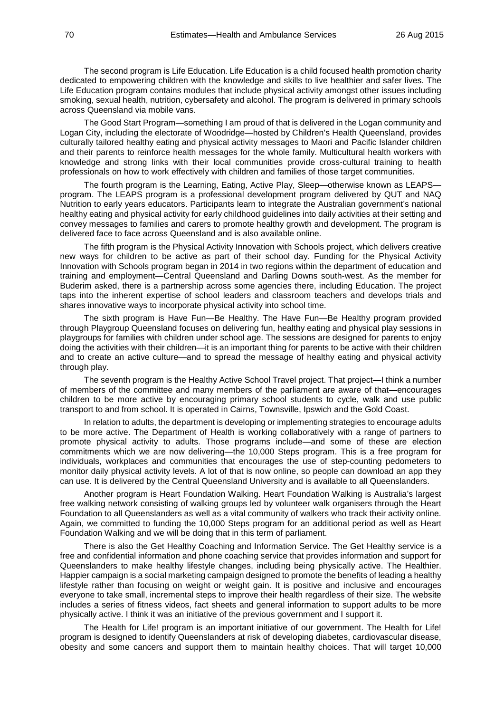The second program is Life Education. Life Education is a child focused health promotion charity dedicated to empowering children with the knowledge and skills to live healthier and safer lives. The Life Education program contains modules that include physical activity amongst other issues including smoking, sexual health, nutrition, cybersafety and alcohol. The program is delivered in primary schools across Queensland via mobile vans.

The Good Start Program—something I am proud of that is delivered in the Logan community and Logan City, including the electorate of Woodridge—hosted by Children's Health Queensland, provides culturally tailored healthy eating and physical activity messages to Maori and Pacific Islander children and their parents to reinforce health messages for the whole family. Multicultural health workers with knowledge and strong links with their local communities provide cross-cultural training to health professionals on how to work effectively with children and families of those target communities.

The fourth program is the Learning, Eating, Active Play, Sleep—otherwise known as LEAPS program. The LEAPS program is a professional development program delivered by QUT and NAQ Nutrition to early years educators. Participants learn to integrate the Australian government's national healthy eating and physical activity for early childhood guidelines into daily activities at their setting and convey messages to families and carers to promote healthy growth and development. The program is delivered face to face across Queensland and is also available online.

The fifth program is the Physical Activity Innovation with Schools project, which delivers creative new ways for children to be active as part of their school day. Funding for the Physical Activity Innovation with Schools program began in 2014 in two regions within the department of education and training and employment—Central Queensland and Darling Downs south-west. As the member for Buderim asked, there is a partnership across some agencies there, including Education. The project taps into the inherent expertise of school leaders and classroom teachers and develops trials and shares innovative ways to incorporate physical activity into school time.

The sixth program is Have Fun—Be Healthy. The Have Fun—Be Healthy program provided through Playgroup Queensland focuses on delivering fun, healthy eating and physical play sessions in playgroups for families with children under school age. The sessions are designed for parents to enjoy doing the activities with their children—it is an important thing for parents to be active with their children and to create an active culture—and to spread the message of healthy eating and physical activity through play.

The seventh program is the Healthy Active School Travel project. That project—I think a number of members of the committee and many members of the parliament are aware of that—encourages children to be more active by encouraging primary school students to cycle, walk and use public transport to and from school. It is operated in Cairns, Townsville, Ipswich and the Gold Coast.

In relation to adults, the department is developing or implementing strategies to encourage adults to be more active. The Department of Health is working collaboratively with a range of partners to promote physical activity to adults. Those programs include—and some of these are election commitments which we are now delivering—the 10,000 Steps program. This is a free program for individuals, workplaces and communities that encourages the use of step-counting pedometers to monitor daily physical activity levels. A lot of that is now online, so people can download an app they can use. It is delivered by the Central Queensland University and is available to all Queenslanders.

Another program is Heart Foundation Walking. Heart Foundation Walking is Australia's largest free walking network consisting of walking groups led by volunteer walk organisers through the Heart Foundation to all Queenslanders as well as a vital community of walkers who track their activity online. Again, we committed to funding the 10,000 Steps program for an additional period as well as Heart Foundation Walking and we will be doing that in this term of parliament.

There is also the Get Healthy Coaching and Information Service. The Get Healthy service is a free and confidential information and phone coaching service that provides information and support for Queenslanders to make healthy lifestyle changes, including being physically active. The Healthier. Happier campaign is a social marketing campaign designed to promote the benefits of leading a healthy lifestyle rather than focusing on weight or weight gain. It is positive and inclusive and encourages everyone to take small, incremental steps to improve their health regardless of their size. The website includes a series of fitness videos, fact sheets and general information to support adults to be more physically active. I think it was an initiative of the previous government and I support it.

The Health for Life! program is an important initiative of our government. The Health for Life! program is designed to identify Queenslanders at risk of developing diabetes, cardiovascular disease, obesity and some cancers and support them to maintain healthy choices. That will target 10,000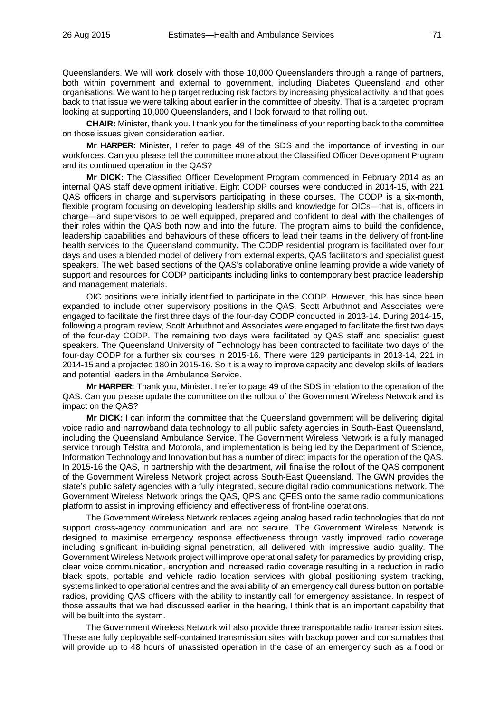Queenslanders. We will work closely with those 10,000 Queenslanders through a range of partners, both within government and external to government, including Diabetes Queensland and other organisations. We want to help target reducing risk factors by increasing physical activity, and that goes back to that issue we were talking about earlier in the committee of obesity. That is a targeted program looking at supporting 10,000 Queenslanders, and I look forward to that rolling out.

**CHAIR:** Minister, thank you. I thank you for the timeliness of your reporting back to the committee on those issues given consideration earlier.

**Mr HARPER:** Minister, I refer to page 49 of the SDS and the importance of investing in our workforces. Can you please tell the committee more about the Classified Officer Development Program and its continued operation in the QAS?

**Mr DICK:** The Classified Officer Development Program commenced in February 2014 as an internal QAS staff development initiative. Eight CODP courses were conducted in 2014-15, with 221 QAS officers in charge and supervisors participating in these courses. The CODP is a six-month, flexible program focusing on developing leadership skills and knowledge for OICs—that is, officers in charge—and supervisors to be well equipped, prepared and confident to deal with the challenges of their roles within the QAS both now and into the future. The program aims to build the confidence, leadership capabilities and behaviours of these officers to lead their teams in the delivery of front-line health services to the Queensland community. The CODP residential program is facilitated over four days and uses a blended model of delivery from external experts, QAS facilitators and specialist guest speakers. The web based sections of the QAS's collaborative online learning provide a wide variety of support and resources for CODP participants including links to contemporary best practice leadership and management materials.

OIC positions were initially identified to participate in the CODP. However, this has since been expanded to include other supervisory positions in the QAS. Scott Arbuthnot and Associates were engaged to facilitate the first three days of the four-day CODP conducted in 2013-14. During 2014-15, following a program review, Scott Arbuthnot and Associates were engaged to facilitate the first two days of the four-day CODP. The remaining two days were facilitated by QAS staff and specialist guest speakers. The Queensland University of Technology has been contracted to facilitate two days of the four-day CODP for a further six courses in 2015-16. There were 129 participants in 2013-14, 221 in 2014-15 and a projected 180 in 2015-16. So it is a way to improve capacity and develop skills of leaders and potential leaders in the Ambulance Service.

**Mr HARPER:** Thank you, Minister. I refer to page 49 of the SDS in relation to the operation of the QAS. Can you please update the committee on the rollout of the Government Wireless Network and its impact on the QAS?

**Mr DICK:** I can inform the committee that the Queensland government will be delivering digital voice radio and narrowband data technology to all public safety agencies in South-East Queensland, including the Queensland Ambulance Service. The Government Wireless Network is a fully managed service through Telstra and Motorola, and implementation is being led by the Department of Science, Information Technology and Innovation but has a number of direct impacts for the operation of the QAS. In 2015-16 the QAS, in partnership with the department, will finalise the rollout of the QAS component of the Government Wireless Network project across South-East Queensland. The GWN provides the state's public safety agencies with a fully integrated, secure digital radio communications network. The Government Wireless Network brings the QAS, QPS and QFES onto the same radio communications platform to assist in improving efficiency and effectiveness of front-line operations.

The Government Wireless Network replaces ageing analog based radio technologies that do not support cross-agency communication and are not secure. The Government Wireless Network is designed to maximise emergency response effectiveness through vastly improved radio coverage including significant in-building signal penetration, all delivered with impressive audio quality. The Government Wireless Network project will improve operational safety for paramedics by providing crisp, clear voice communication, encryption and increased radio coverage resulting in a reduction in radio black spots, portable and vehicle radio location services with global positioning system tracking, systems linked to operational centres and the availability of an emergency call duress button on portable radios, providing QAS officers with the ability to instantly call for emergency assistance. In respect of those assaults that we had discussed earlier in the hearing, I think that is an important capability that will be built into the system.

The Government Wireless Network will also provide three transportable radio transmission sites. These are fully deployable self-contained transmission sites with backup power and consumables that will provide up to 48 hours of unassisted operation in the case of an emergency such as a flood or